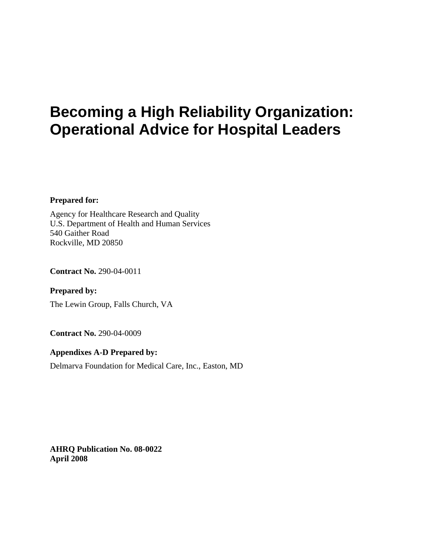# **Becoming a High Reliability Organization: Operational Advice for Hospital Leaders**

**Prepared for:** 

Agency for Healthcare Research and Quality U.S. Department of Health and Human Services 540 Gaither Road Rockville, MD 20850

**Contract No.** 290-04-0011

**Prepared by:**  The Lewin Group, Falls Church, VA

**Contract No.** 290-04-0009

#### **Appendixes A-D Prepared by:**

Delmarva Foundation for Medical Care, Inc., Easton, MD

**AHRQ Publication No. 08-0022 April 2008**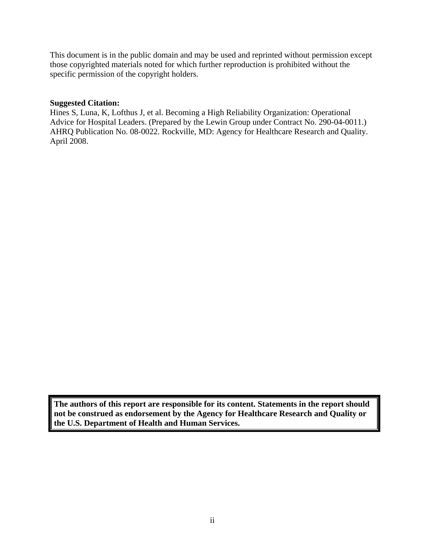This document is in the public domain and may be used and reprinted without permission except those copyrighted materials noted for which further reproduction is prohibited without the specific permission of the copyright holders.

#### **Suggested Citation:**

Hines S, Luna, K, Lofthus J, et al. Becoming a High Reliability Organization: Operational Advice for Hospital Leaders. (Prepared by the Lewin Group under Contract No. 290-04-0011.) AHRQ Publication No. 08-0022. Rockville, MD: Agency for Healthcare Research and Quality. April 2008.

**The authors of this report are responsible for its content. Statements in the report should not be construed as endorsement by the Agency for Healthcare Research and Quality or the U.S. Department of Health and Human Services.**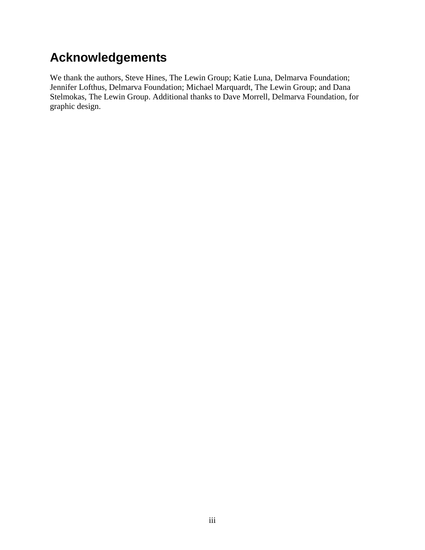# <span id="page-2-0"></span>**Acknowledgements**

We thank the authors, Steve Hines, The Lewin Group; Katie Luna, Delmarva Foundation; Jennifer Lofthus, Delmarva Foundation; Michael Marquardt, The Lewin Group; and Dana Stelmokas, The Lewin Group. Additional thanks to Dave Morrell, Delmarva Foundation, for graphic design.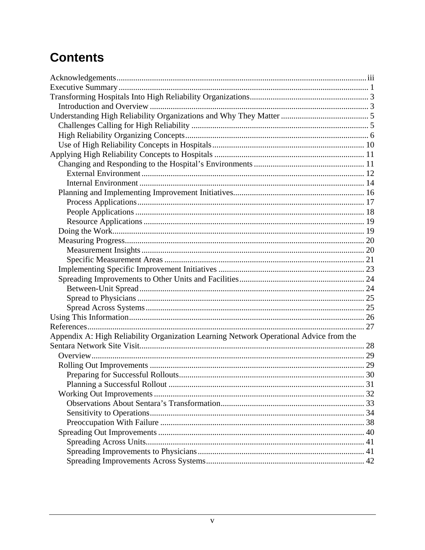# **Contents**

| Appendix A: High Reliability Organization Learning Network Operational Advice from the |  |
|----------------------------------------------------------------------------------------|--|
|                                                                                        |  |
|                                                                                        |  |
|                                                                                        |  |
|                                                                                        |  |
|                                                                                        |  |
|                                                                                        |  |
|                                                                                        |  |
|                                                                                        |  |
|                                                                                        |  |
|                                                                                        |  |
|                                                                                        |  |
|                                                                                        |  |
|                                                                                        |  |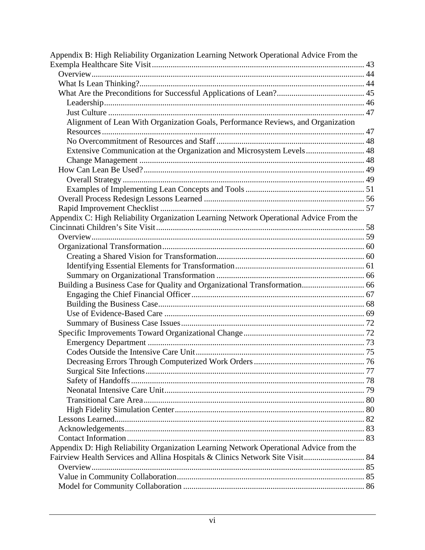| Appendix B: High Reliability Organization Learning Network Operational Advice From the |  |  |  |  |
|----------------------------------------------------------------------------------------|--|--|--|--|
|                                                                                        |  |  |  |  |
|                                                                                        |  |  |  |  |
|                                                                                        |  |  |  |  |
|                                                                                        |  |  |  |  |
|                                                                                        |  |  |  |  |
|                                                                                        |  |  |  |  |
| Alignment of Lean With Organization Goals, Performance Reviews, and Organization       |  |  |  |  |
|                                                                                        |  |  |  |  |
|                                                                                        |  |  |  |  |
| Extensive Communication at the Organization and Microsystem Levels 48                  |  |  |  |  |
|                                                                                        |  |  |  |  |
|                                                                                        |  |  |  |  |
|                                                                                        |  |  |  |  |
|                                                                                        |  |  |  |  |
|                                                                                        |  |  |  |  |
|                                                                                        |  |  |  |  |
| Appendix C: High Reliability Organization Learning Network Operational Advice From the |  |  |  |  |
|                                                                                        |  |  |  |  |
|                                                                                        |  |  |  |  |
|                                                                                        |  |  |  |  |
|                                                                                        |  |  |  |  |
|                                                                                        |  |  |  |  |
|                                                                                        |  |  |  |  |
|                                                                                        |  |  |  |  |
|                                                                                        |  |  |  |  |
|                                                                                        |  |  |  |  |
|                                                                                        |  |  |  |  |
|                                                                                        |  |  |  |  |
|                                                                                        |  |  |  |  |
|                                                                                        |  |  |  |  |
|                                                                                        |  |  |  |  |
|                                                                                        |  |  |  |  |
|                                                                                        |  |  |  |  |
|                                                                                        |  |  |  |  |
|                                                                                        |  |  |  |  |
|                                                                                        |  |  |  |  |
|                                                                                        |  |  |  |  |
|                                                                                        |  |  |  |  |
|                                                                                        |  |  |  |  |
|                                                                                        |  |  |  |  |
|                                                                                        |  |  |  |  |
| Appendix D: High Reliability Organization Learning Network Operational Advice from the |  |  |  |  |
| Fairview Health Services and Allina Hospitals & Clinics Network Site Visit 84          |  |  |  |  |
|                                                                                        |  |  |  |  |
|                                                                                        |  |  |  |  |
|                                                                                        |  |  |  |  |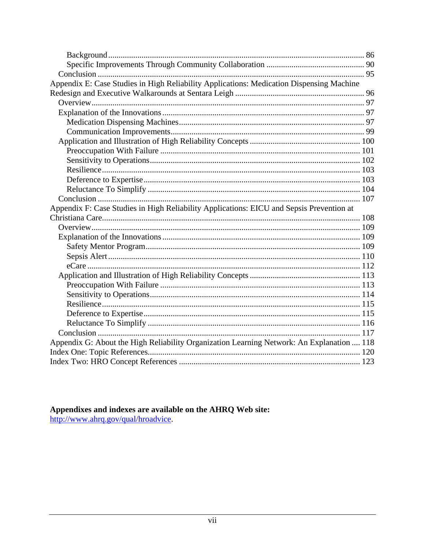| Appendix E: Case Studies in High Reliability Applications: Medication Dispensing Machine  |  |
|-------------------------------------------------------------------------------------------|--|
|                                                                                           |  |
|                                                                                           |  |
|                                                                                           |  |
|                                                                                           |  |
|                                                                                           |  |
|                                                                                           |  |
|                                                                                           |  |
|                                                                                           |  |
|                                                                                           |  |
|                                                                                           |  |
|                                                                                           |  |
|                                                                                           |  |
| Appendix F: Case Studies in High Reliability Applications: EICU and Sepsis Prevention at  |  |
|                                                                                           |  |
|                                                                                           |  |
|                                                                                           |  |
|                                                                                           |  |
|                                                                                           |  |
|                                                                                           |  |
|                                                                                           |  |
|                                                                                           |  |
|                                                                                           |  |
|                                                                                           |  |
|                                                                                           |  |
|                                                                                           |  |
|                                                                                           |  |
| Appendix G: About the High Reliability Organization Learning Network: An Explanation  118 |  |
|                                                                                           |  |
|                                                                                           |  |

Appendixes and indexes are available on the AHRQ Web site:<br>http://www.ahrq.gov/qual/hroadvice.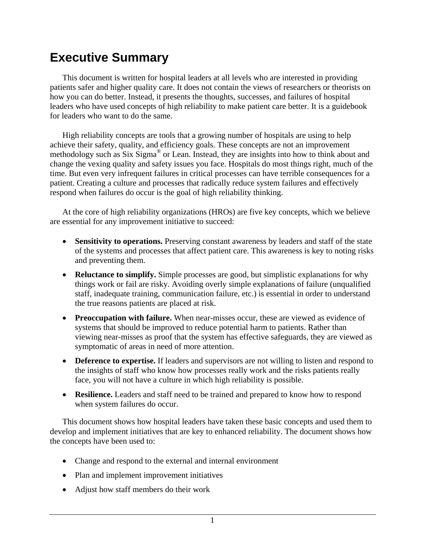# <span id="page-7-0"></span>**Executive Summary**

 This document is written for hospital leaders at all levels who are interested in providing patients safer and higher quality care. It does not contain the views of researchers or theorists on how you can do better. Instead, it presents the thoughts, successes, and failures of hospital leaders who have used concepts of high reliability to make patient care better. It is a guidebook for leaders who want to do the same.

 High reliability concepts are tools that a growing number of hospitals are using to help achieve their safety, quality, and efficiency goals. These concepts are not an improvement methodology such as Six Sigma® or Lean. Instead, they are insights into how to think about and change the vexing quality and safety issues you face. Hospitals do most things right, much of the time. But even very infrequent failures in critical processes can have terrible consequences for a patient. Creating a culture and processes that radically reduce system failures and effectively respond when failures do occur is the goal of high reliability thinking.

 At the core of high reliability organizations (HROs) are five key concepts, which we believe are essential for any improvement initiative to succeed:

- **Sensitivity to operations.** Preserving constant awareness by leaders and staff of the state of the systems and processes that affect patient care. This awareness is key to noting risks and preventing them.
- **Reluctance to simplify.** Simple processes are good, but simplistic explanations for why things work or fail are risky. Avoiding overly simple explanations of failure (unqualified staff, inadequate training, communication failure, etc.) is essential in order to understand the true reasons patients are placed at risk.
- **Preoccupation with failure.** When near-misses occur, these are viewed as evidence of systems that should be improved to reduce potential harm to patients. Rather than viewing near-misses as proof that the system has effective safeguards, they are viewed as symptomatic of areas in need of more attention.
- **Deference to expertise.** If leaders and supervisors are not willing to listen and respond to the insights of staff who know how processes really work and the risks patients really face, you will not have a culture in which high reliability is possible.
- **Resilience.** Leaders and staff need to be trained and prepared to know how to respond when system failures do occur.

 This document shows how hospital leaders have taken these basic concepts and used them to develop and implement initiatives that are key to enhanced reliability. The document shows how the concepts have been used to:

- Change and respond to the external and internal environment
- Plan and implement improvement initiatives
- Adjust how staff members do their work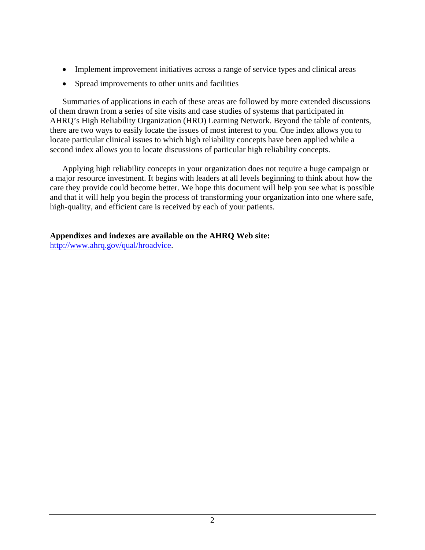- Implement improvement initiatives across a range of service types and clinical areas
- Spread improvements to other units and facilities

 Summaries of applications in each of these areas are followed by more extended discussions of them drawn from a series of site visits and case studies of systems that participated in AHRQ's High Reliability Organization (HRO) Learning Network. Beyond the table of contents, there are two ways to easily locate the issues of most interest to you. One index allows you to locate particular clinical issues to which high reliability concepts have been applied while a second index allows you to locate discussions of particular high reliability concepts.

 Applying high reliability concepts in your organization does not require a huge campaign or a major resource investment. It begins with leaders at all levels beginning to think about how the care they provide could become better. We hope this document will help you see what is possible and that it will help you begin the process of transforming your organization into one where safe, high-quality, and efficient care is received by each of your patients.

#### **Appendixes and indexes are available on the AHRQ Web site:**

[http://www.ahrq.gov/qual/hroadvice.](http://www.ahrq.gov/qual/hroadvice)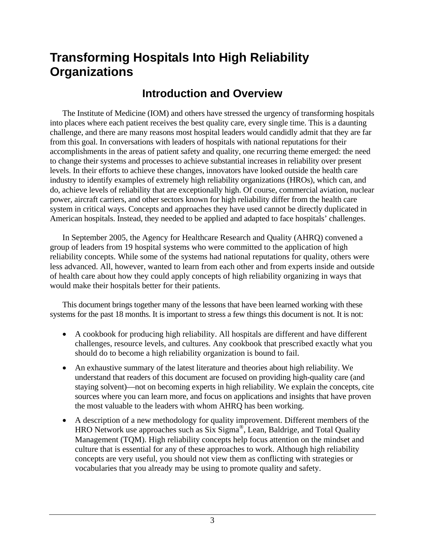# <span id="page-9-0"></span>**Transforming Hospitals Into High Reliability Organizations**

### **Introduction and Overview**

 The Institute of Medicine (IOM) and others have stressed the urgency of transforming hospitals into places where each patient receives the best quality care, every single time. This is a daunting challenge, and there are many reasons most hospital leaders would candidly admit that they are far from this goal. In conversations with leaders of hospitals with national reputations for their accomplishments in the areas of patient safety and quality, one recurring theme emerged: the need to change their systems and processes to achieve substantial increases in reliability over present levels. In their efforts to achieve these changes, innovators have looked outside the health care industry to identify examples of extremely high reliability organizations (HROs), which can, and do, achieve levels of reliability that are exceptionally high. Of course, commercial aviation, nuclear power, aircraft carriers, and other sectors known for high reliability differ from the health care system in critical ways. Concepts and approaches they have used cannot be directly duplicated in American hospitals. Instead, they needed to be applied and adapted to face hospitals' challenges.

 In September 2005, the Agency for Healthcare Research and Quality (AHRQ) convened a group of leaders from 19 hospital systems who were committed to the application of high reliability concepts. While some of the systems had national reputations for quality, others were less advanced. All, however, wanted to learn from each other and from experts inside and outside of health care about how they could apply concepts of high reliability organizing in ways that would make their hospitals better for their patients.

 This document brings together many of the lessons that have been learned working with these systems for the past 18 months. It is important to stress a few things this document is not. It is not:

- A cookbook for producing high reliability. All hospitals are different and have different challenges, resource levels, and cultures. Any cookbook that prescribed exactly what you should do to become a high reliability organization is bound to fail.
- An exhaustive summary of the latest literature and theories about high reliability. We understand that readers of this document are focused on providing high-quality care (and staying solvent)—not on becoming experts in high reliability. We explain the concepts, cite sources where you can learn more, and focus on applications and insights that have proven the most valuable to the leaders with whom AHRQ has been working.
- A description of a new methodology for quality improvement. Different members of the HRO Network use approaches such as Six Sigma®, Lean, Baldrige, and Total Quality Management (TQM). High reliability concepts help focus attention on the mindset and culture that is essential for any of these approaches to work. Although high reliability concepts are very useful, you should not view them as conflicting with strategies or vocabularies that you already may be using to promote quality and safety.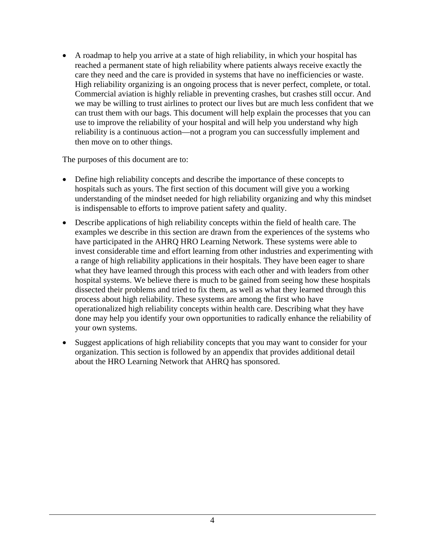• A roadmap to help you arrive at a state of high reliability, in which your hospital has reached a permanent state of high reliability where patients always receive exactly the care they need and the care is provided in systems that have no inefficiencies or waste. High reliability organizing is an ongoing process that is never perfect, complete, or total. Commercial aviation is highly reliable in preventing crashes, but crashes still occur. And we may be willing to trust airlines to protect our lives but are much less confident that we can trust them with our bags. This document will help explain the processes that you can use to improve the reliability of your hospital and will help you understand why high reliability is a continuous action—not a program you can successfully implement and then move on to other things.

The purposes of this document are to:

- Define high reliability concepts and describe the importance of these concepts to hospitals such as yours. The first section of this document will give you a working understanding of the mindset needed for high reliability organizing and why this mindset is indispensable to efforts to improve patient safety and quality.
- Describe applications of high reliability concepts within the field of health care. The examples we describe in this section are drawn from the experiences of the systems who have participated in the AHRQ HRO Learning Network. These systems were able to invest considerable time and effort learning from other industries and experimenting with a range of high reliability applications in their hospitals. They have been eager to share what they have learned through this process with each other and with leaders from other hospital systems. We believe there is much to be gained from seeing how these hospitals dissected their problems and tried to fix them, as well as what they learned through this process about high reliability. These systems are among the first who have operationalized high reliability concepts within health care. Describing what they have done may help you identify your own opportunities to radically enhance the reliability of your own systems.
- Suggest applications of high reliability concepts that you may want to consider for your organization. This section is followed by an appendix that provides additional detail about the HRO Learning Network that AHRQ has sponsored.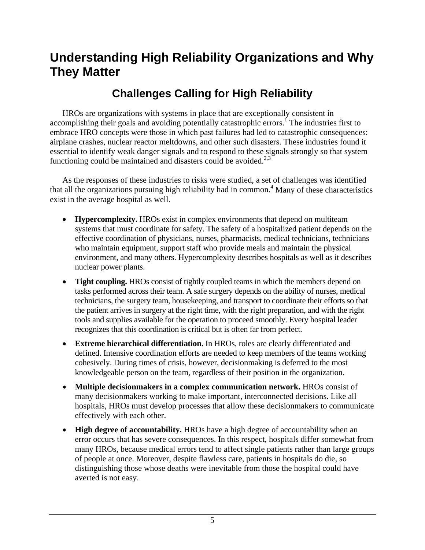# <span id="page-11-0"></span>**Understanding High Reliability Organizations and Why They Matter**

# **Challenges Calling for High Reliability**

 HROs are organizations with systems in place that are exceptionally consistent in accomplishing their goals and avoiding potentially catastrophic errors.<sup>I</sup> The industries first to embrace HRO concepts were those in which past failures had led to catastrophic consequences: airplane crashes, nuclear reactor meltdowns, and other such disasters. These industries found it essential to identify weak danger signals and to respond to these signals strongly so that system functioning could be maintained and disasters could be avoided.<sup>2,3</sup>

 As the responses of these industries to risks were studied, a set of challenges was identified that all the organizations pursuing high reliability had in common.<sup>4</sup> Many of these characteristics exist in the average hospital as well.

- **Hypercomplexity.** HROs exist in complex environments that depend on multiteam systems that must coordinate for safety. The safety of a hospitalized patient depends on the effective coordination of physicians, nurses, pharmacists, medical technicians, technicians who maintain equipment, support staff who provide meals and maintain the physical environment, and many others. Hypercomplexity describes hospitals as well as it describes nuclear power plants.
- **Tight coupling.** HROs consist of tightly coupled teams in which the members depend on tasks performed across their team. A safe surgery depends on the ability of nurses, medical technicians, the surgery team, housekeeping, and transport to coordinate their efforts so that the patient arrives in surgery at the right time, with the right preparation, and with the right tools and supplies available for the operation to proceed smoothly. Every hospital leader recognizes that this coordination is critical but is often far from perfect.
- **Extreme hierarchical differentiation.** In HROs, roles are clearly differentiated and defined. Intensive coordination efforts are needed to keep members of the teams working cohesively. During times of crisis, however, decisionmaking is deferred to the most knowledgeable person on the team, regardless of their position in the organization.
- **Multiple decisionmakers in a complex communication network.** HROs consist of many decisionmakers working to make important, interconnected decisions. Like all hospitals, HROs must develop processes that allow these decisionmakers to communicate effectively with each other.
- **High degree of accountability.** HROs have a high degree of accountability when an error occurs that has severe consequences. In this respect, hospitals differ somewhat from many HROs, because medical errors tend to affect single patients rather than large groups of people at once. Moreover, despite flawless care, patients in hospitals do die, so distinguishing those whose deaths were inevitable from those the hospital could have averted is not easy.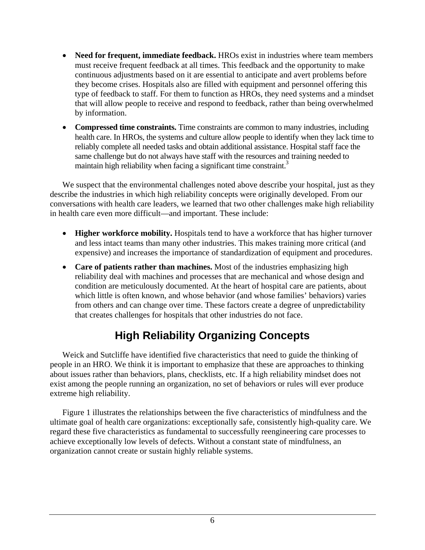- <span id="page-12-0"></span>• **Need for frequent, immediate feedback.** HROs exist in industries where team members must receive frequent feedback at all times. This feedback and the opportunity to make continuous adjustments based on it are essential to anticipate and avert problems before they become crises. Hospitals also are filled with equipment and personnel offering this type of feedback to staff. For them to function as HROs, they need systems and a mindset that will allow people to receive and respond to feedback, rather than being overwhelmed by information.
- **Compressed time constraints.** Time constraints are common to many industries, including health care. In HROs, the systems and culture allow people to identify when they lack time to reliably complete all needed tasks and obtain additional assistance. Hospital staff face the same challenge but do not always have staff with the resources and training needed to maintain high reliability when facing a significant time constraint.<sup>3</sup>

We suspect that the environmental challenges noted above describe your hospital, just as they describe the industries in which high reliability concepts were originally developed. From our conversations with health care leaders, we learned that two other challenges make high reliability in health care even more difficult—and important. These include:

- **Higher workforce mobility.** Hospitals tend to have a workforce that has higher turnover and less intact teams than many other industries. This makes training more critical (and expensive) and increases the importance of standardization of equipment and procedures.
- **Care of patients rather than machines.** Most of the industries emphasizing high reliability deal with machines and processes that are mechanical and whose design and condition are meticulously documented. At the heart of hospital care are patients, about which little is often known, and whose behavior (and whose families' behaviors) varies from others and can change over time. These factors create a degree of unpredictability that creates challenges for hospitals that other industries do not face.

# **High Reliability Organizing Concepts**

 Weick and Sutcliffe have identified five characteristics that need to guide the thinking of people in an HRO. We think it is important to emphasize that these are approaches to thinking about issues rather than behaviors, plans, checklists, etc. If a high reliability mindset does not exist among the people running an organization, no set of behaviors or rules will ever produce extreme high reliability.

 Figure 1 illustrates the relationships between the five characteristics of mindfulness and the ultimate goal of health care organizations: exceptionally safe, consistently high-quality care. We regard these five characteristics as fundamental to successfully reengineering care processes to achieve exceptionally low levels of defects. Without a constant state of mindfulness, an organization cannot create or sustain highly reliable systems.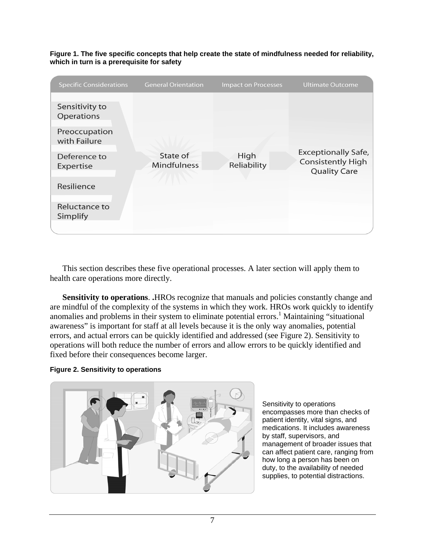| <b>Specific Considerations</b> | <b>General Orientation</b>     | <b>Impact on Processes</b> | <b>Ultimate Outcome</b>                                                       |
|--------------------------------|--------------------------------|----------------------------|-------------------------------------------------------------------------------|
| Sensitivity to<br>Operations   | State of<br><b>Mindfulness</b> | High<br>Reliability        | <b>Exceptionally Safe,</b><br><b>Consistently High</b><br><b>Quality Care</b> |
| Preoccupation<br>with Failure  |                                |                            |                                                                               |
| Deference to<br>Expertise      |                                |                            |                                                                               |
| Resilience                     |                                |                            |                                                                               |
| Reluctance to<br>Simplify      |                                |                            |                                                                               |
|                                |                                |                            |                                                                               |

**Figure 1. The five specific concepts that help create the state of mindfulness needed for reliability, which in turn is a prerequisite for safety** 

 This section describes these five operational processes. A later section will apply them to health care operations more directly.

 **Sensitivity to operations**. **.**HROs recognize that manuals and policies constantly change and are mindful of the complexity of the systems in which they work. HROs work quickly to identify anomalies and problems in their system to eliminate potential errors.<sup>1</sup> Maintaining "situational awareness" is important for staff at all levels because it is the only way anomalies, potential errors, and actual errors can be quickly identified and addressed (see Figure 2). Sensitivity to operations will both reduce the number of errors and allow errors to be quickly identified and fixed before their consequences become larger.

#### **Figure 2. Sensitivity to operations**



Sensitivity to operations encompasses more than checks of patient identity, vital signs, and medications. It includes awareness by staff, supervisors, and management of broader issues that can affect patient care, ranging from how long a person has been on duty, to the availability of needed supplies, to potential distractions.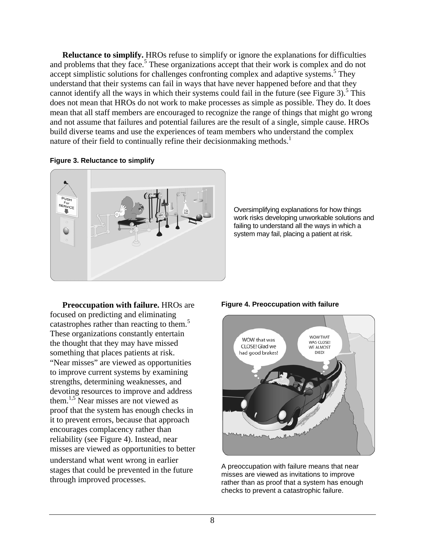**Reluctance to simplify.** HROs refuse to simplify or ignore the explanations for difficulties and problems that they face.<sup>5</sup> These organizations accept that their work is complex and do not accept simplistic solutions for challenges confronting complex and adaptive systems.<sup>5</sup> They understand that their systems can fail in ways that have never happened before and that they cannot identify all the ways in which their systems could fail in the future (see Figure 3).<sup>5</sup> This does not mean that HROs do not work to make processes as simple as possible. They do. It does mean that all staff members are encouraged to recognize the range of things that might go wrong and not assume that failures and potential failures are the result of a single, simple cause. HROs build diverse teams and use the experiences of team members who understand the complex nature of their field to continually refine their decision making methods.<sup>1</sup>

#### **Figure 3. Reluctance to simplify**



Oversimplifying explanations for how things work risks developing unworkable solutions and failing to understand all the ways in which a system may fail, placing a patient at risk.

focused on predicting and eliminating catastrophes rather than reacting to them.<sup>5</sup> These organizations constantly entertain the thought that they may have missed something that places patients at risk. "Near misses" are viewed as opportunities to improve current systems by examining strengths, determining weaknesses, and devoting resources to improve and address them.<sup>1,5</sup> Near misses are not viewed as proof that the system has enough checks in it to prevent errors, because that approach encourages complacency rather than reliability (see Figure 4). Instead, near misses are viewed as opportunities to better understand what went wrong in earlier stages that could be prevented in the future through improved processes.

#### **Preoccupation with failure.** HROs are **Figure 4. Preoccupation with failure**



A preoccupation with failure means that near misses are viewed as invitations to improve rather than as proof that a system has enough checks to prevent a catastrophic failure.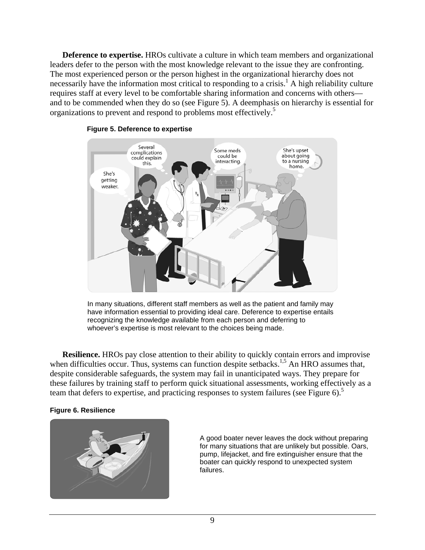**Deference to expertise.** HROs cultivate a culture in which team members and organizational leaders defer to the person with the most knowledge relevant to the issue they are confronting. The most experienced person or the person highest in the organizational hierarchy does not necessarily have the information most critical to responding to a crisis.<sup>1</sup> A high reliability culture requires staff at every level to be comfortable sharing information and concerns with others and to be commended when they do so (see Figure 5). A deemphasis on hierarchy is essential for organizations to prevent and respond to problems most effectively.5



#### **Figure 5. Deference to expertise**

In many situations, different staff members as well as the patient and family may have information essential to providing ideal care. Deference to expertise entails recognizing the knowledge available from each person and deferring to whoever's expertise is most relevant to the choices being made.

**Resilience.** HROs pay close attention to their ability to quickly contain errors and improvise when difficulties occur. Thus, systems can function despite setbacks.<sup>1,5</sup> An HRO assumes that, despite considerable safeguards, the system may fail in unanticipated ways. They prepare for these failures by training staff to perform quick situational assessments, working effectively as a team that defers to expertise, and practicing responses to system failures (see Figure 6).<sup>5</sup>

#### **Figure 6. Resilience**



A good boater never leaves the dock without preparing for many situations that are unlikely but possible. Oars, pump, lifejacket, and fire extinguisher ensure that the boater can quickly respond to unexpected system failures.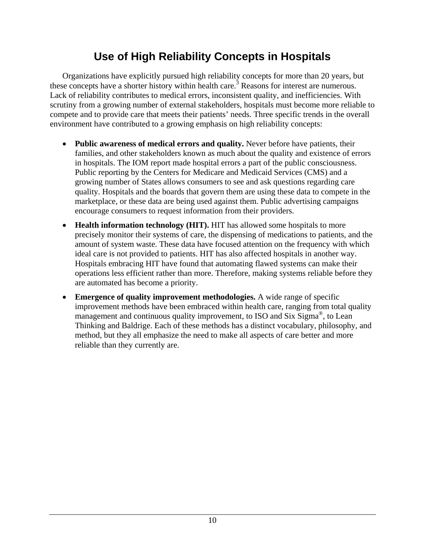## **Use of High Reliability Concepts in Hospitals**

<span id="page-16-0"></span> Organizations have explicitly pursued high reliability concepts for more than 20 years, but these concepts have a shorter history within health care.<sup>3</sup> Reasons for interest are numerous. Lack of reliability contributes to medical errors, inconsistent quality, and inefficiencies. With scrutiny from a growing number of external stakeholders, hospitals must become more reliable to compete and to provide care that meets their patients' needs. Three specific trends in the overall environment have contributed to a growing emphasis on high reliability concepts:

- **Public awareness of medical errors and quality.** Never before have patients, their families, and other stakeholders known as much about the quality and existence of errors in hospitals. The IOM report made hospital errors a part of the public consciousness. Public reporting by the Centers for Medicare and Medicaid Services (CMS) and a growing number of States allows consumers to see and ask questions regarding care quality. Hospitals and the boards that govern them are using these data to compete in the marketplace, or these data are being used against them. Public advertising campaigns encourage consumers to request information from their providers.
- **Health information technology (HIT).** HIT has allowed some hospitals to more precisely monitor their systems of care, the dispensing of medications to patients, and the amount of system waste. These data have focused attention on the frequency with which ideal care is not provided to patients. HIT has also affected hospitals in another way. Hospitals embracing HIT have found that automating flawed systems can make their operations less efficient rather than more. Therefore, making systems reliable before they are automated has become a priority.
- **Emergence of quality improvement methodologies.** A wide range of specific improvement methods have been embraced within health care, ranging from total quality management and continuous quality improvement, to ISO and Six Sigma<sup>®</sup>, to Lean Thinking and Baldrige. Each of these methods has a distinct vocabulary, philosophy, and method, but they all emphasize the need to make all aspects of care better and more reliable than they currently are.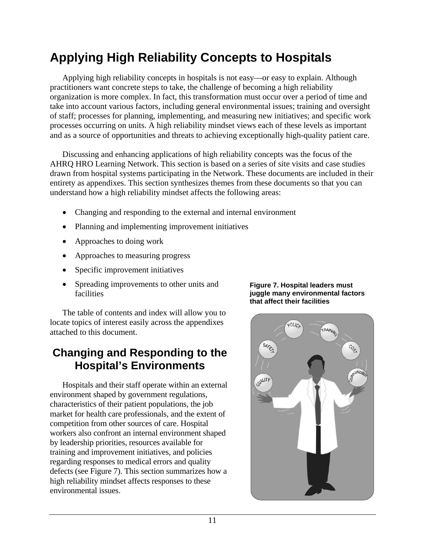# <span id="page-17-0"></span>**Applying High Reliability Concepts to Hospitals**

 Applying high reliability concepts in hospitals is not easy—or easy to explain. Although practitioners want concrete steps to take, the challenge of becoming a high reliability organization is more complex. In fact, this transformation must occur over a period of time and take into account various factors, including general environmental issues; training and oversight of staff; processes for planning, implementing, and measuring new initiatives; and specific work processes occurring on units. A high reliability mindset views each of these levels as important and as a source of opportunities and threats to achieving exceptionally high-quality patient care.

 Discussing and enhancing applications of high reliability concepts was the focus of the AHRQ HRO Learning Network. This section is based on a series of site visits and case studies drawn from hospital systems participating in the Network. These documents are included in their entirety as appendixes. This section synthesizes themes from these documents so that you can understand how a high reliability mindset affects the following areas:

- Changing and responding to the external and internal environment
- Planning and implementing improvement initiatives
- Approaches to doing work
- Approaches to measuring progress
- Specific improvement initiatives
- Spreading improvements to other units and facilities

 The table of contents and index will allow you to locate topics of interest easily across the appendixes attached to this document.

### **Changing and Responding to the Hospital's Environments**

 Hospitals and their staff operate within an external environment shaped by government regulations, characteristics of their patient populations, the job market for health care professionals, and the extent of competition from other sources of care. Hospital workers also confront an internal environment shaped by leadership priorities, resources available for training and improvement initiatives, and policies regarding responses to medical errors and quality defects (see Figure 7). This section summarizes how a high reliability mindset affects responses to these environmental issues.

#### **Figure 7. Hospital leaders must juggle many environmental factors that affect their facilities**

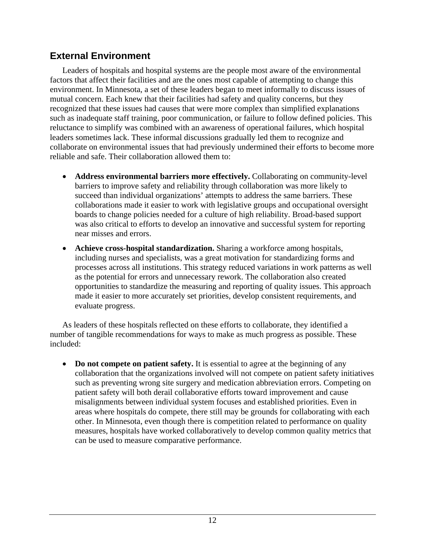### <span id="page-18-0"></span>**External Environment**

 Leaders of hospitals and hospital systems are the people most aware of the environmental factors that affect their facilities and are the ones most capable of attempting to change this environment. In Minnesota, a set of these leaders began to meet informally to discuss issues of mutual concern. Each knew that their facilities had safety and quality concerns, but they recognized that these issues had causes that were more complex than simplified explanations such as inadequate staff training, poor communication, or failure to follow defined policies. This reluctance to simplify was combined with an awareness of operational failures, which hospital leaders sometimes lack. These informal discussions gradually led them to recognize and collaborate on environmental issues that had previously undermined their efforts to become more reliable and safe. Their collaboration allowed them to:

- **Address environmental barriers more effectively.** Collaborating on community-level barriers to improve safety and reliability through collaboration was more likely to succeed than individual organizations' attempts to address the same barriers. These collaborations made it easier to work with legislative groups and occupational oversight boards to change policies needed for a culture of high reliability. Broad-based support was also critical to efforts to develop an innovative and successful system for reporting near misses and errors.
- **Achieve cross-hospital standardization.** Sharing a workforce among hospitals, including nurses and specialists, was a great motivation for standardizing forms and processes across all institutions. This strategy reduced variations in work patterns as well as the potential for errors and unnecessary rework. The collaboration also created opportunities to standardize the measuring and reporting of quality issues. This approach made it easier to more accurately set priorities, develop consistent requirements, and evaluate progress.

 As leaders of these hospitals reflected on these efforts to collaborate, they identified a number of tangible recommendations for ways to make as much progress as possible. These included:

• **Do not compete on patient safety.** It is essential to agree at the beginning of any collaboration that the organizations involved will not compete on patient safety initiatives such as preventing wrong site surgery and medication abbreviation errors. Competing on patient safety will both derail collaborative efforts toward improvement and cause misalignments between individual system focuses and established priorities. Even in areas where hospitals do compete, there still may be grounds for collaborating with each other. In Minnesota, even though there is competition related to performance on quality measures, hospitals have worked collaboratively to develop common quality metrics that can be used to measure comparative performance.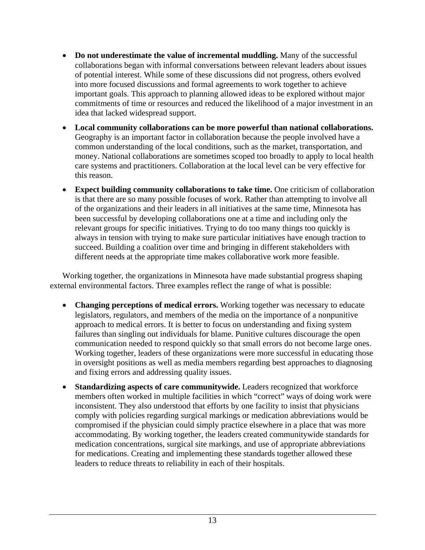- **Do not underestimate the value of incremental muddling.** Many of the successful collaborations began with informal conversations between relevant leaders about issues of potential interest. While some of these discussions did not progress, others evolved into more focused discussions and formal agreements to work together to achieve important goals. This approach to planning allowed ideas to be explored without major commitments of time or resources and reduced the likelihood of a major investment in an idea that lacked widespread support.
- **Local community collaborations can be more powerful than national collaborations.** Geography is an important factor in collaboration because the people involved have a common understanding of the local conditions, such as the market, transportation, and money. National collaborations are sometimes scoped too broadly to apply to local health care systems and practitioners. Collaboration at the local level can be very effective for this reason.
- **Expect building community collaborations to take time.** One criticism of collaboration is that there are so many possible focuses of work. Rather than attempting to involve all of the organizations and their leaders in all initiatives at the same time, Minnesota has been successful by developing collaborations one at a time and including only the relevant groups for specific initiatives. Trying to do too many things too quickly is always in tension with trying to make sure particular initiatives have enough traction to succeed. Building a coalition over time and bringing in different stakeholders with different needs at the appropriate time makes collaborative work more feasible.

 Working together, the organizations in Minnesota have made substantial progress shaping external environmental factors. Three examples reflect the range of what is possible:

- **Changing perceptions of medical errors.** Working together was necessary to educate legislators, regulators, and members of the media on the importance of a nonpunitive approach to medical errors. It is better to focus on understanding and fixing system failures than singling out individuals for blame. Punitive cultures discourage the open communication needed to respond quickly so that small errors do not become large ones. Working together, leaders of these organizations were more successful in educating those in oversight positions as well as media members regarding best approaches to diagnosing and fixing errors and addressing quality issues.
- **Standardizing aspects of care communitywide.** Leaders recognized that workforce members often worked in multiple facilities in which "correct" ways of doing work were inconsistent. They also understood that efforts by one facility to insist that physicians comply with policies regarding surgical markings or medication abbreviations would be compromised if the physician could simply practice elsewhere in a place that was more accommodating. By working together, the leaders created communitywide standards for medication concentrations, surgical site markings, and use of appropriate abbreviations for medications. Creating and implementing these standards together allowed these leaders to reduce threats to reliability in each of their hospitals.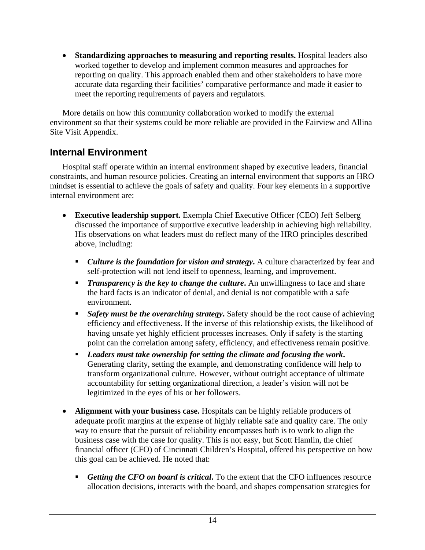<span id="page-20-0"></span>• **Standardizing approaches to measuring and reporting results.** Hospital leaders also worked together to develop and implement common measures and approaches for reporting on quality. This approach enabled them and other stakeholders to have more accurate data regarding their facilities' comparative performance and made it easier to meet the reporting requirements of payers and regulators.

 More details on how this community collaboration worked to modify the external environment so that their systems could be more reliable are provided in the Fairview and Allina Site Visit Appendix.

#### **Internal Environment**

 Hospital staff operate within an internal environment shaped by executive leaders, financial constraints, and human resource policies. Creating an internal environment that supports an HRO mindset is essential to achieve the goals of safety and quality. Four key elements in a supportive internal environment are:

- **Executive leadership support.** Exempla Chief Executive Officer (CEO) Jeff Selberg discussed the importance of supportive executive leadership in achieving high reliability. His observations on what leaders must do reflect many of the HRO principles described above, including:
	- *Culture is the foundation for vision and strategy***.** A culture characterized by fear and self-protection will not lend itself to openness, learning, and improvement.
	- **Transparency is the key to change the culture.** An unwillingness to face and share the hard facts is an indicator of denial, and denial is not compatible with a safe environment.
	- *Safety must be the overarching strategy***.** Safety should be the root cause of achieving efficiency and effectiveness. If the inverse of this relationship exists, the likelihood of having unsafe yet highly efficient processes increases. Only if safety is the starting point can the correlation among safety, efficiency, and effectiveness remain positive.
	- *Leaders must take ownership for setting the climate and focusing the work***.** Generating clarity, setting the example, and demonstrating confidence will help to transform organizational culture. However, without outright acceptance of ultimate accountability for setting organizational direction, a leader's vision will not be legitimized in the eyes of his or her followers.
- **Alignment with your business case.** Hospitals can be highly reliable producers of adequate profit margins at the expense of highly reliable safe and quality care. The only way to ensure that the pursuit of reliability encompasses both is to work to align the business case with the case for quality. This is not easy, but Scott Hamlin, the chief financial officer (CFO) of Cincinnati Children's Hospital, offered his perspective on how this goal can be achieved. He noted that:
	- *Getting the CFO on board is critical***.** To the extent that the CFO influences resource allocation decisions, interacts with the board, and shapes compensation strategies for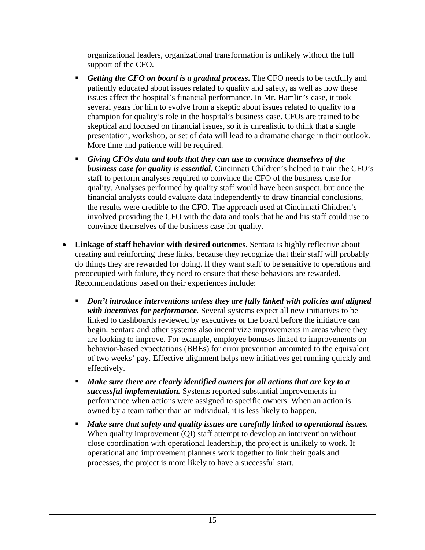organizational leaders, organizational transformation is unlikely without the full support of the CFO.

- *Getting the CFO on board is a gradual process***.** The CFO needs to be tactfully and patiently educated about issues related to quality and safety, as well as how these issues affect the hospital's financial performance. In Mr. Hamlin's case, it took several years for him to evolve from a skeptic about issues related to quality to a champion for quality's role in the hospital's business case. CFOs are trained to be skeptical and focused on financial issues, so it is unrealistic to think that a single presentation, workshop, or set of data will lead to a dramatic change in their outlook. More time and patience will be required.
- *Giving CFOs data and tools that they can use to convince themselves of the business case for quality is essential***.** Cincinnati Children's helped to train the CFO's staff to perform analyses required to convince the CFO of the business case for quality. Analyses performed by quality staff would have been suspect, but once the financial analysts could evaluate data independently to draw financial conclusions, the results were credible to the CFO. The approach used at Cincinnati Children's involved providing the CFO with the data and tools that he and his staff could use to convince themselves of the business case for quality.
- **Linkage of staff behavior with desired outcomes.** Sentara is highly reflective about creating and reinforcing these links, because they recognize that their staff will probably do things they are rewarded for doing. If they want staff to be sensitive to operations and preoccupied with failure, they need to ensure that these behaviors are rewarded. Recommendations based on their experiences include:
	- *Don't introduce interventions unless they are fully linked with policies and aligned with incentives for performance.* Several systems expect all new initiatives to be linked to dashboards reviewed by executives or the board before the initiative can begin. Sentara and other systems also incentivize improvements in areas where they are looking to improve. For example, employee bonuses linked to improvements on behavior-based expectations (BBEs) for error prevention amounted to the equivalent of two weeks' pay. Effective alignment helps new initiatives get running quickly and effectively.
	- *Make sure there are clearly identified owners for all actions that are key to a successful implementation.* Systems reported substantial improvements in performance when actions were assigned to specific owners. When an action is owned by a team rather than an individual, it is less likely to happen.
	- *Make sure that safety and quality issues are carefully linked to operational issues.*  When quality improvement (QI) staff attempt to develop an intervention without close coordination with operational leadership, the project is unlikely to work. If operational and improvement planners work together to link their goals and processes, the project is more likely to have a successful start.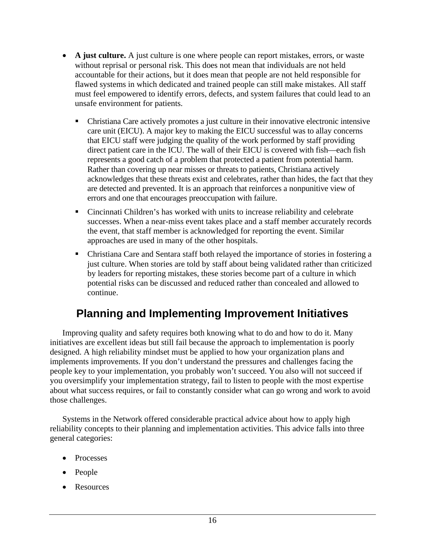- <span id="page-22-0"></span>• **A just culture.** A just culture is one where people can report mistakes, errors, or waste without reprisal or personal risk. This does not mean that individuals are not held accountable for their actions, but it does mean that people are not held responsible for flawed systems in which dedicated and trained people can still make mistakes. All staff must feel empowered to identify errors, defects, and system failures that could lead to an unsafe environment for patients.
	- Christiana Care actively promotes a just culture in their innovative electronic intensive care unit (EICU). A major key to making the EICU successful was to allay concerns that EICU staff were judging the quality of the work performed by staff providing direct patient care in the ICU. The wall of their EICU is covered with fish—each fish represents a good catch of a problem that protected a patient from potential harm. Rather than covering up near misses or threats to patients, Christiana actively acknowledges that these threats exist and celebrates, rather than hides, the fact that they are detected and prevented. It is an approach that reinforces a nonpunitive view of errors and one that encourages preoccupation with failure.
	- Cincinnati Children's has worked with units to increase reliability and celebrate successes. When a near-miss event takes place and a staff member accurately records the event, that staff member is acknowledged for reporting the event. Similar approaches are used in many of the other hospitals.
	- Christiana Care and Sentara staff both relayed the importance of stories in fostering a just culture. When stories are told by staff about being validated rather than criticized by leaders for reporting mistakes, these stories become part of a culture in which potential risks can be discussed and reduced rather than concealed and allowed to continue.

## **Planning and Implementing Improvement Initiatives**

 Improving quality and safety requires both knowing what to do and how to do it. Many initiatives are excellent ideas but still fail because the approach to implementation is poorly designed. A high reliability mindset must be applied to how your organization plans and implements improvements. If you don't understand the pressures and challenges facing the people key to your implementation, you probably won't succeed. You also will not succeed if you oversimplify your implementation strategy, fail to listen to people with the most expertise about what success requires, or fail to constantly consider what can go wrong and work to avoid those challenges.

 Systems in the Network offered considerable practical advice about how to apply high reliability concepts to their planning and implementation activities. This advice falls into three general categories:

- Processes
- People
- Resources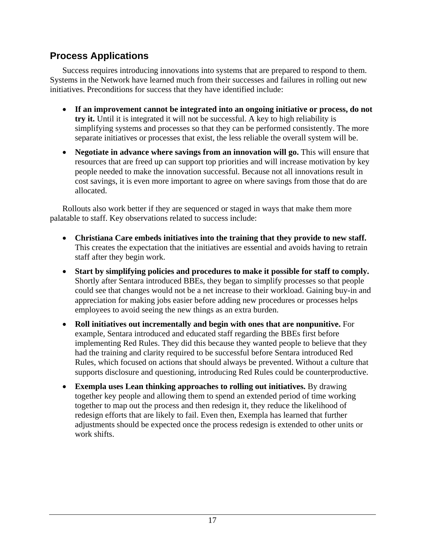### <span id="page-23-0"></span>**Process Applications**

 Success requires introducing innovations into systems that are prepared to respond to them. Systems in the Network have learned much from their successes and failures in rolling out new initiatives. Preconditions for success that they have identified include:

- **If an improvement cannot be integrated into an ongoing initiative or process, do not try it.** Until it is integrated it will not be successful. A key to high reliability is simplifying systems and processes so that they can be performed consistently. The more separate initiatives or processes that exist, the less reliable the overall system will be.
- **Negotiate in advance where savings from an innovation will go.** This will ensure that resources that are freed up can support top priorities and will increase motivation by key people needed to make the innovation successful. Because not all innovations result in cost savings, it is even more important to agree on where savings from those that do are allocated.

 Rollouts also work better if they are sequenced or staged in ways that make them more palatable to staff. Key observations related to success include:

- **Christiana Care embeds initiatives into the training that they provide to new staff.**  This creates the expectation that the initiatives are essential and avoids having to retrain staff after they begin work.
- **Start by simplifying policies and procedures to make it possible for staff to comply.**  Shortly after Sentara introduced BBEs, they began to simplify processes so that people could see that changes would not be a net increase to their workload. Gaining buy-in and appreciation for making jobs easier before adding new procedures or processes helps employees to avoid seeing the new things as an extra burden.
- **Roll initiatives out incrementally and begin with ones that are nonpunitive.** For example, Sentara introduced and educated staff regarding the BBEs first before implementing Red Rules. They did this because they wanted people to believe that they had the training and clarity required to be successful before Sentara introduced Red Rules, which focused on actions that should always be prevented. Without a culture that supports disclosure and questioning, introducing Red Rules could be counterproductive.
- **Exempla uses Lean thinking approaches to rolling out initiatives.** By drawing together key people and allowing them to spend an extended period of time working together to map out the process and then redesign it, they reduce the likelihood of redesign efforts that are likely to fail. Even then, Exempla has learned that further adjustments should be expected once the process redesign is extended to other units or work shifts.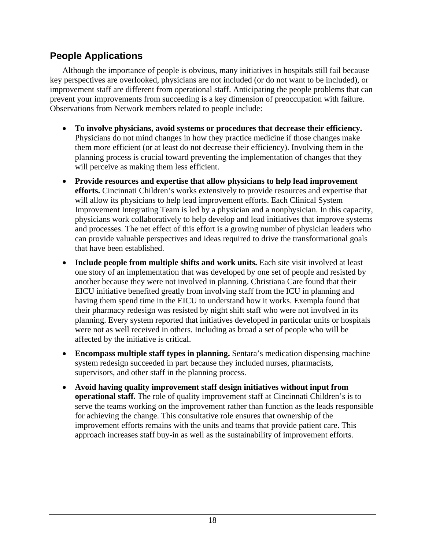### <span id="page-24-0"></span>**People Applications**

 Although the importance of people is obvious, many initiatives in hospitals still fail because key perspectives are overlooked, physicians are not included (or do not want to be included), or improvement staff are different from operational staff. Anticipating the people problems that can prevent your improvements from succeeding is a key dimension of preoccupation with failure. Observations from Network members related to people include:

- **To involve physicians, avoid systems or procedures that decrease their efficiency.** Physicians do not mind changes in how they practice medicine if those changes make them more efficient (or at least do not decrease their efficiency). Involving them in the planning process is crucial toward preventing the implementation of changes that they will perceive as making them less efficient.
- **Provide resources and expertise that allow physicians to help lead improvement efforts.** Cincinnati Children's works extensively to provide resources and expertise that will allow its physicians to help lead improvement efforts. Each Clinical System Improvement Integrating Team is led by a physician and a nonphysician. In this capacity, physicians work collaboratively to help develop and lead initiatives that improve systems and processes. The net effect of this effort is a growing number of physician leaders who can provide valuable perspectives and ideas required to drive the transformational goals that have been established.
- **Include people from multiple shifts and work units.** Each site visit involved at least one story of an implementation that was developed by one set of people and resisted by another because they were not involved in planning. Christiana Care found that their EICU initiative benefited greatly from involving staff from the ICU in planning and having them spend time in the EICU to understand how it works. Exempla found that their pharmacy redesign was resisted by night shift staff who were not involved in its planning. Every system reported that initiatives developed in particular units or hospitals were not as well received in others. Including as broad a set of people who will be affected by the initiative is critical.
- **Encompass multiple staff types in planning.** Sentara's medication dispensing machine system redesign succeeded in part because they included nurses, pharmacists, supervisors, and other staff in the planning process.
- **Avoid having quality improvement staff design initiatives without input from operational staff.** The role of quality improvement staff at Cincinnati Children's is to serve the teams working on the improvement rather than function as the leads responsible for achieving the change. This consultative role ensures that ownership of the improvement efforts remains with the units and teams that provide patient care. This approach increases staff buy-in as well as the sustainability of improvement efforts.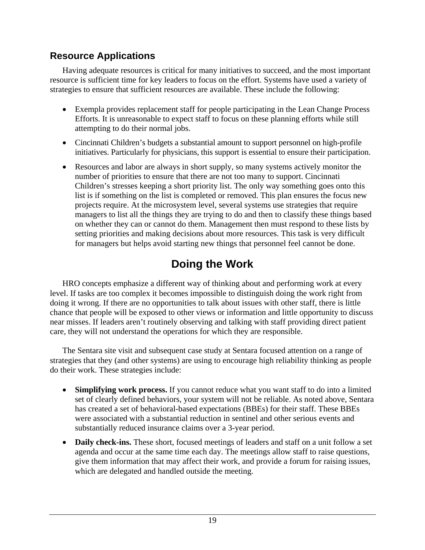### <span id="page-25-0"></span>**Resource Applications**

 Having adequate resources is critical for many initiatives to succeed, and the most important resource is sufficient time for key leaders to focus on the effort. Systems have used a variety of strategies to ensure that sufficient resources are available. These include the following:

- Exempla provides replacement staff for people participating in the Lean Change Process Efforts. It is unreasonable to expect staff to focus on these planning efforts while still attempting to do their normal jobs.
- Cincinnati Children's budgets a substantial amount to support personnel on high-profile initiatives. Particularly for physicians, this support is essential to ensure their participation.
- Resources and labor are always in short supply, so many systems actively monitor the number of priorities to ensure that there are not too many to support. Cincinnati Children's stresses keeping a short priority list. The only way something goes onto this list is if something on the list is completed or removed. This plan ensures the focus new projects require. At the microsystem level, several systems use strategies that require managers to list all the things they are trying to do and then to classify these things based on whether they can or cannot do them. Management then must respond to these lists by setting priorities and making decisions about more resources. This task is very difficult for managers but helps avoid starting new things that personnel feel cannot be done.

# **Doing the Work**

 HRO concepts emphasize a different way of thinking about and performing work at every level. If tasks are too complex it becomes impossible to distinguish doing the work right from doing it wrong. If there are no opportunities to talk about issues with other staff, there is little chance that people will be exposed to other views or information and little opportunity to discuss near misses. If leaders aren't routinely observing and talking with staff providing direct patient care, they will not understand the operations for which they are responsible.

 The Sentara site visit and subsequent case study at Sentara focused attention on a range of strategies that they (and other systems) are using to encourage high reliability thinking as people do their work. These strategies include:

- **Simplifying work process.** If you cannot reduce what you want staff to do into a limited set of clearly defined behaviors, your system will not be reliable. As noted above, Sentara has created a set of behavioral-based expectations (BBEs) for their staff. These BBEs were associated with a substantial reduction in sentinel and other serious events and substantially reduced insurance claims over a 3-year period.
- **Daily check-ins.** These short, focused meetings of leaders and staff on a unit follow a set agenda and occur at the same time each day. The meetings allow staff to raise questions, give them information that may affect their work, and provide a forum for raising issues, which are delegated and handled outside the meeting.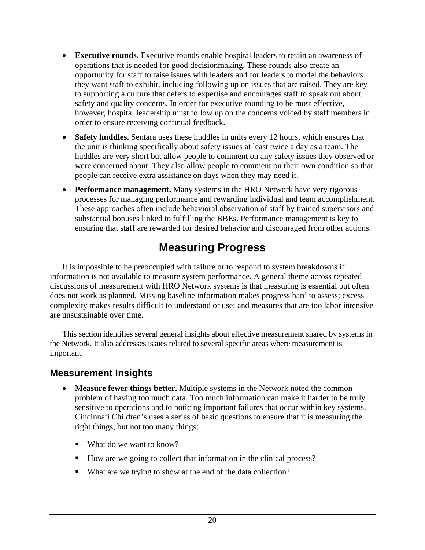- <span id="page-26-0"></span>• **Executive rounds.** Executive rounds enable hospital leaders to retain an awareness of operations that is needed for good decisionmaking. These rounds also create an opportunity for staff to raise issues with leaders and for leaders to model the behaviors they want staff to exhibit, including following up on issues that are raised. They are key to supporting a culture that defers to expertise and encourages staff to speak out about safety and quality concerns. In order for executive rounding to be most effective, however, hospital leadership must follow up on the concerns voiced by staff members in order to ensure receiving continual feedback.
- **Safety huddles.** Sentara uses these huddles in units every 12 hours, which ensures that the unit is thinking specifically about safety issues at least twice a day as a team. The huddles are very short but allow people to comment on any safety issues they observed or were concerned about. They also allow people to comment on their own condition so that people can receive extra assistance on days when they may need it.
- **Performance management.** Many systems in the HRO Network have very rigorous processes for managing performance and rewarding individual and team accomplishment. These approaches often include behavioral observation of staff by trained supervisors and substantial bonuses linked to fulfilling the BBEs. Performance management is key to ensuring that staff are rewarded for desired behavior and discouraged from other actions.

# **Measuring Progress**

 It is impossible to be preoccupied with failure or to respond to system breakdowns if information is not available to measure system performance. A general theme across repeated discussions of measurement with HRO Network systems is that measuring is essential but often does not work as planned. Missing baseline information makes progress hard to assess; excess complexity makes results difficult to understand or use; and measures that are too labor intensive are unsustainable over time.

 This section identifies several general insights about effective measurement shared by systems in the Network. It also addresses issues related to several specific areas where measurement is important.

#### **Measurement Insights**

- **Measure fewer things better.** Multiple systems in the Network noted the common problem of having too much data. Too much information can make it harder to be truly sensitive to operations and to noticing important failures that occur within key systems. Cincinnati Children's uses a series of basic questions to ensure that it is measuring the right things, but not too many things:
	- What do we want to know?
	- How are we going to collect that information in the clinical process?
	- What are we trying to show at the end of the data collection?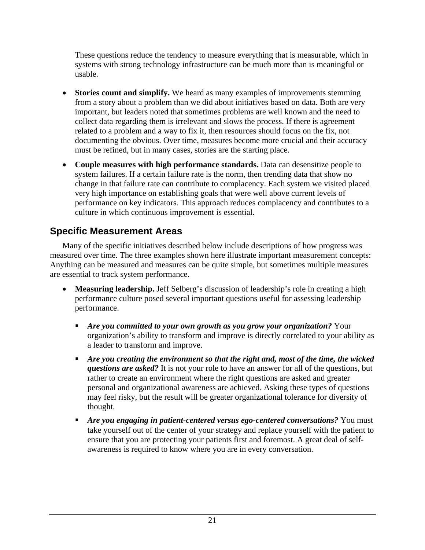<span id="page-27-0"></span>These questions reduce the tendency to measure everything that is measurable, which in systems with strong technology infrastructure can be much more than is meaningful or usable.

- **Stories count and simplify.** We heard as many examples of improvements stemming from a story about a problem than we did about initiatives based on data. Both are very important, but leaders noted that sometimes problems are well known and the need to collect data regarding them is irrelevant and slows the process. If there is agreement related to a problem and a way to fix it, then resources should focus on the fix, not documenting the obvious. Over time, measures become more crucial and their accuracy must be refined, but in many cases, stories are the starting place.
- **Couple measures with high performance standards.** Data can desensitize people to system failures. If a certain failure rate is the norm, then trending data that show no change in that failure rate can contribute to complacency. Each system we visited placed very high importance on establishing goals that were well above current levels of performance on key indicators. This approach reduces complacency and contributes to a culture in which continuous improvement is essential.

### **Specific Measurement Areas**

 Many of the specific initiatives described below include descriptions of how progress was measured over time. The three examples shown here illustrate important measurement concepts: Anything can be measured and measures can be quite simple, but sometimes multiple measures are essential to track system performance.

- Measuring leadership. Jeff Selberg's discussion of leadership's role in creating a high performance culture posed several important questions useful for assessing leadership performance.
	- *Are you committed to your own growth as you grow your organization?* Your organization's ability to transform and improve is directly correlated to your ability as a leader to transform and improve.
	- *Are you creating the environment so that the right and, most of the time, the wicked questions are asked?* It is not your role to have an answer for all of the questions, but rather to create an environment where the right questions are asked and greater personal and organizational awareness are achieved. Asking these types of questions may feel risky, but the result will be greater organizational tolerance for diversity of thought.
	- *Are you engaging in patient-centered versus ego-centered conversations?* You must take yourself out of the center of your strategy and replace yourself with the patient to ensure that you are protecting your patients first and foremost. A great deal of selfawareness is required to know where you are in every conversation.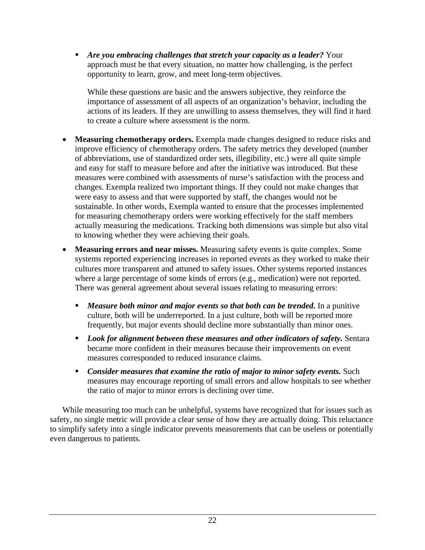*Are you embracing challenges that stretch your capacity as a leader?* Your approach must be that every situation, no matter how challenging, is the perfect opportunity to learn, grow, and meet long-term objectives.

While these questions are basic and the answers subjective, they reinforce the importance of assessment of all aspects of an organization's behavior, including the actions of its leaders. If they are unwilling to assess themselves, they will find it hard to create a culture where assessment is the norm.

- **Measuring chemotherapy orders.** Exempla made changes designed to reduce risks and improve efficiency of chemotherapy orders. The safety metrics they developed (number of abbreviations, use of standardized order sets, illegibility, etc.) were all quite simple and easy for staff to measure before and after the initiative was introduced. But these measures were combined with assessments of nurse's satisfaction with the process and changes. Exempla realized two important things. If they could not make changes that were easy to assess and that were supported by staff, the changes would not be sustainable. In other words, Exempla wanted to ensure that the processes implemented for measuring chemotherapy orders were working effectively for the staff members actually measuring the medications. Tracking both dimensions was simple but also vital to knowing whether they were achieving their goals.
- **Measuring errors and near misses.** Measuring safety events is quite complex. Some systems reported experiencing increases in reported events as they worked to make their cultures more transparent and attuned to safety issues. Other systems reported instances where a large percentage of some kinds of errors (e.g., medication) were not reported. There was general agreement about several issues relating to measuring errors:
	- *Measure both minor and major events so that both can be trended***.** In a punitive culture, both will be underreported. In a just culture, both will be reported more frequently, but major events should decline more substantially than minor ones.
	- **Look for alignment between these measures and other indicators of safety.** Sentara became more confident in their measures because their improvements on event measures corresponded to reduced insurance claims.
	- **Consider measures that examine the ratio of major to minor safety events.** Such measures may encourage reporting of small errors and allow hospitals to see whether the ratio of major to minor errors is declining over time.

While measuring too much can be unhelpful, systems have recognized that for issues such as safety, no single metric will provide a clear sense of how they are actually doing. This reluctance to simplify safety into a single indicator prevents measurements that can be useless or potentially even dangerous to patients.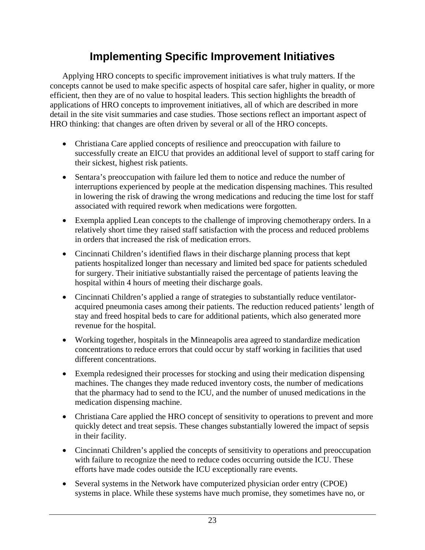## **Implementing Specific Improvement Initiatives**

<span id="page-29-0"></span> Applying HRO concepts to specific improvement initiatives is what truly matters. If the concepts cannot be used to make specific aspects of hospital care safer, higher in quality, or more efficient, then they are of no value to hospital leaders. This section highlights the breadth of applications of HRO concepts to improvement initiatives, all of which are described in more detail in the site visit summaries and case studies. Those sections reflect an important aspect of HRO thinking: that changes are often driven by several or all of the HRO concepts.

- Christiana Care applied concepts of resilience and preoccupation with failure to successfully create an EICU that provides an additional level of support to staff caring for their sickest, highest risk patients.
- Sentara's preoccupation with failure led them to notice and reduce the number of interruptions experienced by people at the medication dispensing machines. This resulted in lowering the risk of drawing the wrong medications and reducing the time lost for staff associated with required rework when medications were forgotten.
- Exempla applied Lean concepts to the challenge of improving chemotherapy orders. In a relatively short time they raised staff satisfaction with the process and reduced problems in orders that increased the risk of medication errors.
- Cincinnati Children's identified flaws in their discharge planning process that kept patients hospitalized longer than necessary and limited bed space for patients scheduled for surgery. Their initiative substantially raised the percentage of patients leaving the hospital within 4 hours of meeting their discharge goals.
- Cincinnati Children's applied a range of strategies to substantially reduce ventilatoracquired pneumonia cases among their patients. The reduction reduced patients' length of stay and freed hospital beds to care for additional patients, which also generated more revenue for the hospital.
- Working together, hospitals in the Minneapolis area agreed to standardize medication concentrations to reduce errors that could occur by staff working in facilities that used different concentrations.
- Exempla redesigned their processes for stocking and using their medication dispensing machines. The changes they made reduced inventory costs, the number of medications that the pharmacy had to send to the ICU, and the number of unused medications in the medication dispensing machine.
- Christiana Care applied the HRO concept of sensitivity to operations to prevent and more quickly detect and treat sepsis. These changes substantially lowered the impact of sepsis in their facility.
- Cincinnati Children's applied the concepts of sensitivity to operations and preoccupation with failure to recognize the need to reduce codes occurring outside the ICU. These efforts have made codes outside the ICU exceptionally rare events.
- Several systems in the Network have computerized physician order entry (CPOE) systems in place. While these systems have much promise, they sometimes have no, or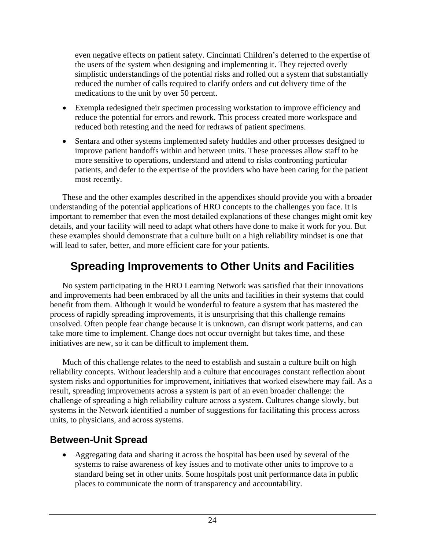<span id="page-30-0"></span>even negative effects on patient safety. Cincinnati Children's deferred to the expertise of the users of the system when designing and implementing it. They rejected overly simplistic understandings of the potential risks and rolled out a system that substantially reduced the number of calls required to clarify orders and cut delivery time of the medications to the unit by over 50 percent.

- Exempla redesigned their specimen processing workstation to improve efficiency and reduce the potential for errors and rework. This process created more workspace and reduced both retesting and the need for redraws of patient specimens.
- Sentara and other systems implemented safety huddles and other processes designed to improve patient handoffs within and between units. These processes allow staff to be more sensitive to operations, understand and attend to risks confronting particular patients, and defer to the expertise of the providers who have been caring for the patient most recently.

 These and the other examples described in the appendixes should provide you with a broader understanding of the potential applications of HRO concepts to the challenges you face. It is important to remember that even the most detailed explanations of these changes might omit key details, and your facility will need to adapt what others have done to make it work for you. But these examples should demonstrate that a culture built on a high reliability mindset is one that will lead to safer, better, and more efficient care for your patients.

# **Spreading Improvements to Other Units and Facilities**

 No system participating in the HRO Learning Network was satisfied that their innovations and improvements had been embraced by all the units and facilities in their systems that could benefit from them. Although it would be wonderful to feature a system that has mastered the process of rapidly spreading improvements, it is unsurprising that this challenge remains unsolved. Often people fear change because it is unknown, can disrupt work patterns, and can take more time to implement. Change does not occur overnight but takes time, and these initiatives are new, so it can be difficult to implement them.

 Much of this challenge relates to the need to establish and sustain a culture built on high reliability concepts. Without leadership and a culture that encourages constant reflection about system risks and opportunities for improvement, initiatives that worked elsewhere may fail. As a result, spreading improvements across a system is part of an even broader challenge: the challenge of spreading a high reliability culture across a system. Cultures change slowly, but systems in the Network identified a number of suggestions for facilitating this process across units, to physicians, and across systems.

#### **Between-Unit Spread**

• Aggregating data and sharing it across the hospital has been used by several of the systems to raise awareness of key issues and to motivate other units to improve to a standard being set in other units. Some hospitals post unit performance data in public places to communicate the norm of transparency and accountability.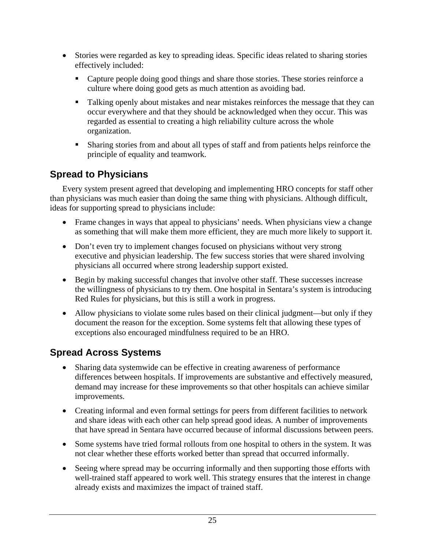- <span id="page-31-0"></span>• Stories were regarded as key to spreading ideas. Specific ideas related to sharing stories effectively included:
	- Capture people doing good things and share those stories. These stories reinforce a culture where doing good gets as much attention as avoiding bad.
	- Talking openly about mistakes and near mistakes reinforces the message that they can occur everywhere and that they should be acknowledged when they occur. This was regarded as essential to creating a high reliability culture across the whole organization.
	- Sharing stories from and about all types of staff and from patients helps reinforce the principle of equality and teamwork.

### **Spread to Physicians**

 Every system present agreed that developing and implementing HRO concepts for staff other than physicians was much easier than doing the same thing with physicians. Although difficult, ideas for supporting spread to physicians include:

- Frame changes in ways that appeal to physicians' needs. When physicians view a change as something that will make them more efficient, they are much more likely to support it.
- Don't even try to implement changes focused on physicians without very strong executive and physician leadership. The few success stories that were shared involving physicians all occurred where strong leadership support existed.
- Begin by making successful changes that involve other staff. These successes increase the willingness of physicians to try them. One hospital in Sentara's system is introducing Red Rules for physicians, but this is still a work in progress.
- Allow physicians to violate some rules based on their clinical judgment—but only if they document the reason for the exception. Some systems felt that allowing these types of exceptions also encouraged mindfulness required to be an HRO.

### **Spread Across Systems**

- Sharing data systemwide can be effective in creating awareness of performance differences between hospitals. If improvements are substantive and effectively measured, demand may increase for these improvements so that other hospitals can achieve similar improvements.
- Creating informal and even formal settings for peers from different facilities to network and share ideas with each other can help spread good ideas. A number of improvements that have spread in Sentara have occurred because of informal discussions between peers.
- Some systems have tried formal rollouts from one hospital to others in the system. It was not clear whether these efforts worked better than spread that occurred informally.
- Seeing where spread may be occurring informally and then supporting those efforts with well-trained staff appeared to work well. This strategy ensures that the interest in change already exists and maximizes the impact of trained staff.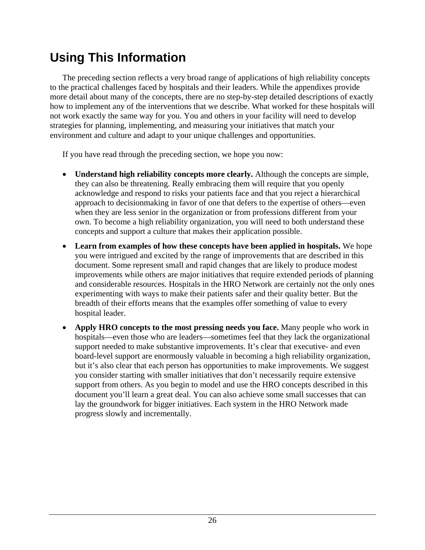# <span id="page-32-0"></span>**Using This Information**

 The preceding section reflects a very broad range of applications of high reliability concepts to the practical challenges faced by hospitals and their leaders. While the appendixes provide more detail about many of the concepts, there are no step-by-step detailed descriptions of exactly how to implement any of the interventions that we describe. What worked for these hospitals will not work exactly the same way for you. You and others in your facility will need to develop strategies for planning, implementing, and measuring your initiatives that match your environment and culture and adapt to your unique challenges and opportunities.

If you have read through the preceding section, we hope you now:

- **Understand high reliability concepts more clearly.** Although the concepts are simple, they can also be threatening. Really embracing them will require that you openly acknowledge and respond to risks your patients face and that you reject a hierarchical approach to decisionmaking in favor of one that defers to the expertise of others—even when they are less senior in the organization or from professions different from your own. To become a high reliability organization, you will need to both understand these concepts and support a culture that makes their application possible.
- **Learn from examples of how these concepts have been applied in hospitals.** We hope you were intrigued and excited by the range of improvements that are described in this document. Some represent small and rapid changes that are likely to produce modest improvements while others are major initiatives that require extended periods of planning and considerable resources. Hospitals in the HRO Network are certainly not the only ones experimenting with ways to make their patients safer and their quality better. But the breadth of their efforts means that the examples offer something of value to every hospital leader.
- **Apply HRO concepts to the most pressing needs you face.** Many people who work in hospitals—even those who are leaders—sometimes feel that they lack the organizational support needed to make substantive improvements. It's clear that executive- and even board-level support are enormously valuable in becoming a high reliability organization, but it's also clear that each person has opportunities to make improvements. We suggest you consider starting with smaller initiatives that don't necessarily require extensive support from others. As you begin to model and use the HRO concepts described in this document you'll learn a great deal. You can also achieve some small successes that can lay the groundwork for bigger initiatives. Each system in the HRO Network made progress slowly and incrementally.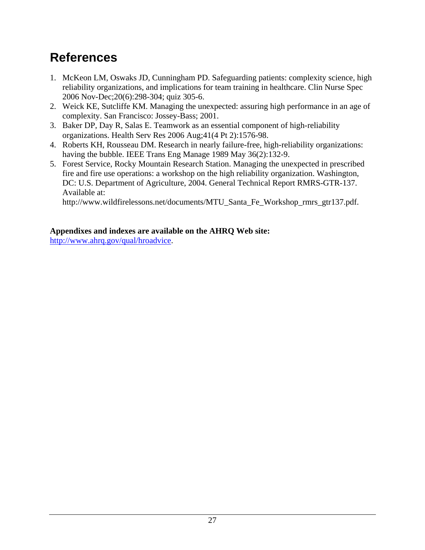# <span id="page-33-0"></span>**References**

- 1. McKeon LM, Oswaks JD, Cunningham PD. Safeguarding patients: complexity science, high reliability organizations, and implications for team training in healthcare. Clin Nurse Spec 2006 Nov-Dec;20(6):298-304; quiz 305-6.
- 2. Weick KE, Sutcliffe KM. Managing the unexpected: assuring high performance in an age of complexity. San Francisco: Jossey-Bass; 2001.
- 3. Baker DP, Day R, Salas E. Teamwork as an essential component of high-reliability organizations. Health Serv Res 2006 Aug;41(4 Pt 2):1576-98.
- 4. Roberts KH, Rousseau DM. Research in nearly failure-free, high-reliability organizations: having the bubble. IEEE Trans Eng Manage 1989 May 36(2):132-9.
- 5. Forest Service, Rocky Mountain Research Station. Managing the unexpected in prescribed fire and fire use operations: a workshop on the high reliability organization. Washington, DC: U.S. Department of Agriculture, 2004. General Technical Report RMRS-GTR-137. Available at:

http://www.wildfirelessons.net/documents/MTU\_Santa\_Fe\_Workshop\_rmrs\_gtr137.pdf.

#### **Appendixes and indexes are available on the AHRQ Web site:**

http://www.ahrq.gov/qual/hroadvice.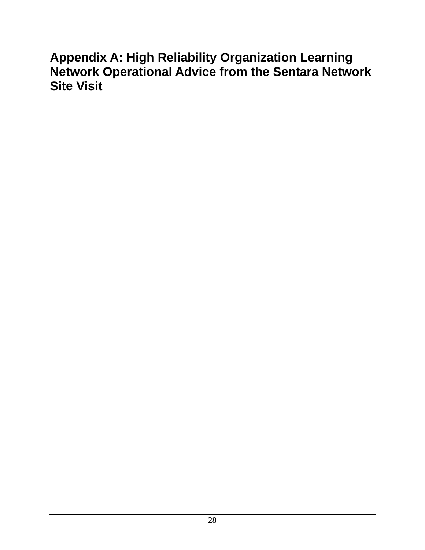# <span id="page-34-0"></span>**Appendix A: High Reliability Organization Learning Network Operational Advice from the Sentara Network Site Visit**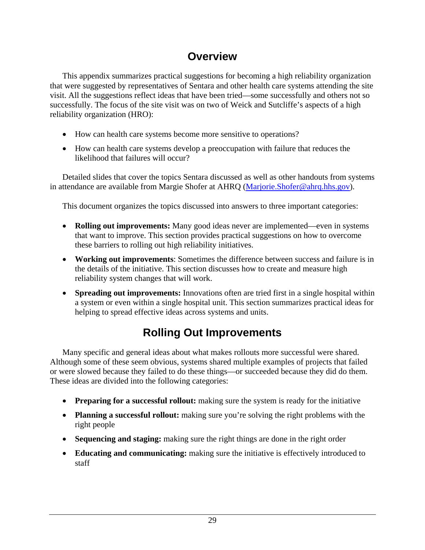## **Overview**

<span id="page-35-0"></span> This appendix summarizes practical suggestions for becoming a high reliability organization that were suggested by representatives of Sentara and other health care systems attending the site visit. All the suggestions reflect ideas that have been tried—some successfully and others not so successfully. The focus of the site visit was on two of Weick and Sutcliffe's aspects of a high reliability organization (HRO):

- How can health care systems become more sensitive to operations?
- How can health care systems develop a preoccupation with failure that reduces the likelihood that failures will occur?

 Detailed slides that cover the topics Sentara discussed as well as other handouts from systems in attendance are available from Margie Shofer at AHRQ [\(Marjorie.Shofer@ahrq.hhs.gov](mailto:Marjorie.Shofer@ahrq.hhs.gov)).

This document organizes the topics discussed into answers to three important categories:

- **Rolling out improvements:** Many good ideas never are implemented—even in systems that want to improve. This section provides practical suggestions on how to overcome these barriers to rolling out high reliability initiatives.
- **Working out improvements**: Sometimes the difference between success and failure is in the details of the initiative. This section discusses how to create and measure high reliability system changes that will work.
- **Spreading out improvements:** Innovations often are tried first in a single hospital within a system or even within a single hospital unit. This section summarizes practical ideas for helping to spread effective ideas across systems and units.

# **Rolling Out Improvements**

 Many specific and general ideas about what makes rollouts more successful were shared. Although some of these seem obvious, systems shared multiple examples of projects that failed or were slowed because they failed to do these things—or succeeded because they did do them. These ideas are divided into the following categories:

- **Preparing for a successful rollout:** making sure the system is ready for the initiative
- **Planning a successful rollout:** making sure you're solving the right problems with the right people
- **Sequencing and staging:** making sure the right things are done in the right order
- **Educating and communicating:** making sure the initiative is effectively introduced to staff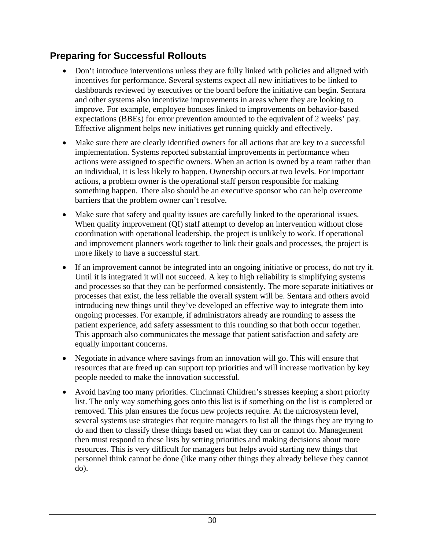## **Preparing for Successful Rollouts**

- Don't introduce interventions unless they are fully linked with policies and aligned with incentives for performance. Several systems expect all new initiatives to be linked to dashboards reviewed by executives or the board before the initiative can begin. Sentara and other systems also incentivize improvements in areas where they are looking to improve. For example, employee bonuses linked to improvements on behavior-based expectations (BBEs) for error prevention amounted to the equivalent of 2 weeks' pay. Effective alignment helps new initiatives get running quickly and effectively.
- Make sure there are clearly identified owners for all actions that are key to a successful implementation. Systems reported substantial improvements in performance when actions were assigned to specific owners. When an action is owned by a team rather than an individual, it is less likely to happen. Ownership occurs at two levels. For important actions, a problem owner is the operational staff person responsible for making something happen. There also should be an executive sponsor who can help overcome barriers that the problem owner can't resolve.
- Make sure that safety and quality issues are carefully linked to the operational issues. When quality improvement (QI) staff attempt to develop an intervention without close coordination with operational leadership, the project is unlikely to work. If operational and improvement planners work together to link their goals and processes, the project is more likely to have a successful start.
- If an improvement cannot be integrated into an ongoing initiative or process, do not try it. Until it is integrated it will not succeed. A key to high reliability is simplifying systems and processes so that they can be performed consistently. The more separate initiatives or processes that exist, the less reliable the overall system will be. Sentara and others avoid introducing new things until they've developed an effective way to integrate them into ongoing processes. For example, if administrators already are rounding to assess the patient experience, add safety assessment to this rounding so that both occur together. This approach also communicates the message that patient satisfaction and safety are equally important concerns.
- Negotiate in advance where savings from an innovation will go. This will ensure that resources that are freed up can support top priorities and will increase motivation by key people needed to make the innovation successful.
- Avoid having too many priorities. Cincinnati Children's stresses keeping a short priority list. The only way something goes onto this list is if something on the list is completed or removed. This plan ensures the focus new projects require. At the microsystem level, several systems use strategies that require managers to list all the things they are trying to do and then to classify these things based on what they can or cannot do. Management then must respond to these lists by setting priorities and making decisions about more resources. This is very difficult for managers but helps avoid starting new things that personnel think cannot be done (like many other things they already believe they cannot do).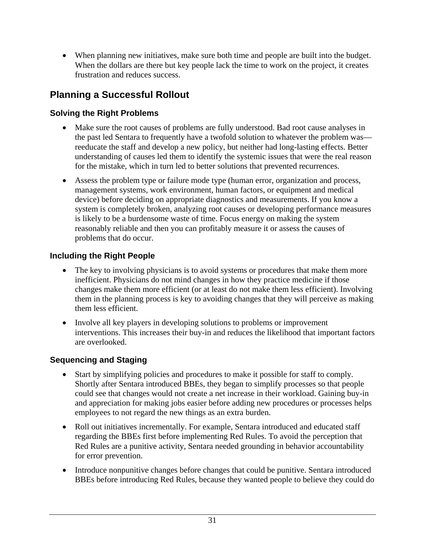• When planning new initiatives, make sure both time and people are built into the budget. When the dollars are there but key people lack the time to work on the project, it creates frustration and reduces success.

# **Planning a Successful Rollout**

### **Solving the Right Problems**

- Make sure the root causes of problems are fully understood. Bad root cause analyses in the past led Sentara to frequently have a twofold solution to whatever the problem was reeducate the staff and develop a new policy, but neither had long-lasting effects. Better understanding of causes led them to identify the systemic issues that were the real reason for the mistake, which in turn led to better solutions that prevented recurrences.
- Assess the problem type or failure mode type (human error, organization and process, management systems, work environment, human factors, or equipment and medical device) before deciding on appropriate diagnostics and measurements. If you know a system is completely broken, analyzing root causes or developing performance measures is likely to be a burdensome waste of time. Focus energy on making the system reasonably reliable and then you can profitably measure it or assess the causes of problems that do occur.

### **Including the Right People**

- The key to involving physicians is to avoid systems or procedures that make them more inefficient. Physicians do not mind changes in how they practice medicine if those changes make them more efficient (or at least do not make them less efficient). Involving them in the planning process is key to avoiding changes that they will perceive as making them less efficient.
- Involve all key players in developing solutions to problems or improvement interventions. This increases their buy-in and reduces the likelihood that important factors are overlooked.

### **Sequencing and Staging**

- Start by simplifying policies and procedures to make it possible for staff to comply. Shortly after Sentara introduced BBEs, they began to simplify processes so that people could see that changes would not create a net increase in their workload. Gaining buy-in and appreciation for making jobs easier before adding new procedures or processes helps employees to not regard the new things as an extra burden.
- Roll out initiatives incrementally. For example, Sentara introduced and educated staff regarding the BBEs first before implementing Red Rules. To avoid the perception that Red Rules are a punitive activity, Sentara needed grounding in behavior accountability for error prevention.
- Introduce nonpunitive changes before changes that could be punitive. Sentara introduced BBEs before introducing Red Rules, because they wanted people to believe they could do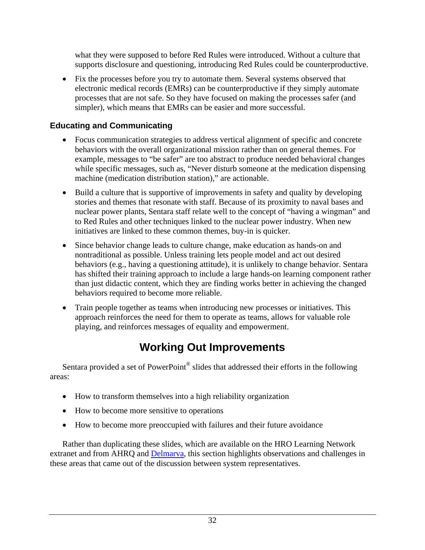what they were supposed to before Red Rules were introduced. Without a culture that supports disclosure and questioning, introducing Red Rules could be counterproductive.

• Fix the processes before you try to automate them. Several systems observed that electronic medical records (EMRs) can be counterproductive if they simply automate processes that are not safe. So they have focused on making the processes safer (and simpler), which means that EMRs can be easier and more successful.

### **Educating and Communicating**

- Focus communication strategies to address vertical alignment of specific and concrete behaviors with the overall organizational mission rather than on general themes. For example, messages to "be safer" are too abstract to produce needed behavioral changes while specific messages, such as, "Never disturb someone at the medication dispensing machine (medication distribution station)," are actionable.
- Build a culture that is supportive of improvements in safety and quality by developing stories and themes that resonate with staff. Because of its proximity to naval bases and nuclear power plants, Sentara staff relate well to the concept of "having a wingman" and to Red Rules and other techniques linked to the nuclear power industry. When new initiatives are linked to these common themes, buy-in is quicker.
- Since behavior change leads to culture change, make education as hands-on and nontraditional as possible. Unless training lets people model and act out desired behaviors (e.g., having a questioning attitude), it is unlikely to change behavior. Sentara has shifted their training approach to include a large hands-on learning component rather than just didactic content, which they are finding works better in achieving the changed behaviors required to become more reliable.
- Train people together as teams when introducing new processes or initiatives. This approach reinforces the need for them to operate as teams, allows for valuable role playing, and reinforces messages of equality and empowerment.

# **Working Out Improvements**

 Sentara provided a set of PowerPoint® slides that addressed their efforts in the following areas:

- How to transform themselves into a high reliability organization
- How to become more sensitive to operations
- How to become more preoccupied with failures and their future avoidance

 Rather than duplicating these slides, which are available on the HRO Learning Network extranet and from AHRQ and [Delmarva,](http://www.delmarvafoundation.org/) this section highlights observations and challenges in these areas that came out of the discussion between system representatives.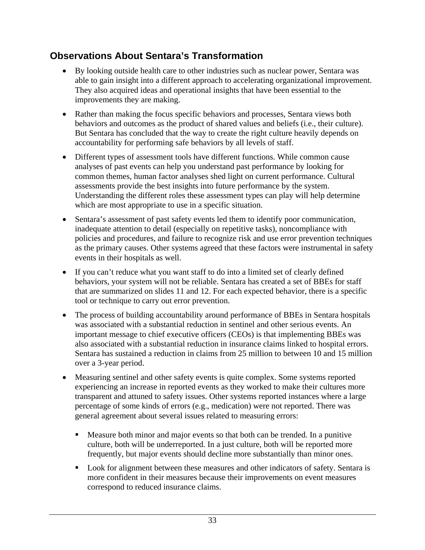## **Observations About Sentara's Transformation**

- By looking outside health care to other industries such as nuclear power, Sentara was able to gain insight into a different approach to accelerating organizational improvement. They also acquired ideas and operational insights that have been essential to the improvements they are making.
- Rather than making the focus specific behaviors and processes, Sentara views both behaviors and outcomes as the product of shared values and beliefs (i.e., their culture). But Sentara has concluded that the way to create the right culture heavily depends on accountability for performing safe behaviors by all levels of staff.
- Different types of assessment tools have different functions. While common cause analyses of past events can help you understand past performance by looking for common themes, human factor analyses shed light on current performance. Cultural assessments provide the best insights into future performance by the system. Understanding the different roles these assessment types can play will help determine which are most appropriate to use in a specific situation.
- Sentara's assessment of past safety events led them to identify poor communication, inadequate attention to detail (especially on repetitive tasks), noncompliance with policies and procedures, and failure to recognize risk and use error prevention techniques as the primary causes. Other systems agreed that these factors were instrumental in safety events in their hospitals as well.
- If you can't reduce what you want staff to do into a limited set of clearly defined behaviors, your system will not be reliable. Sentara has created a set of BBEs for staff that are summarized on slides 11 and 12. For each expected behavior, there is a specific tool or technique to carry out error prevention.
- The process of building accountability around performance of BBEs in Sentara hospitals was associated with a substantial reduction in sentinel and other serious events. An important message to chief executive officers (CEOs) is that implementing BBEs was also associated with a substantial reduction in insurance claims linked to hospital errors. Sentara has sustained a reduction in claims from 25 million to between 10 and 15 million over a 3-year period.
- Measuring sentinel and other safety events is quite complex. Some systems reported experiencing an increase in reported events as they worked to make their cultures more transparent and attuned to safety issues. Other systems reported instances where a large percentage of some kinds of errors (e.g., medication) were not reported. There was general agreement about several issues related to measuring errors:
	- Measure both minor and major events so that both can be trended. In a punitive culture, both will be underreported. In a just culture, both will be reported more frequently, but major events should decline more substantially than minor ones.
	- **Look for alignment between these measures and other indicators of safety. Sentara is** more confident in their measures because their improvements on event measures correspond to reduced insurance claims.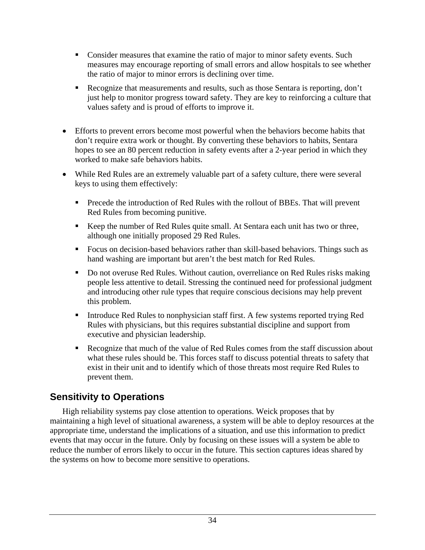- **Consider measures that examine the ratio of major to minor safety events. Such** measures may encourage reporting of small errors and allow hospitals to see whether the ratio of major to minor errors is declining over time.
- Recognize that measurements and results, such as those Sentara is reporting, don't just help to monitor progress toward safety. They are key to reinforcing a culture that values safety and is proud of efforts to improve it.
- Efforts to prevent errors become most powerful when the behaviors become habits that don't require extra work or thought. By converting these behaviors to habits, Sentara hopes to see an 80 percent reduction in safety events after a 2-year period in which they worked to make safe behaviors habits.
- While Red Rules are an extremely valuable part of a safety culture, there were several keys to using them effectively:
	- **Precede the introduction of Red Rules with the rollout of BBEs. That will prevent** Red Rules from becoming punitive.
	- Keep the number of Red Rules quite small. At Sentara each unit has two or three, although one initially proposed 29 Red Rules.
	- Focus on decision-based behaviors rather than skill-based behaviors. Things such as hand washing are important but aren't the best match for Red Rules.
	- Do not overuse Red Rules. Without caution, overreliance on Red Rules risks making people less attentive to detail. Stressing the continued need for professional judgment and introducing other rule types that require conscious decisions may help prevent this problem.
	- Introduce Red Rules to nonphysician staff first. A few systems reported trying Red Rules with physicians, but this requires substantial discipline and support from executive and physician leadership.
	- Recognize that much of the value of Red Rules comes from the staff discussion about what these rules should be. This forces staff to discuss potential threats to safety that exist in their unit and to identify which of those threats most require Red Rules to prevent them.

### **Sensitivity to Operations**

 High reliability systems pay close attention to operations. Weick proposes that by maintaining a high level of situational awareness, a system will be able to deploy resources at the appropriate time, understand the implications of a situation, and use this information to predict events that may occur in the future. Only by focusing on these issues will a system be able to reduce the number of errors likely to occur in the future. This section captures ideas shared by the systems on how to become more sensitive to operations.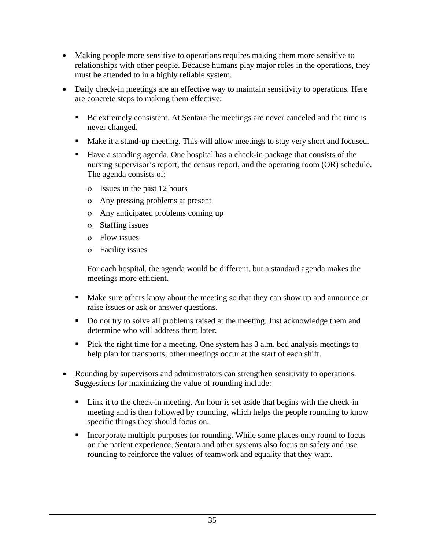- Making people more sensitive to operations requires making them more sensitive to relationships with other people. Because humans play major roles in the operations, they must be attended to in a highly reliable system.
- Daily check-in meetings are an effective way to maintain sensitivity to operations. Here are concrete steps to making them effective:
	- Be extremely consistent. At Sentara the meetings are never canceled and the time is never changed.
	- Make it a stand-up meeting. This will allow meetings to stay very short and focused.
	- Have a standing agenda. One hospital has a check-in package that consists of the nursing supervisor's report, the census report, and the operating room (OR) schedule. The agenda consists of:
		- ο Issues in the past 12 hours
		- ο Any pressing problems at present
		- ο Any anticipated problems coming up
		- ο Staffing issues
		- ο Flow issues
		- ο Facility issues

For each hospital, the agenda would be different, but a standard agenda makes the meetings more efficient.

- Make sure others know about the meeting so that they can show up and announce or raise issues or ask or answer questions.
- Do not try to solve all problems raised at the meeting. Just acknowledge them and determine who will address them later.
- Pick the right time for a meeting. One system has 3 a.m. bed analysis meetings to help plan for transports; other meetings occur at the start of each shift.
- Rounding by supervisors and administrators can strengthen sensitivity to operations. Suggestions for maximizing the value of rounding include:
	- Link it to the check-in meeting. An hour is set aside that begins with the check-in meeting and is then followed by rounding, which helps the people rounding to know specific things they should focus on.
	- **Incorporate multiple purposes for rounding. While some places only round to focus** on the patient experience, Sentara and other systems also focus on safety and use rounding to reinforce the values of teamwork and equality that they want.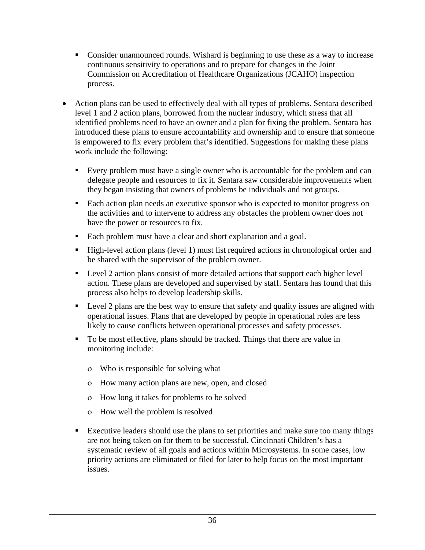- Consider unannounced rounds. Wishard is beginning to use these as a way to increase continuous sensitivity to operations and to prepare for changes in the Joint Commission on Accreditation of Healthcare Organizations (JCAHO) inspection process.
- Action plans can be used to effectively deal with all types of problems. Sentara described level 1 and 2 action plans, borrowed from the nuclear industry, which stress that all identified problems need to have an owner and a plan for fixing the problem. Sentara has introduced these plans to ensure accountability and ownership and to ensure that someone is empowered to fix every problem that's identified. Suggestions for making these plans work include the following:
	- Every problem must have a single owner who is accountable for the problem and can delegate people and resources to fix it. Sentara saw considerable improvements when they began insisting that owners of problems be individuals and not groups.
	- Each action plan needs an executive sponsor who is expected to monitor progress on the activities and to intervene to address any obstacles the problem owner does not have the power or resources to fix.
	- Each problem must have a clear and short explanation and a goal.
	- High-level action plans (level 1) must list required actions in chronological order and be shared with the supervisor of the problem owner.
	- **Level 2 action plans consist of more detailed actions that support each higher level** action. These plans are developed and supervised by staff. Sentara has found that this process also helps to develop leadership skills.
	- **Level 2 plans are the best way to ensure that safety and quality issues are aligned with** operational issues. Plans that are developed by people in operational roles are less likely to cause conflicts between operational processes and safety processes.
	- To be most effective, plans should be tracked. Things that there are value in monitoring include:
		- ο Who is responsible for solving what
		- ο How many action plans are new, open, and closed
		- ο How long it takes for problems to be solved
		- ο How well the problem is resolved
	- Executive leaders should use the plans to set priorities and make sure too many things are not being taken on for them to be successful. Cincinnati Children's has a systematic review of all goals and actions within Microsystems. In some cases, low priority actions are eliminated or filed for later to help focus on the most important issues.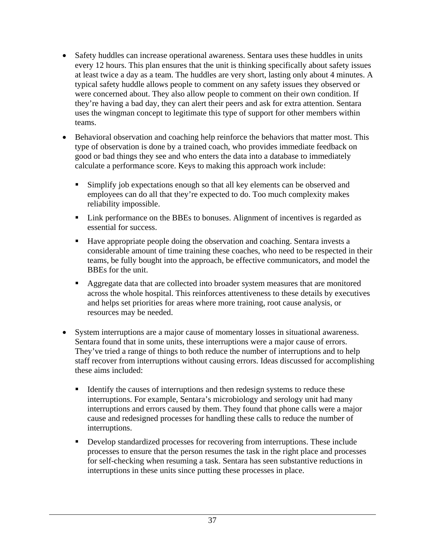- Safety huddles can increase operational awareness. Sentara uses these huddles in units every 12 hours. This plan ensures that the unit is thinking specifically about safety issues at least twice a day as a team. The huddles are very short, lasting only about 4 minutes. A typical safety huddle allows people to comment on any safety issues they observed or were concerned about. They also allow people to comment on their own condition. If they're having a bad day, they can alert their peers and ask for extra attention. Sentara uses the wingman concept to legitimate this type of support for other members within teams.
- Behavioral observation and coaching help reinforce the behaviors that matter most. This type of observation is done by a trained coach, who provides immediate feedback on good or bad things they see and who enters the data into a database to immediately calculate a performance score. Keys to making this approach work include:
	- Simplify job expectations enough so that all key elements can be observed and employees can do all that they're expected to do. Too much complexity makes reliability impossible.
	- Link performance on the BBEs to bonuses. Alignment of incentives is regarded as essential for success.
	- Have appropriate people doing the observation and coaching. Sentara invests a considerable amount of time training these coaches, who need to be respected in their teams, be fully bought into the approach, be effective communicators, and model the BBEs for the unit.
	- Aggregate data that are collected into broader system measures that are monitored across the whole hospital. This reinforces attentiveness to these details by executives and helps set priorities for areas where more training, root cause analysis, or resources may be needed.
- System interruptions are a major cause of momentary losses in situational awareness. Sentara found that in some units, these interruptions were a major cause of errors. They've tried a range of things to both reduce the number of interruptions and to help staff recover from interruptions without causing errors. Ideas discussed for accomplishing these aims included:
	- Identify the causes of interruptions and then redesign systems to reduce these interruptions. For example, Sentara's microbiology and serology unit had many interruptions and errors caused by them. They found that phone calls were a major cause and redesigned processes for handling these calls to reduce the number of interruptions.
	- Develop standardized processes for recovering from interruptions. These include processes to ensure that the person resumes the task in the right place and processes for self-checking when resuming a task. Sentara has seen substantive reductions in interruptions in these units since putting these processes in place.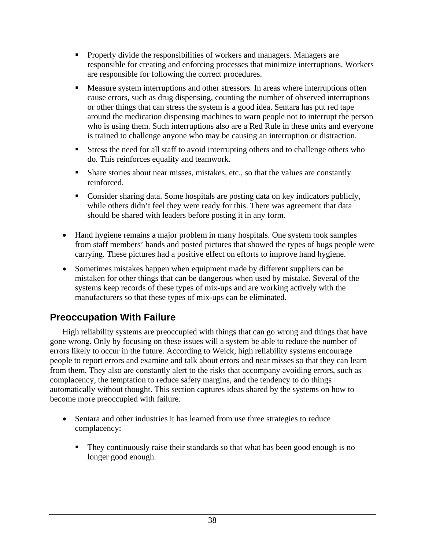- **Properly divide the responsibilities of workers and managers. Managers are** responsible for creating and enforcing processes that minimize interruptions. Workers are responsible for following the correct procedures.
- **Measure system interruptions and other stressors. In areas where interruptions often** cause errors, such as drug dispensing, counting the number of observed interruptions or other things that can stress the system is a good idea. Sentara has put red tape around the medication dispensing machines to warn people not to interrupt the person who is using them. Such interruptions also are a Red Rule in these units and everyone is trained to challenge anyone who may be causing an interruption or distraction.
- Stress the need for all staff to avoid interrupting others and to challenge others who do. This reinforces equality and teamwork.
- Share stories about near misses, mistakes, etc., so that the values are constantly reinforced.
- Consider sharing data. Some hospitals are posting data on key indicators publicly, while others didn't feel they were ready for this. There was agreement that data should be shared with leaders before posting it in any form.
- Hand hygiene remains a major problem in many hospitals. One system took samples from staff members' hands and posted pictures that showed the types of bugs people were carrying. These pictures had a positive effect on efforts to improve hand hygiene.
- Sometimes mistakes happen when equipment made by different suppliers can be mistaken for other things that can be dangerous when used by mistake. Several of the systems keep records of these types of mix-ups and are working actively with the manufacturers so that these types of mix-ups can be eliminated.

## **Preoccupation With Failure**

 High reliability systems are preoccupied with things that can go wrong and things that have gone wrong. Only by focusing on these issues will a system be able to reduce the number of errors likely to occur in the future. According to Weick, high reliability systems encourage people to report errors and examine and talk about errors and near misses so that they can learn from them. They also are constantly alert to the risks that accompany avoiding errors, such as complacency, the temptation to reduce safety margins, and the tendency to do things automatically without thought. This section captures ideas shared by the systems on how to become more preoccupied with failure.

- Sentara and other industries it has learned from use three strategies to reduce complacency:
	- They continuously raise their standards so that what has been good enough is no longer good enough.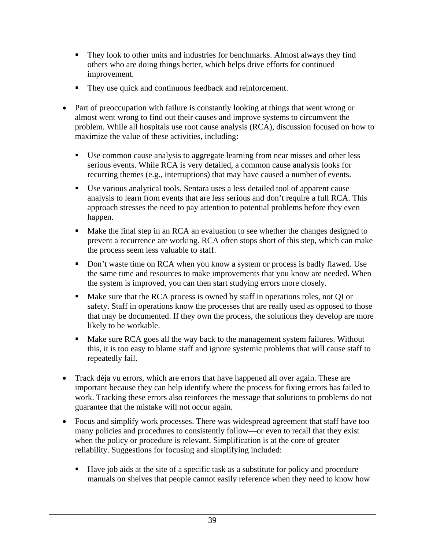- They look to other units and industries for benchmarks. Almost always they find others who are doing things better, which helps drive efforts for continued improvement.
- They use quick and continuous feedback and reinforcement.
- Part of preoccupation with failure is constantly looking at things that went wrong or almost went wrong to find out their causes and improve systems to circumvent the problem. While all hospitals use root cause analysis (RCA), discussion focused on how to maximize the value of these activities, including:
	- Use common cause analysis to aggregate learning from near misses and other less serious events. While RCA is very detailed, a common cause analysis looks for recurring themes (e.g., interruptions) that may have caused a number of events.
	- Use various analytical tools. Sentara uses a less detailed tool of apparent cause analysis to learn from events that are less serious and don't require a full RCA. This approach stresses the need to pay attention to potential problems before they even happen.
	- Make the final step in an RCA an evaluation to see whether the changes designed to prevent a recurrence are working. RCA often stops short of this step, which can make the process seem less valuable to staff.
	- Don't waste time on RCA when you know a system or process is badly flawed. Use the same time and resources to make improvements that you know are needed. When the system is improved, you can then start studying errors more closely.
	- Make sure that the RCA process is owned by staff in operations roles, not QI or safety. Staff in operations know the processes that are really used as opposed to those that may be documented. If they own the process, the solutions they develop are more likely to be workable.
	- Make sure RCA goes all the way back to the management system failures. Without this, it is too easy to blame staff and ignore systemic problems that will cause staff to repeatedly fail.
- Track déja vu errors, which are errors that have happened all over again. These are important because they can help identify where the process for fixing errors has failed to work. Tracking these errors also reinforces the message that solutions to problems do not guarantee that the mistake will not occur again.
- Focus and simplify work processes. There was widespread agreement that staff have too many policies and procedures to consistently follow—or even to recall that they exist when the policy or procedure is relevant. Simplification is at the core of greater reliability. Suggestions for focusing and simplifying included:
	- Have job aids at the site of a specific task as a substitute for policy and procedure manuals on shelves that people cannot easily reference when they need to know how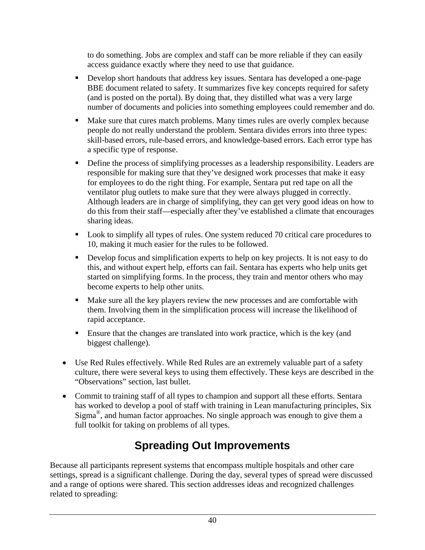to do something. Jobs are complex and staff can be more reliable if they can easily access guidance exactly where they need to use that guidance.

- Develop short handouts that address key issues. Sentara has developed a one-page BBE document related to safety. It summarizes five key concepts required for safety (and is posted on the portal). By doing that, they distilled what was a very large number of documents and policies into something employees could remember and do.
- Make sure that cures match problems. Many times rules are overly complex because people do not really understand the problem. Sentara divides errors into three types: skill-based errors, rule-based errors, and knowledge-based errors. Each error type has a specific type of response.
- Define the process of simplifying processes as a leadership responsibility. Leaders are responsible for making sure that they've designed work processes that make it easy for employees to do the right thing. For example, Sentara put red tape on all the ventilator plug outlets to make sure that they were always plugged in correctly. Although leaders are in charge of simplifying, they can get very good ideas on how to do this from their staff—especially after they've established a climate that encourages sharing ideas.
- Look to simplify all types of rules. One system reduced 70 critical care procedures to 10, making it much easier for the rules to be followed.
- Develop focus and simplification experts to help on key projects. It is not easy to do this, and without expert help, efforts can fail. Sentara has experts who help units get started on simplifying forms. In the process, they train and mentor others who may become experts to help other units.
- Make sure all the key players review the new processes and are comfortable with them. Involving them in the simplification process will increase the likelihood of rapid acceptance.
- Ensure that the changes are translated into work practice, which is the key (and biggest challenge).
- Use Red Rules effectively. While Red Rules are an extremely valuable part of a safety culture, there were several keys to using them effectively. These keys are described in the "Observations" section, last bullet.
- Commit to training staff of all types to champion and support all these efforts. Sentara has worked to develop a pool of staff with training in Lean manufacturing principles, Six Sigma<sup>®</sup>, and human factor approaches. No single approach was enough to give them a full toolkit for taking on problems of all types.

# **Spreading Out Improvements**

Because all participants represent systems that encompass multiple hospitals and other care settings, spread is a significant challenge. During the day, several types of spread were discussed and a range of options were shared. This section addresses ideas and recognized challenges related to spreading: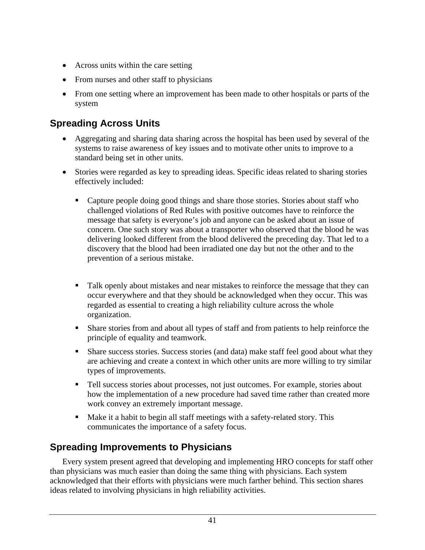- Across units within the care setting
- From nurses and other staff to physicians
- From one setting where an improvement has been made to other hospitals or parts of the system

## **Spreading Across Units**

- Aggregating and sharing data sharing across the hospital has been used by several of the systems to raise awareness of key issues and to motivate other units to improve to a standard being set in other units.
- Stories were regarded as key to spreading ideas. Specific ideas related to sharing stories effectively included:
	- Capture people doing good things and share those stories. Stories about staff who challenged violations of Red Rules with positive outcomes have to reinforce the message that safety is everyone's job and anyone can be asked about an issue of concern. One such story was about a transporter who observed that the blood he was delivering looked different from the blood delivered the preceding day. That led to a discovery that the blood had been irradiated one day but not the other and to the prevention of a serious mistake.
	- Talk openly about mistakes and near mistakes to reinforce the message that they can occur everywhere and that they should be acknowledged when they occur. This was regarded as essential to creating a high reliability culture across the whole organization.
	- **Share stories from and about all types of staff and from patients to help reinforce the** principle of equality and teamwork.
	- **Share success stories. Success stories (and data) make staff feel good about what they** are achieving and create a context in which other units are more willing to try similar types of improvements.
	- Tell success stories about processes, not just outcomes. For example, stories about how the implementation of a new procedure had saved time rather than created more work convey an extremely important message.
	- Make it a habit to begin all staff meetings with a safety-related story. This communicates the importance of a safety focus.

## **Spreading Improvements to Physicians**

 Every system present agreed that developing and implementing HRO concepts for staff other than physicians was much easier than doing the same thing with physicians. Each system acknowledged that their efforts with physicians were much farther behind. This section shares ideas related to involving physicians in high reliability activities.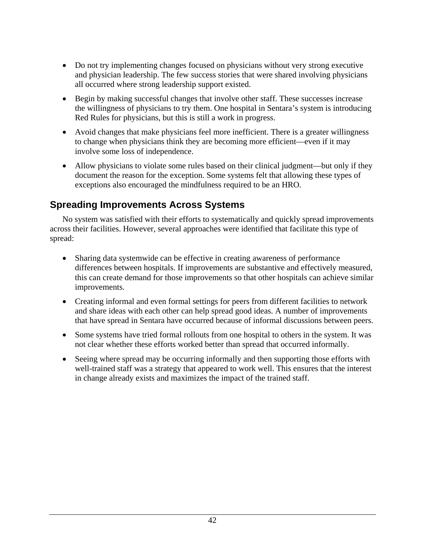- Do not try implementing changes focused on physicians without very strong executive and physician leadership. The few success stories that were shared involving physicians all occurred where strong leadership support existed.
- Begin by making successful changes that involve other staff. These successes increase the willingness of physicians to try them. One hospital in Sentara's system is introducing Red Rules for physicians, but this is still a work in progress.
- Avoid changes that make physicians feel more inefficient. There is a greater willingness to change when physicians think they are becoming more efficient—even if it may involve some loss of independence.
- Allow physicians to violate some rules based on their clinical judgment—but only if they document the reason for the exception. Some systems felt that allowing these types of exceptions also encouraged the mindfulness required to be an HRO.

## **Spreading Improvements Across Systems**

 No system was satisfied with their efforts to systematically and quickly spread improvements across their facilities. However, several approaches were identified that facilitate this type of spread:

- Sharing data systemwide can be effective in creating awareness of performance differences between hospitals. If improvements are substantive and effectively measured, this can create demand for those improvements so that other hospitals can achieve similar improvements.
- Creating informal and even formal settings for peers from different facilities to network and share ideas with each other can help spread good ideas. A number of improvements that have spread in Sentara have occurred because of informal discussions between peers.
- Some systems have tried formal rollouts from one hospital to others in the system. It was not clear whether these efforts worked better than spread that occurred informally.
- Seeing where spread may be occurring informally and then supporting those efforts with well-trained staff was a strategy that appeared to work well. This ensures that the interest in change already exists and maximizes the impact of the trained staff.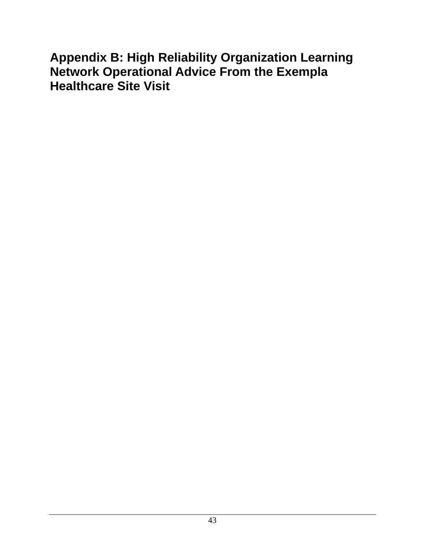# **Appendix B: High Reliability Organization Learning Network Operational Advice From the Exempla Healthcare Site Visit**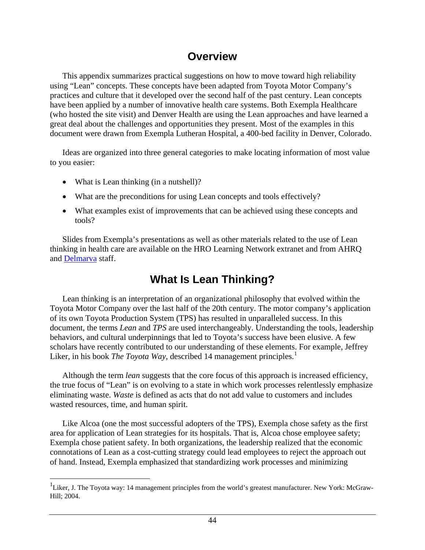## **Overview**

 This appendix summarizes practical suggestions on how to move toward high reliability using "Lean" concepts. These concepts have been adapted from Toyota Motor Company's practices and culture that it developed over the second half of the past century. Lean concepts have been applied by a number of innovative health care systems. Both Exempla Healthcare (who hosted the site visit) and Denver Health are using the Lean approaches and have learned a great deal about the challenges and opportunities they present. Most of the examples in this document were drawn from Exempla Lutheran Hospital, a 400-bed facility in Denver, Colorado.

 Ideas are organized into three general categories to make locating information of most value to you easier:

• What is Lean thinking (in a nutshell)?

1

- What are the preconditions for using Lean concepts and tools effectively?
- What examples exist of improvements that can be achieved using these concepts and tools?

 Slides from Exempla's presentations as well as other materials related to the use of Lean thinking in health care are available on the HRO Learning Network extranet and from AHRQ and [Delmarva](http://www.delmarvafoundation.org/) staff.

# **What Is Lean Thinking?**

 Lean thinking is an interpretation of an organizational philosophy that evolved within the Toyota Motor Company over the last half of the 20th century. The motor company's application of its own Toyota Production System (TPS) has resulted in unparalleled success. In this document, the terms *Lean* and *TPS* are used interchangeably. Understanding the tools, leadership behaviors, and cultural underpinnings that led to Toyota's success have been elusive. A few scholars have recently contributed to our understanding of these elements. For example, Jeffrey Liker, in his book *The Toyota Way*, described [1](#page-52-0)4 management principles.<sup>1</sup>

 Although the term *lean* suggests that the core focus of this approach is increased efficiency, the true focus of "Lean" is on evolving to a state in which work processes relentlessly emphasize eliminating waste. *Waste* is defined as acts that do not add value to customers and includes wasted resources, time, and human spirit.

 Like Alcoa (one the most successful adopters of the TPS), Exempla chose safety as the first area for application of Lean strategies for its hospitals. That is, Alcoa chose employee safety; Exempla chose patient safety. In both organizations, the leadership realized that the economic connotations of Lean as a cost-cutting strategy could lead employees to reject the approach out of hand. Instead, Exempla emphasized that standardizing work processes and minimizing

<sup>&</sup>lt;sup>1</sup>Liker, J. The Toyota way: 14 management principles from the world's greatest manufacturer. New York: McGraw-Hill; 2004.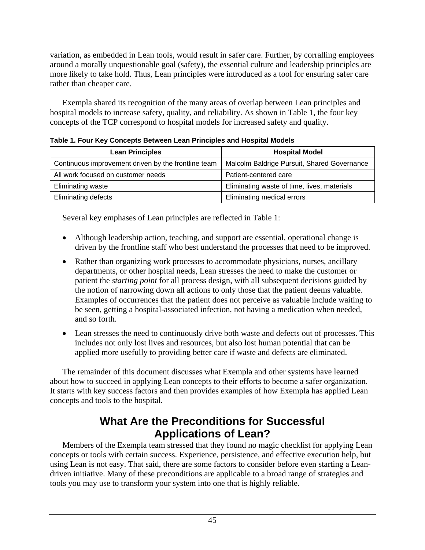variation, as embedded in Lean tools, would result in safer care. Further, by corralling employees around a morally unquestionable goal (safety), the essential culture and leadership principles are more likely to take hold. Thus, Lean principles were introduced as a tool for ensuring safer care rather than cheaper care.

 Exempla shared its recognition of the many areas of overlap between Lean principles and hospital models to increase safety, quality, and reliability. As shown in Table 1, the four key concepts of the TCP correspond to hospital models for increased safety and quality.

| <b>TADIO TET OUT TO Y OUTDONG BULTOUT EGATT THIOINGO AND HOOPILAL MOUGH</b> |                                             |  |  |
|-----------------------------------------------------------------------------|---------------------------------------------|--|--|
| <b>Lean Principles</b>                                                      | <b>Hospital Model</b>                       |  |  |
| Continuous improvement driven by the frontline team                         | Malcolm Baldrige Pursuit, Shared Governance |  |  |
| All work focused on customer needs                                          | Patient-centered care                       |  |  |
| Eliminating waste                                                           | Eliminating waste of time, lives, materials |  |  |
| <b>Eliminating defects</b>                                                  | Eliminating medical errors                  |  |  |

**Table 1. Four Key Concepts Between Lean Principles and Hospital Models** 

Several key emphases of Lean principles are reflected in Table 1:

- Although leadership action, teaching, and support are essential, operational change is driven by the frontline staff who best understand the processes that need to be improved.
- Rather than organizing work processes to accommodate physicians, nurses, ancillary departments, or other hospital needs, Lean stresses the need to make the customer or patient the *starting point* for all process design, with all subsequent decisions guided by the notion of narrowing down all actions to only those that the patient deems valuable. Examples of occurrences that the patient does not perceive as valuable include waiting to be seen, getting a hospital-associated infection, not having a medication when needed, and so forth.
- Lean stresses the need to continuously drive both waste and defects out of processes. This includes not only lost lives and resources, but also lost human potential that can be applied more usefully to providing better care if waste and defects are eliminated.

 The remainder of this document discusses what Exempla and other systems have learned about how to succeed in applying Lean concepts to their efforts to become a safer organization. It starts with key success factors and then provides examples of how Exempla has applied Lean concepts and tools to the hospital.

# **What Are the Preconditions for Successful Applications of Lean?**

 Members of the Exempla team stressed that they found no magic checklist for applying Lean concepts or tools with certain success. Experience, persistence, and effective execution help, but using Lean is not easy. That said, there are some factors to consider before even starting a Leandriven initiative. Many of these preconditions are applicable to a broad range of strategies and tools you may use to transform your system into one that is highly reliable.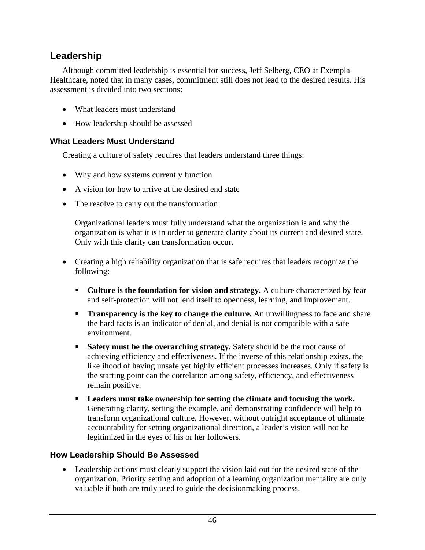### <span id="page-52-0"></span>**Leadership**

 Although committed leadership is essential for success, Jeff Selberg, CEO at Exempla Healthcare, noted that in many cases, commitment still does not lead to the desired results. His assessment is divided into two sections:

- What leaders must understand
- How leadership should be assessed

#### **What Leaders Must Understand**

Creating a culture of safety requires that leaders understand three things:

- Why and how systems currently function
- A vision for how to arrive at the desired end state
- The resolve to carry out the transformation

Organizational leaders must fully understand what the organization is and why the organization is what it is in order to generate clarity about its current and desired state. Only with this clarity can transformation occur.

- Creating a high reliability organization that is safe requires that leaders recognize the following:
	- **Culture is the foundation for vision and strategy.** A culture characterized by fear and self-protection will not lend itself to openness, learning, and improvement.
	- **Transparency is the key to change the culture.** An unwillingness to face and share the hard facts is an indicator of denial, and denial is not compatible with a safe environment.
	- **Safety must be the overarching strategy.** Safety should be the root cause of achieving efficiency and effectiveness. If the inverse of this relationship exists, the likelihood of having unsafe yet highly efficient processes increases. Only if safety is the starting point can the correlation among safety, efficiency, and effectiveness remain positive.
	- **Leaders must take ownership for setting the climate and focusing the work.** Generating clarity, setting the example, and demonstrating confidence will help to transform organizational culture. However, without outright acceptance of ultimate accountability for setting organizational direction, a leader's vision will not be legitimized in the eyes of his or her followers.

#### **How Leadership Should Be Assessed**

• Leadership actions must clearly support the vision laid out for the desired state of the organization. Priority setting and adoption of a learning organization mentality are only valuable if both are truly used to guide the decisionmaking process.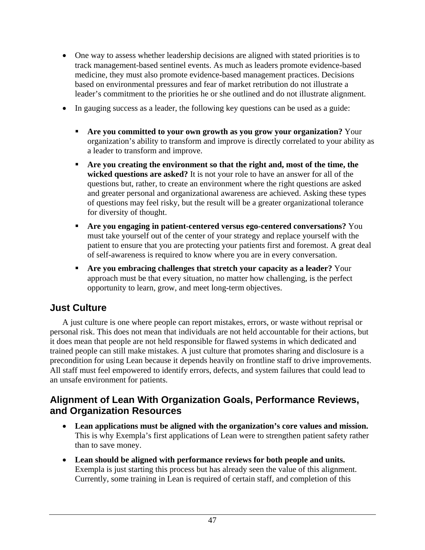- One way to assess whether leadership decisions are aligned with stated priorities is to track management-based sentinel events. As much as leaders promote evidence-based medicine, they must also promote evidence-based management practices. Decisions based on environmental pressures and fear of market retribution do not illustrate a leader's commitment to the priorities he or she outlined and do not illustrate alignment.
- In gauging success as a leader, the following key questions can be used as a guide:
	- **Are you committed to your own growth as you grow your organization?** Your organization's ability to transform and improve is directly correlated to your ability as a leader to transform and improve.
	- **Are you creating the environment so that the right and, most of the time, the wicked questions are asked?** It is not your role to have an answer for all of the questions but, rather, to create an environment where the right questions are asked and greater personal and organizational awareness are achieved. Asking these types of questions may feel risky, but the result will be a greater organizational tolerance for diversity of thought.
	- **Are you engaging in patient-centered versus ego-centered conversations?** You must take yourself out of the center of your strategy and replace yourself with the patient to ensure that you are protecting your patients first and foremost. A great deal of self-awareness is required to know where you are in every conversation.
	- **Are you embracing challenges that stretch your capacity as a leader?** Your approach must be that every situation, no matter how challenging, is the perfect opportunity to learn, grow, and meet long-term objectives.

### **Just Culture**

 A just culture is one where people can report mistakes, errors, or waste without reprisal or personal risk. This does not mean that individuals are not held accountable for their actions, but it does mean that people are not held responsible for flawed systems in which dedicated and trained people can still make mistakes. A just culture that promotes sharing and disclosure is a precondition for using Lean because it depends heavily on frontline staff to drive improvements. All staff must feel empowered to identify errors, defects, and system failures that could lead to an unsafe environment for patients.

### **Alignment of Lean With Organization Goals, Performance Reviews, and Organization Resources**

- **Lean applications must be aligned with the organization's core values and mission.** This is why Exempla's first applications of Lean were to strengthen patient safety rather than to save money.
- **Lean should be aligned with performance reviews for both people and units.** Exempla is just starting this process but has already seen the value of this alignment. Currently, some training in Lean is required of certain staff, and completion of this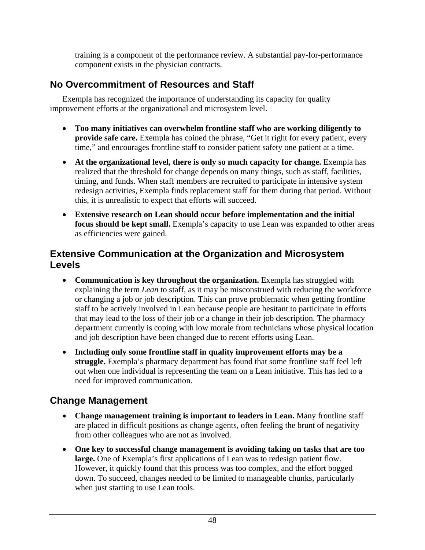training is a component of the performance review. A substantial pay-for-performance component exists in the physician contracts.

## **No Overcommitment of Resources and Staff**

 Exempla has recognized the importance of understanding its capacity for quality improvement efforts at the organizational and microsystem level.

- **Too many initiatives can overwhelm frontline staff who are working diligently to provide safe care.** Exempla has coined the phrase, "Get it right for every patient, every time," and encourages frontline staff to consider patient safety one patient at a time.
- **At the organizational level, there is only so much capacity for change.** Exempla has realized that the threshold for change depends on many things, such as staff, facilities, timing, and funds. When staff members are recruited to participate in intensive system redesign activities, Exempla finds replacement staff for them during that period. Without this, it is unrealistic to expect that efforts will succeed.
- **Extensive research on Lean should occur before implementation and the initial focus should be kept small.** Exempla's capacity to use Lean was expanded to other areas as efficiencies were gained.

### **Extensive Communication at the Organization and Microsystem Levels**

- **Communication is key throughout the organization.** Exempla has struggled with explaining the term *Lean* to staff, as it may be misconstrued with reducing the workforce or changing a job or job description. This can prove problematic when getting frontline staff to be actively involved in Lean because people are hesitant to participate in efforts that may lead to the loss of their job or a change in their job description. The pharmacy department currently is coping with low morale from technicians whose physical location and job description have been changed due to recent efforts using Lean.
- **Including only some frontline staff in quality improvement efforts may be a struggle.** Exempla's pharmacy department has found that some frontline staff feel left out when one individual is representing the team on a Lean initiative. This has led to a need for improved communication.

## **Change Management**

- **Change management training is important to leaders in Lean.** Many frontline staff are placed in difficult positions as change agents, often feeling the brunt of negativity from other colleagues who are not as involved.
- **One key to successful change management is avoiding taking on tasks that are too large.** One of Exempla's first applications of Lean was to redesign patient flow. However, it quickly found that this process was too complex, and the effort bogged down. To succeed, changes needed to be limited to manageable chunks, particularly when just starting to use Lean tools.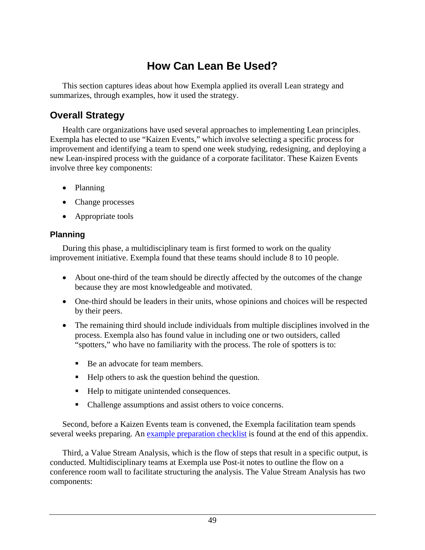# **How Can Lean Be Used?**

 This section captures ideas about how Exempla applied its overall Lean strategy and summarizes, through examples, how it used the strategy.

### **Overall Strategy**

 Health care organizations have used several approaches to implementing Lean principles. Exempla has elected to use "Kaizen Events," which involve selecting a specific process for improvement and identifying a team to spend one week studying, redesigning, and deploying a new Lean-inspired process with the guidance of a corporate facilitator. These Kaizen Events involve three key components:

- Planning
- Change processes
- Appropriate tools

### **Planning**

 During this phase, a multidisciplinary team is first formed to work on the quality improvement initiative. Exempla found that these teams should include 8 to 10 people.

- About one-third of the team should be directly affected by the outcomes of the change because they are most knowledgeable and motivated.
- One-third should be leaders in their units, whose opinions and choices will be respected by their peers.
- The remaining third should include individuals from multiple disciplines involved in the process. Exempla also has found value in including one or two outsiders, called "spotters," who have no familiarity with the process. The role of spotters is to:
	- Be an advocate for team members.
	- $\blacksquare$  Help others to ask the question behind the question.
	- Help to mitigate unintended consequences.
	- Challenge assumptions and assist others to voice concerns.

 Second, before a Kaizen Events team is convened, the Exempla facilitation team spends several weeks preparing. An [example preparation checklist](#page-66-0) is found at the end of this appendix.

 Third, a Value Stream Analysis, which is the flow of steps that result in a specific output, is conducted. Multidisciplinary teams at Exempla use Post-it notes to outline the flow on a conference room wall to facilitate structuring the analysis. The Value Stream Analysis has two components: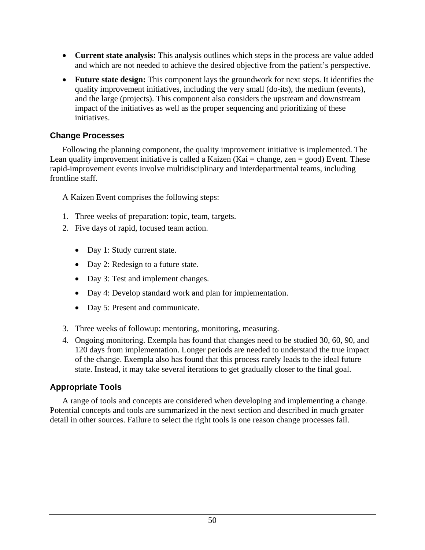- **Current state analysis:** This analysis outlines which steps in the process are value added and which are not needed to achieve the desired objective from the patient's perspective.
- **Future state design:** This component lays the groundwork for next steps. It identifies the quality improvement initiatives, including the very small (do-its), the medium (events), and the large (projects). This component also considers the upstream and downstream impact of the initiatives as well as the proper sequencing and prioritizing of these initiatives.

#### **Change Processes**

 Following the planning component, the quality improvement initiative is implemented. The Lean quality improvement initiative is called a Kaizen (Kai = change, zen = good) Event. These rapid-improvement events involve multidisciplinary and interdepartmental teams, including frontline staff.

A Kaizen Event comprises the following steps:

- 1. Three weeks of preparation: topic, team, targets.
- 2. Five days of rapid, focused team action.
	- Day 1: Study current state.
	- Day 2: Redesign to a future state.
	- Day 3: Test and implement changes.
	- Day 4: Develop standard work and plan for implementation.
	- Day 5: Present and communicate.
- 3. Three weeks of followup: mentoring, monitoring, measuring.
- 4. Ongoing monitoring. Exempla has found that changes need to be studied 30, 60, 90, and 120 days from implementation. Longer periods are needed to understand the true impact of the change. Exempla also has found that this process rarely leads to the ideal future state. Instead, it may take several iterations to get gradually closer to the final goal.

#### **Appropriate Tools**

 A range of tools and concepts are considered when developing and implementing a change. Potential concepts and tools are summarized in the next section and described in much greater detail in other sources. Failure to select the right tools is one reason change processes fail.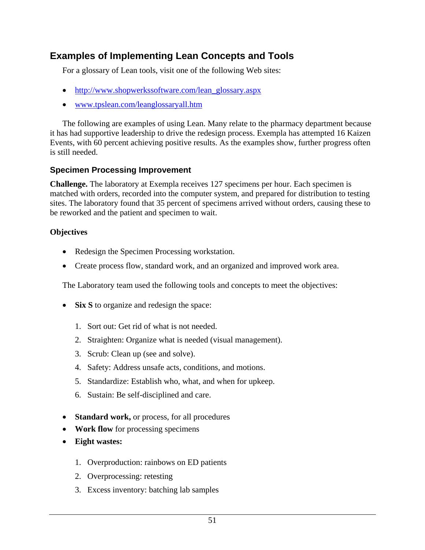## **Examples of Implementing Lean Concepts and Tools**

For a glossary of Lean tools, visit one of the following Web sites:

- [http://www.shopwerkssoftware.com/lean\\_glossary.aspx](http://www.shopwerkssoftware.com/lean_glossary.aspx)
- [www.tpslean.com/leanglossaryall.htm](http://www.tpslean.com/leanglossaryall.htm)

 The following are examples of using Lean. Many relate to the pharmacy department because it has had supportive leadership to drive the redesign process. Exempla has attempted 16 Kaizen Events, with 60 percent achieving positive results. As the examples show, further progress often is still needed.

#### **Specimen Processing Improvement**

**Challenge.** The laboratory at Exempla receives 127 specimens per hour. Each specimen is matched with orders, recorded into the computer system, and prepared for distribution to testing sites. The laboratory found that 35 percent of specimens arrived without orders, causing these to be reworked and the patient and specimen to wait.

#### **Objectives**

- Redesign the Specimen Processing workstation.
- Create process flow, standard work, and an organized and improved work area.

The Laboratory team used the following tools and concepts to meet the objectives:

- **Six S** to organize and redesign the space:
	- 1. Sort out: Get rid of what is not needed.
	- 2. Straighten: Organize what is needed (visual management).
	- 3. Scrub: Clean up (see and solve).
	- 4. Safety: Address unsafe acts, conditions, and motions.
	- 5. Standardize: Establish who, what, and when for upkeep.
	- 6. Sustain: Be self-disciplined and care.
- **Standard work,** or process, for all procedures
- **Work flow** for processing specimens
- **Eight wastes:** 
	- 1. Overproduction: rainbows on ED patients
	- 2. Overprocessing: retesting
	- 3. Excess inventory: batching lab samples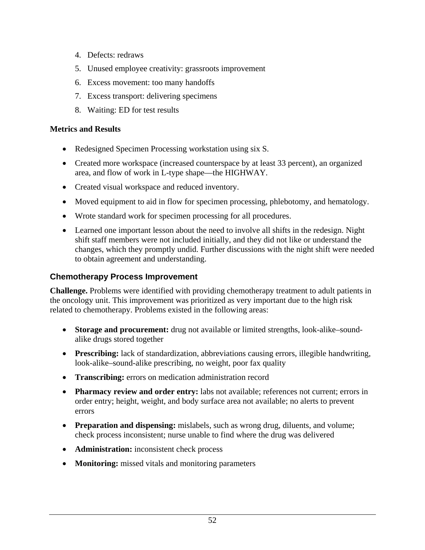- 4. Defects: redraws
- 5. Unused employee creativity: grassroots improvement
- 6. Excess movement: too many handoffs
- 7. Excess transport: delivering specimens
- 8. Waiting: ED for test results

#### **Metrics and Results**

- Redesigned Specimen Processing workstation using six S.
- Created more workspace (increased counterspace by at least 33 percent), an organized area, and flow of work in L-type shape—the HIGHWAY.
- Created visual workspace and reduced inventory.
- Moved equipment to aid in flow for specimen processing, phlebotomy, and hematology.
- Wrote standard work for specimen processing for all procedures.
- Learned one important lesson about the need to involve all shifts in the redesign. Night shift staff members were not included initially, and they did not like or understand the changes, which they promptly undid. Further discussions with the night shift were needed to obtain agreement and understanding.

### **Chemotherapy Process Improvement**

**Challenge.** Problems were identified with providing chemotherapy treatment to adult patients in the oncology unit. This improvement was prioritized as very important due to the high risk related to chemotherapy. Problems existed in the following areas:

- **Storage and procurement:** drug not available or limited strengths, look-alike–soundalike drugs stored together
- **Prescribing:** lack of standardization, abbreviations causing errors, illegible handwriting, look-alike–sound-alike prescribing, no weight, poor fax quality
- **Transcribing:** errors on medication administration record
- **Pharmacy review and order entry:** labs not available; references not current; errors in order entry; height, weight, and body surface area not available; no alerts to prevent errors
- **Preparation and dispensing:** mislabels, such as wrong drug, diluents, and volume; check process inconsistent; nurse unable to find where the drug was delivered
- **Administration:** inconsistent check process
- **Monitoring:** missed vitals and monitoring parameters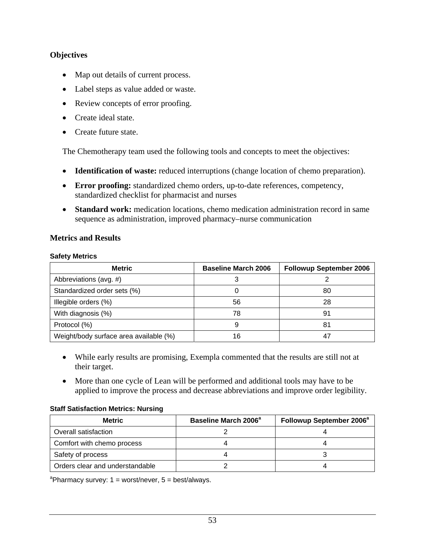#### **Objectives**

- Map out details of current process.
- Label steps as value added or waste.
- Review concepts of error proofing.
- Create ideal state.
- Create future state.

The Chemotherapy team used the following tools and concepts to meet the objectives:

- **Identification of waste:** reduced interruptions (change location of chemo preparation).
- **Error proofing:** standardized chemo orders, up-to-date references, competency, standardized checklist for pharmacist and nurses
- **Standard work:** medication locations, chemo medication administration record in same sequence as administration, improved pharmacy–nurse communication

#### **Metrics and Results**

#### **Safety Metrics**

| <b>Metric</b>                          | <b>Baseline March 2006</b> | <b>Followup September 2006</b> |
|----------------------------------------|----------------------------|--------------------------------|
| Abbreviations (avg. #)                 |                            |                                |
| Standardized order sets (%)            |                            | 80                             |
| Illegible orders (%)                   | 56                         | 28                             |
| With diagnosis (%)                     | 78                         | 91                             |
| Protocol (%)                           | 9                          | 81                             |
| Weight/body surface area available (%) | 16                         |                                |

- While early results are promising, Exempla commented that the results are still not at their target.
- More than one cycle of Lean will be performed and additional tools may have to be applied to improve the process and decrease abbreviations and improve order legibility.

#### **Staff Satisfaction Metrics: Nursing**

| <b>Metric</b>                   | Baseline March 2006 <sup>a</sup> | Followup September 2006 <sup>a</sup> |
|---------------------------------|----------------------------------|--------------------------------------|
| Overall satisfaction            |                                  |                                      |
| Comfort with chemo process      |                                  |                                      |
| Safety of process               |                                  |                                      |
| Orders clear and understandable |                                  |                                      |

<sup>a</sup>Pharmacy survey:  $1 =$  worst/never,  $5 =$  best/always.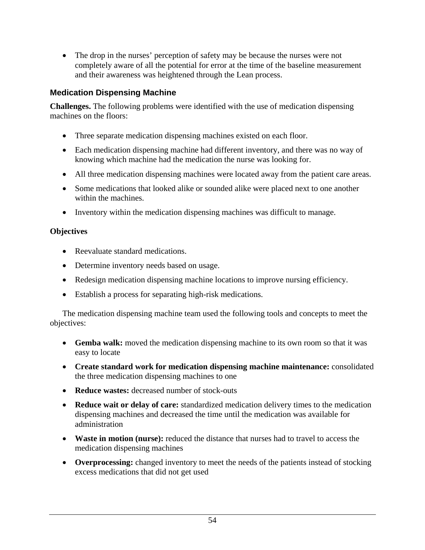• The drop in the nurses' perception of safety may be because the nurses were not completely aware of all the potential for error at the time of the baseline measurement and their awareness was heightened through the Lean process.

#### **Medication Dispensing Machine**

**Challenges.** The following problems were identified with the use of medication dispensing machines on the floors:

- Three separate medication dispensing machines existed on each floor.
- Each medication dispensing machine had different inventory, and there was no way of knowing which machine had the medication the nurse was looking for.
- All three medication dispensing machines were located away from the patient care areas.
- Some medications that looked alike or sounded alike were placed next to one another within the machines.
- Inventory within the medication dispensing machines was difficult to manage.

### **Objectives**

- Reevaluate standard medications.
- Determine inventory needs based on usage.
- Redesign medication dispensing machine locations to improve nursing efficiency.
- Establish a process for separating high-risk medications.

 The medication dispensing machine team used the following tools and concepts to meet the objectives:

- **Gemba walk:** moved the medication dispensing machine to its own room so that it was easy to locate
- **Create standard work for medication dispensing machine maintenance:** consolidated the three medication dispensing machines to one
- **Reduce wastes:** decreased number of stock-outs
- **Reduce wait or delay of care:** standardized medication delivery times to the medication dispensing machines and decreased the time until the medication was available for administration
- **Waste in motion (nurse):** reduced the distance that nurses had to travel to access the medication dispensing machines
- **Overprocessing:** changed inventory to meet the needs of the patients instead of stocking excess medications that did not get used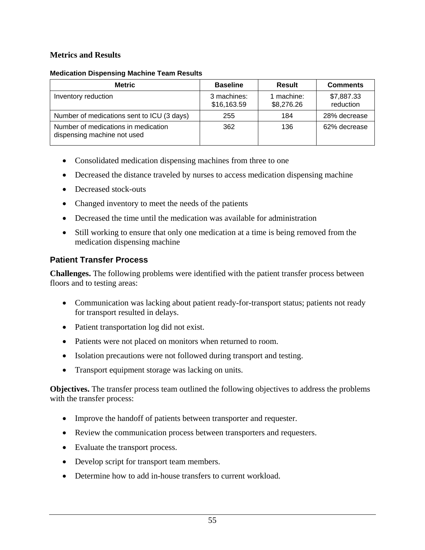#### **Metrics and Results**

#### **Medication Dispensing Machine Team Results**

| <b>Metric</b>                                                      | <b>Baseline</b>            | <b>Result</b>            | <b>Comments</b>         |
|--------------------------------------------------------------------|----------------------------|--------------------------|-------------------------|
| Inventory reduction                                                | 3 machines:<br>\$16,163.59 | 1 machine:<br>\$8,276.26 | \$7,887.33<br>reduction |
| Number of medications sent to ICU (3 days)                         | 255                        | 184                      | 28% decrease            |
| Number of medications in medication<br>dispensing machine not used | 362                        | 136                      | 62% decrease            |

- Consolidated medication dispensing machines from three to one
- Decreased the distance traveled by nurses to access medication dispensing machine
- Decreased stock-outs
- Changed inventory to meet the needs of the patients
- Decreased the time until the medication was available for administration
- Still working to ensure that only one medication at a time is being removed from the medication dispensing machine

### **Patient Transfer Process**

**Challenges.** The following problems were identified with the patient transfer process between floors and to testing areas:

- Communication was lacking about patient ready-for-transport status; patients not ready for transport resulted in delays.
- Patient transportation log did not exist.
- Patients were not placed on monitors when returned to room.
- Isolation precautions were not followed during transport and testing.
- Transport equipment storage was lacking on units.

**Objectives.** The transfer process team outlined the following objectives to address the problems with the transfer process:

- Improve the handoff of patients between transporter and requester.
- Review the communication process between transporters and requesters.
- Evaluate the transport process.
- Develop script for transport team members.
- Determine how to add in-house transfers to current workload.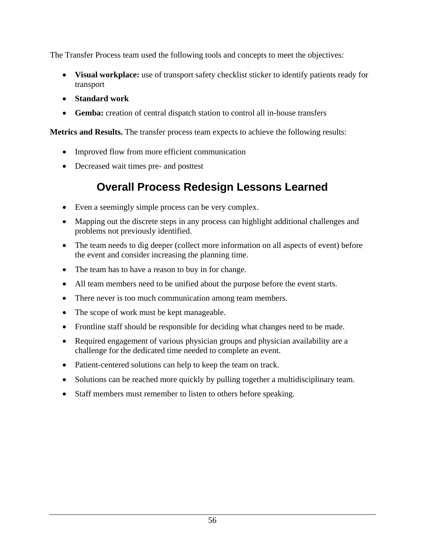The Transfer Process team used the following tools and concepts to meet the objectives:

- **Visual workplace:** use of transport safety checklist sticker to identify patients ready for transport
- **Standard work**
- **Gemba:** creation of central dispatch station to control all in-house transfers

**Metrics and Results.** The transfer process team expects to achieve the following results:

- Improved flow from more efficient communication
- Decreased wait times pre- and posttest

# **Overall Process Redesign Lessons Learned**

- Even a seemingly simple process can be very complex.
- Mapping out the discrete steps in any process can highlight additional challenges and problems not previously identified.
- The team needs to dig deeper (collect more information on all aspects of event) before the event and consider increasing the planning time.
- The team has to have a reason to buy in for change.
- All team members need to be unified about the purpose before the event starts.
- There never is too much communication among team members.
- The scope of work must be kept manageable.
- Frontline staff should be responsible for deciding what changes need to be made.
- Required engagement of various physician groups and physician availability are a challenge for the dedicated time needed to complete an event.
- Patient-centered solutions can help to keep the team on track.
- Solutions can be reached more quickly by pulling together a multidisciplinary team.
- Staff members must remember to listen to others before speaking.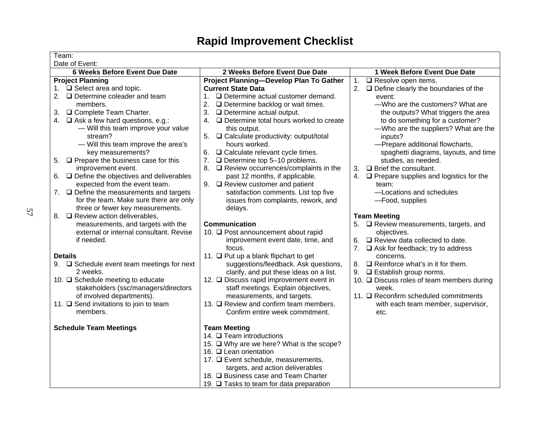# **Rapid Improvement Checklist**

| Team:                                                                |                                                                                           |                                                           |
|----------------------------------------------------------------------|-------------------------------------------------------------------------------------------|-----------------------------------------------------------|
| Date of Event:                                                       |                                                                                           |                                                           |
| 6 Weeks Before Event Due Date                                        | 2 Weeks Before Event Due Date                                                             | 1 Week Before Event Due Date                              |
| <b>Project Planning</b>                                              | Project Planning-Develop Plan To Gather                                                   | $\Box$ Resolve open items.<br>1.                          |
| 1. □ Select area and topic.                                          | <b>Current State Data</b>                                                                 | 2.<br>$\Box$ Define clearly the boundaries of the         |
| 2. $\Box$ Determine coleader and team                                | $\Box$ Determine actual customer demand.<br>1.                                            | event:                                                    |
| members.                                                             | 2.<br>$\Box$ Determine backlog or wait times.                                             | -Who are the customers? What are                          |
| □ Complete Team Charter.<br>3.                                       | 3.<br>$\Box$ Determine actual output.                                                     | the outputs? What triggers the area                       |
| 4. Ask a few hard questions, e.g.:                                   | □ Determine total hours worked to create<br>4.                                            | to do something for a customer?                           |
| - Will this team improve your value                                  | this output.                                                                              | -Who are the suppliers? What are the                      |
| stream?                                                              | $\Box$ Calculate productivity: output/total                                               | inputs?                                                   |
| - Will this team improve the area's                                  | hours worked.                                                                             | -Prepare additional flowcharts,                           |
| key measurements?<br>$\Box$ Prepare the business case for this<br>5. | $\Box$ Calculate relevant cycle times.<br>6.<br>7.<br>$\Box$ Determine top 5-10 problems. | spaghetti diagrams, layouts, and time                     |
| improvement event.                                                   | $\Box$ Review occurrences/complaints in the<br>8.                                         | studies, as needed.<br>$\Box$ Brief the consultant.<br>3. |
| $\Box$ Define the objectives and deliverables<br>6.                  | past 12 months, if applicable.                                                            | 4.<br>$\Box$ Prepare supplies and logistics for the       |
| expected from the event team.                                        | 9. $\Box$ Review customer and patient                                                     | team:                                                     |
| 7. <b>Q</b> Define the measurements and targets                      | satisfaction comments. List top five                                                      | -Locations and schedules                                  |
| for the team. Make sure there are only                               | issues from complaints, rework, and                                                       | -Food, supplies                                           |
| three or fewer key measurements.                                     | delays.                                                                                   |                                                           |
| 8. <b>Q</b> Review action deliverables,                              |                                                                                           | <b>Team Meeting</b>                                       |
| measurements, and targets with the                                   | <b>Communication</b>                                                                      | □ Review measurements, targets, and                       |
| external or internal consultant. Revise                              | 10. □ Post announcement about rapid                                                       | objectives.                                               |
| if needed.                                                           | improvement event date, time, and                                                         | $\Box$ Review data collected to date.<br>6.               |
|                                                                      | focus.                                                                                    | 7.<br>$\Box$ Ask for feedback; try to address             |
| <b>Details</b>                                                       | 11. □ Put up a blank flipchart to get                                                     | concerns.                                                 |
| 9. <b>Q</b> Schedule event team meetings for next                    | suggestions/feedback. Ask questions,                                                      | $\Box$ Reinforce what's in it for them.<br>8.             |
| 2 weeks.                                                             | clarify, and put these ideas on a list.                                                   | 9. $\Box$ Establish group norms.                          |
| 10. □ Schedule meeting to educate                                    | 12. Discuss rapid improvement event in                                                    | 10. □ Discuss roles of team members during                |
| stakeholders (ssc/managers/directors                                 | staff meetings. Explain objectives,                                                       | week.                                                     |
| of involved departments).                                            | measurements, and targets.                                                                | 11. □ Reconfirm scheduled commitments                     |
| 11. □ Send invitations to join to team                               | 13. <b>Q</b> Review and confirm team members.                                             | with each team member, supervisor,                        |
| members.                                                             | Confirm entire week commitment.                                                           | etc.                                                      |
| <b>Schedule Team Meetings</b>                                        | <b>Team Meeting</b>                                                                       |                                                           |
|                                                                      | 14. <b>Q</b> Team introductions                                                           |                                                           |
|                                                                      | 15. □ Why are we here? What is the scope?                                                 |                                                           |
|                                                                      | 16. □ Lean orientation                                                                    |                                                           |
|                                                                      | 17. <b>D</b> Event schedule, measurements,                                                |                                                           |
|                                                                      | targets, and action deliverables                                                          |                                                           |
|                                                                      | 18. Q Business case and Team Charter                                                      |                                                           |
|                                                                      | 19. □ Tasks to team for data preparation                                                  |                                                           |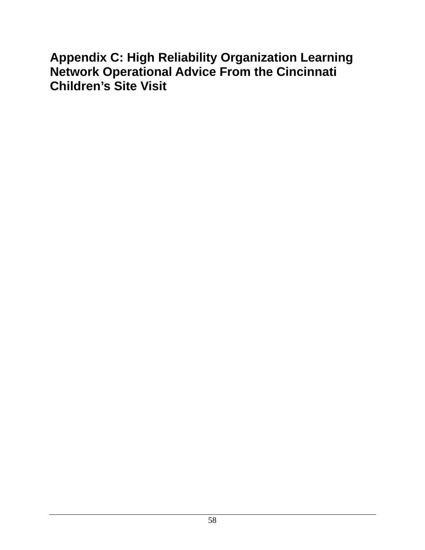# **Appendix C: High Reliability Organization Learning Network Operational Advice From the Cincinnati Children's Site Visit**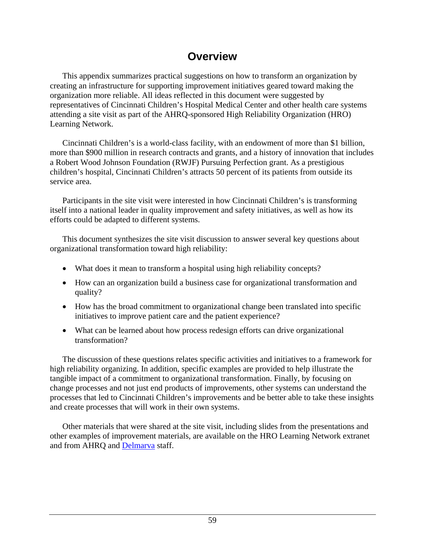# **Overview**

 This appendix summarizes practical suggestions on how to transform an organization by creating an infrastructure for supporting improvement initiatives geared toward making the organization more reliable. All ideas reflected in this document were suggested by representatives of Cincinnati Children's Hospital Medical Center and other health care systems attending a site visit as part of the AHRQ-sponsored High Reliability Organization (HRO) Learning Network.

 Cincinnati Children's is a world-class facility, with an endowment of more than \$1 billion, more than \$900 million in research contracts and grants, and a history of innovation that includes a Robert Wood Johnson Foundation (RWJF) Pursuing Perfection grant. As a prestigious children's hospital, Cincinnati Children's attracts 50 percent of its patients from outside its service area.

 Participants in the site visit were interested in how Cincinnati Children's is transforming itself into a national leader in quality improvement and safety initiatives, as well as how its efforts could be adapted to different systems.

 This document synthesizes the site visit discussion to answer several key questions about organizational transformation toward high reliability:

- What does it mean to transform a hospital using high reliability concepts?
- How can an organization build a business case for organizational transformation and quality?
- How has the broad commitment to organizational change been translated into specific initiatives to improve patient care and the patient experience?
- What can be learned about how process redesign efforts can drive organizational transformation?

 The discussion of these questions relates specific activities and initiatives to a framework for high reliability organizing. In addition, specific examples are provided to help illustrate the tangible impact of a commitment to organizational transformation. Finally, by focusing on change processes and not just end products of improvements, other systems can understand the processes that led to Cincinnati Children's improvements and be better able to take these insights and create processes that will work in their own systems.

 Other materials that were shared at the site visit, including slides from the presentations and other examples of improvement materials, are available on the HRO Learning Network extranet and from AHRQ and [Delmarva](http://www.delmarvafoundation.org/) staff.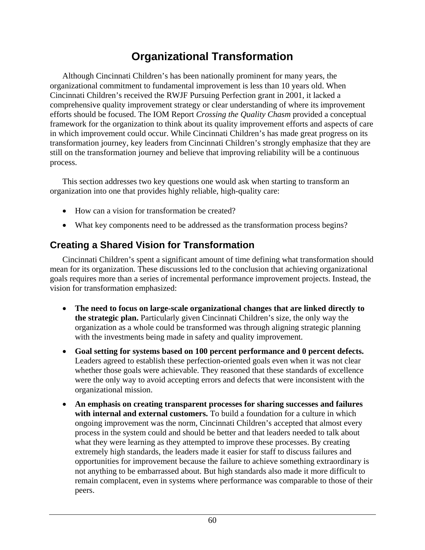# **Organizational Transformation**

<span id="page-66-0"></span> Although Cincinnati Children's has been nationally prominent for many years, the organizational commitment to fundamental improvement is less than 10 years old. When Cincinnati Children's received the RWJF Pursuing Perfection grant in 2001, it lacked a comprehensive quality improvement strategy or clear understanding of where its improvement efforts should be focused. The IOM Report *Crossing the Quality Chasm* provided a conceptual framework for the organization to think about its quality improvement efforts and aspects of care in which improvement could occur. While Cincinnati Children's has made great progress on its transformation journey, key leaders from Cincinnati Children's strongly emphasize that they are still on the transformation journey and believe that improving reliability will be a continuous process.

 This section addresses two key questions one would ask when starting to transform an organization into one that provides highly reliable, high-quality care:

- How can a vision for transformation be created?
- What key components need to be addressed as the transformation process begins?

## **Creating a Shared Vision for Transformation**

 Cincinnati Children's spent a significant amount of time defining what transformation should mean for its organization. These discussions led to the conclusion that achieving organizational goals requires more than a series of incremental performance improvement projects. Instead, the vision for transformation emphasized:

- **The need to focus on large-scale organizational changes that are linked directly to the strategic plan.** Particularly given Cincinnati Children's size, the only way the organization as a whole could be transformed was through aligning strategic planning with the investments being made in safety and quality improvement.
- **Goal setting for systems based on 100 percent performance and 0 percent defects.** Leaders agreed to establish these perfection-oriented goals even when it was not clear whether those goals were achievable. They reasoned that these standards of excellence were the only way to avoid accepting errors and defects that were inconsistent with the organizational mission.
- **An emphasis on creating transparent processes for sharing successes and failures with internal and external customers.** To build a foundation for a culture in which ongoing improvement was the norm, Cincinnati Children's accepted that almost every process in the system could and should be better and that leaders needed to talk about what they were learning as they attempted to improve these processes. By creating extremely high standards, the leaders made it easier for staff to discuss failures and opportunities for improvement because the failure to achieve something extraordinary is not anything to be embarrassed about. But high standards also made it more difficult to remain complacent, even in systems where performance was comparable to those of their peers.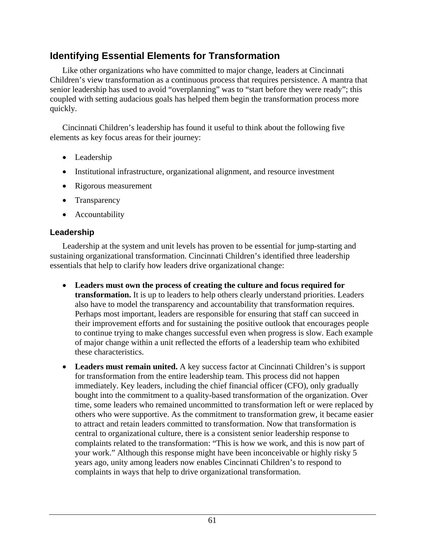### **Identifying Essential Elements for Transformation**

 Like other organizations who have committed to major change, leaders at Cincinnati Children's view transformation as a continuous process that requires persistence. A mantra that senior leadership has used to avoid "overplanning" was to "start before they were ready"; this coupled with setting audacious goals has helped them begin the transformation process more quickly.

 Cincinnati Children's leadership has found it useful to think about the following five elements as key focus areas for their journey:

- Leadership
- Institutional infrastructure, organizational alignment, and resource investment
- Rigorous measurement
- Transparency
- Accountability

#### **Leadership**

 Leadership at the system and unit levels has proven to be essential for jump-starting and sustaining organizational transformation. Cincinnati Children's identified three leadership essentials that help to clarify how leaders drive organizational change:

- **Leaders must own the process of creating the culture and focus required for transformation.** It is up to leaders to help others clearly understand priorities. Leaders also have to model the transparency and accountability that transformation requires. Perhaps most important, leaders are responsible for ensuring that staff can succeed in their improvement efforts and for sustaining the positive outlook that encourages people to continue trying to make changes successful even when progress is slow. Each example of major change within a unit reflected the efforts of a leadership team who exhibited these characteristics.
- **Leaders must remain united.** A key success factor at Cincinnati Children's is support for transformation from the entire leadership team. This process did not happen immediately. Key leaders, including the chief financial officer (CFO), only gradually bought into the commitment to a quality-based transformation of the organization. Over time, some leaders who remained uncommitted to transformation left or were replaced by others who were supportive. As the commitment to transformation grew, it became easier to attract and retain leaders committed to transformation. Now that transformation is central to organizational culture, there is a consistent senior leadership response to complaints related to the transformation: "This is how we work, and this is now part of your work." Although this response might have been inconceivable or highly risky 5 years ago, unity among leaders now enables Cincinnati Children's to respond to complaints in ways that help to drive organizational transformation.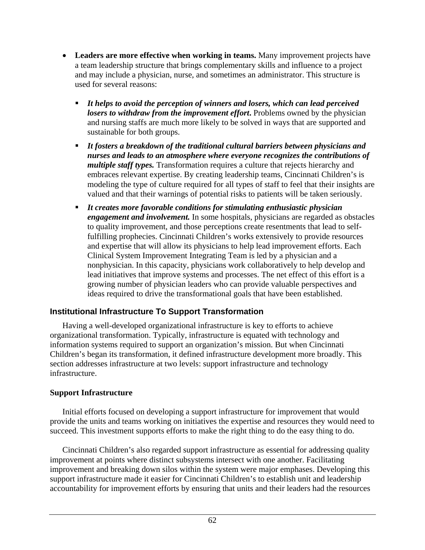- **Leaders are more effective when working in teams.** Many improvement projects have a team leadership structure that brings complementary skills and influence to a project and may include a physician, nurse, and sometimes an administrator. This structure is used for several reasons:
	- *It helps to avoid the perception of winners and losers, which can lead perceived losers to withdraw from the improvement effort***.** Problems owned by the physician and nursing staffs are much more likely to be solved in ways that are supported and sustainable for both groups.
	- *It fosters a breakdown of the traditional cultural barriers between physicians and nurses and leads to an atmosphere where everyone recognizes the contributions of multiple staff types.* Transformation requires a culture that rejects hierarchy and embraces relevant expertise. By creating leadership teams, Cincinnati Children's is modeling the type of culture required for all types of staff to feel that their insights are valued and that their warnings of potential risks to patients will be taken seriously.
	- *It creates more favorable conditions for stimulating enthusiastic physician engagement and involvement.* In some hospitals, physicians are regarded as obstacles to quality improvement, and those perceptions create resentments that lead to selffulfilling prophecies. Cincinnati Children's works extensively to provide resources and expertise that will allow its physicians to help lead improvement efforts. Each Clinical System Improvement Integrating Team is led by a physician and a nonphysician. In this capacity, physicians work collaboratively to help develop and lead initiatives that improve systems and processes. The net effect of this effort is a growing number of physician leaders who can provide valuable perspectives and ideas required to drive the transformational goals that have been established.

#### **Institutional Infrastructure To Support Transformation**

 Having a well-developed organizational infrastructure is key to efforts to achieve organizational transformation. Typically, infrastructure is equated with technology and information systems required to support an organization's mission. But when Cincinnati Children's began its transformation, it defined infrastructure development more broadly. This section addresses infrastructure at two levels: support infrastructure and technology infrastructure.

#### **Support Infrastructure**

 Initial efforts focused on developing a support infrastructure for improvement that would provide the units and teams working on initiatives the expertise and resources they would need to succeed. This investment supports efforts to make the right thing to do the easy thing to do.

 Cincinnati Children's also regarded support infrastructure as essential for addressing quality improvement at points where distinct subsystems intersect with one another. Facilitating improvement and breaking down silos within the system were major emphases. Developing this support infrastructure made it easier for Cincinnati Children's to establish unit and leadership accountability for improvement efforts by ensuring that units and their leaders had the resources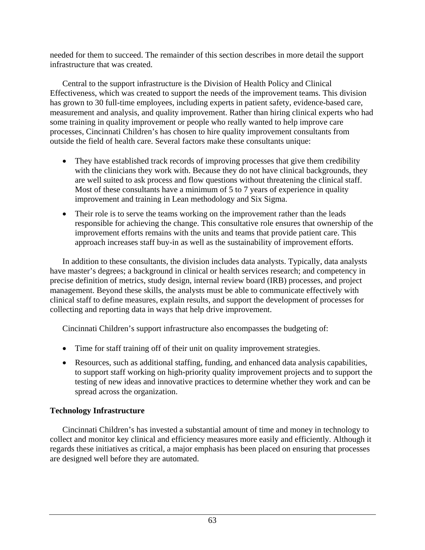needed for them to succeed. The remainder of this section describes in more detail the support infrastructure that was created.

 Central to the support infrastructure is the Division of Health Policy and Clinical Effectiveness, which was created to support the needs of the improvement teams. This division has grown to 30 full-time employees, including experts in patient safety, evidence-based care, measurement and analysis, and quality improvement. Rather than hiring clinical experts who had some training in quality improvement or people who really wanted to help improve care processes, Cincinnati Children's has chosen to hire quality improvement consultants from outside the field of health care. Several factors make these consultants unique:

- They have established track records of improving processes that give them credibility with the clinicians they work with. Because they do not have clinical backgrounds, they are well suited to ask process and flow questions without threatening the clinical staff. Most of these consultants have a minimum of 5 to 7 years of experience in quality improvement and training in Lean methodology and Six Sigma.
- Their role is to serve the teams working on the improvement rather than the leads responsible for achieving the change. This consultative role ensures that ownership of the improvement efforts remains with the units and teams that provide patient care. This approach increases staff buy-in as well as the sustainability of improvement efforts.

 In addition to these consultants, the division includes data analysts. Typically, data analysts have master's degrees; a background in clinical or health services research; and competency in precise definition of metrics, study design, internal review board (IRB) processes, and project management. Beyond these skills, the analysts must be able to communicate effectively with clinical staff to define measures, explain results, and support the development of processes for collecting and reporting data in ways that help drive improvement.

Cincinnati Children's support infrastructure also encompasses the budgeting of:

- Time for staff training off of their unit on quality improvement strategies.
- Resources, such as additional staffing, funding, and enhanced data analysis capabilities, to support staff working on high-priority quality improvement projects and to support the testing of new ideas and innovative practices to determine whether they work and can be spread across the organization.

### **Technology Infrastructure**

 Cincinnati Children's has invested a substantial amount of time and money in technology to collect and monitor key clinical and efficiency measures more easily and efficiently. Although it regards these initiatives as critical, a major emphasis has been placed on ensuring that processes are designed well before they are automated.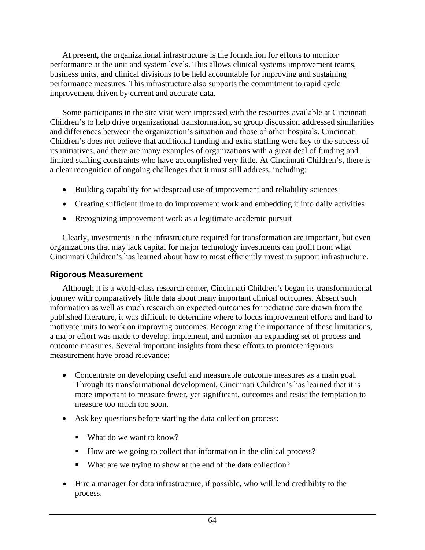At present, the organizational infrastructure is the foundation for efforts to monitor performance at the unit and system levels. This allows clinical systems improvement teams, business units, and clinical divisions to be held accountable for improving and sustaining performance measures. This infrastructure also supports the commitment to rapid cycle improvement driven by current and accurate data.

 Some participants in the site visit were impressed with the resources available at Cincinnati Children's to help drive organizational transformation, so group discussion addressed similarities and differences between the organization's situation and those of other hospitals. Cincinnati Children's does not believe that additional funding and extra staffing were key to the success of its initiatives, and there are many examples of organizations with a great deal of funding and limited staffing constraints who have accomplished very little. At Cincinnati Children's, there is a clear recognition of ongoing challenges that it must still address, including:

- Building capability for widespread use of improvement and reliability sciences
- Creating sufficient time to do improvement work and embedding it into daily activities
- Recognizing improvement work as a legitimate academic pursuit

 Clearly, investments in the infrastructure required for transformation are important, but even organizations that may lack capital for major technology investments can profit from what Cincinnati Children's has learned about how to most efficiently invest in support infrastructure.

#### **Rigorous Measurement**

 Although it is a world-class research center, Cincinnati Children's began its transformational journey with comparatively little data about many important clinical outcomes. Absent such information as well as much research on expected outcomes for pediatric care drawn from the published literature, it was difficult to determine where to focus improvement efforts and hard to motivate units to work on improving outcomes. Recognizing the importance of these limitations, a major effort was made to develop, implement, and monitor an expanding set of process and outcome measures. Several important insights from these efforts to promote rigorous measurement have broad relevance:

- Concentrate on developing useful and measurable outcome measures as a main goal. Through its transformational development, Cincinnati Children's has learned that it is more important to measure fewer, yet significant, outcomes and resist the temptation to measure too much too soon.
- Ask key questions before starting the data collection process:
	- What do we want to know?
	- How are we going to collect that information in the clinical process?
	- What are we trying to show at the end of the data collection?
- Hire a manager for data infrastructure, if possible, who will lend credibility to the process.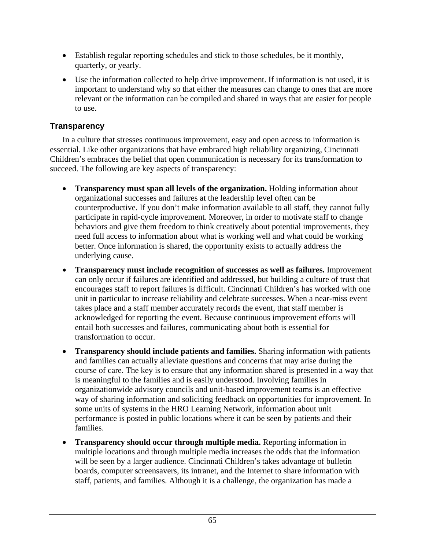- Establish regular reporting schedules and stick to those schedules, be it monthly, quarterly, or yearly.
- Use the information collected to help drive improvement. If information is not used, it is important to understand why so that either the measures can change to ones that are more relevant or the information can be compiled and shared in ways that are easier for people to use.

### **Transparency**

 In a culture that stresses continuous improvement, easy and open access to information is essential. Like other organizations that have embraced high reliability organizing, Cincinnati Children's embraces the belief that open communication is necessary for its transformation to succeed. The following are key aspects of transparency:

- **Transparency must span all levels of the organization.** Holding information about organizational successes and failures at the leadership level often can be counterproductive. If you don't make information available to all staff, they cannot fully participate in rapid-cycle improvement. Moreover, in order to motivate staff to change behaviors and give them freedom to think creatively about potential improvements, they need full access to information about what is working well and what could be working better. Once information is shared, the opportunity exists to actually address the underlying cause.
- **Transparency must include recognition of successes as well as failures.** Improvement can only occur if failures are identified and addressed, but building a culture of trust that encourages staff to report failures is difficult. Cincinnati Children's has worked with one unit in particular to increase reliability and celebrate successes. When a near-miss event takes place and a staff member accurately records the event, that staff member is acknowledged for reporting the event. Because continuous improvement efforts will entail both successes and failures, communicating about both is essential for transformation to occur.
- **Transparency should include patients and families.** Sharing information with patients and families can actually alleviate questions and concerns that may arise during the course of care. The key is to ensure that any information shared is presented in a way that is meaningful to the families and is easily understood. Involving families in organizationwide advisory councils and unit-based improvement teams is an effective way of sharing information and soliciting feedback on opportunities for improvement. In some units of systems in the HRO Learning Network, information about unit performance is posted in public locations where it can be seen by patients and their families.
- **Transparency should occur through multiple media.** Reporting information in multiple locations and through multiple media increases the odds that the information will be seen by a larger audience. Cincinnati Children's takes advantage of bulletin boards, computer screensavers, its intranet, and the Internet to share information with staff, patients, and families. Although it is a challenge, the organization has made a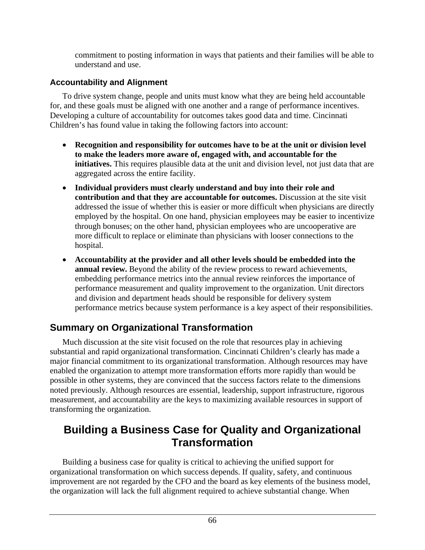commitment to posting information in ways that patients and their families will be able to understand and use.

#### **Accountability and Alignment**

 To drive system change, people and units must know what they are being held accountable for, and these goals must be aligned with one another and a range of performance incentives. Developing a culture of accountability for outcomes takes good data and time. Cincinnati Children's has found value in taking the following factors into account:

- **Recognition and responsibility for outcomes have to be at the unit or division level to make the leaders more aware of, engaged with, and accountable for the initiatives.** This requires plausible data at the unit and division level, not just data that are aggregated across the entire facility.
- **Individual providers must clearly understand and buy into their role and contribution and that they are accountable for outcomes.** Discussion at the site visit addressed the issue of whether this is easier or more difficult when physicians are directly employed by the hospital. On one hand, physician employees may be easier to incentivize through bonuses; on the other hand, physician employees who are uncooperative are more difficult to replace or eliminate than physicians with looser connections to the hospital.
- **Accountability at the provider and all other levels should be embedded into the annual review.** Beyond the ability of the review process to reward achievements, embedding performance metrics into the annual review reinforces the importance of performance measurement and quality improvement to the organization. Unit directors and division and department heads should be responsible for delivery system performance metrics because system performance is a key aspect of their responsibilities.

## **Summary on Organizational Transformation**

 Much discussion at the site visit focused on the role that resources play in achieving substantial and rapid organizational transformation. Cincinnati Children's clearly has made a major financial commitment to its organizational transformation. Although resources may have enabled the organization to attempt more transformation efforts more rapidly than would be possible in other systems, they are convinced that the success factors relate to the dimensions noted previously. Although resources are essential, leadership, support infrastructure, rigorous measurement, and accountability are the keys to maximizing available resources in support of transforming the organization.

## **Building a Business Case for Quality and Organizational Transformation**

 Building a business case for quality is critical to achieving the unified support for organizational transformation on which success depends. If quality, safety, and continuous improvement are not regarded by the CFO and the board as key elements of the business model, the organization will lack the full alignment required to achieve substantial change. When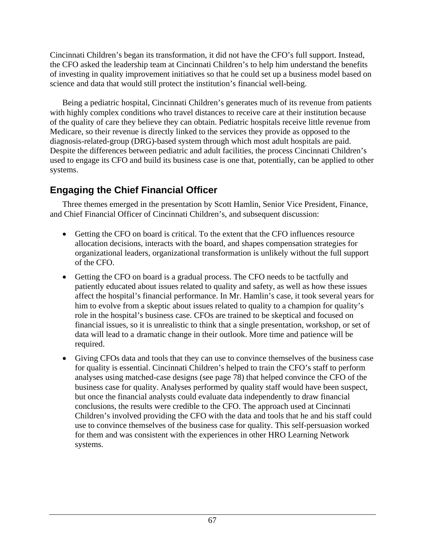Cincinnati Children's began its transformation, it did not have the CFO's full support. Instead, the CFO asked the leadership team at Cincinnati Children's to help him understand the benefits of investing in quality improvement initiatives so that he could set up a business model based on science and data that would still protect the institution's financial well-being.

 Being a pediatric hospital, Cincinnati Children's generates much of its revenue from patients with highly complex conditions who travel distances to receive care at their institution because of the quality of care they believe they can obtain. Pediatric hospitals receive little revenue from Medicare, so their revenue is directly linked to the services they provide as opposed to the diagnosis-related-group (DRG)-based system through which most adult hospitals are paid. Despite the differences between pediatric and adult facilities, the process Cincinnati Children's used to engage its CFO and build its business case is one that, potentially, can be applied to other systems.

## **Engaging the Chief Financial Officer**

 Three themes emerged in the presentation by Scott Hamlin, Senior Vice President, Finance, and Chief Financial Officer of Cincinnati Children's, and subsequent discussion:

- Getting the CFO on board is critical. To the extent that the CFO influences resource allocation decisions, interacts with the board, and shapes compensation strategies for organizational leaders, organizational transformation is unlikely without the full support of the CFO.
- Getting the CFO on board is a gradual process. The CFO needs to be tactfully and patiently educated about issues related to quality and safety, as well as how these issues affect the hospital's financial performance. In Mr. Hamlin's case, it took several years for him to evolve from a skeptic about issues related to quality to a champion for quality's role in the hospital's business case. CFOs are trained to be skeptical and focused on financial issues, so it is unrealistic to think that a single presentation, workshop, or set of data will lead to a dramatic change in their outlook. More time and patience will be required.
- Giving CFOs data and tools that they can use to convince themselves of the business case for quality is essential. Cincinnati Children's helped to train the CFO's staff to perform analyses using matched-case designs (see page 78) that helped convince the CFO of the business case for quality. Analyses performed by quality staff would have been suspect, but once the financial analysts could evaluate data independently to draw financial conclusions, the results were credible to the CFO. The approach used at Cincinnati Children's involved providing the CFO with the data and tools that he and his staff could use to convince themselves of the business case for quality. This self-persuasion worked for them and was consistent with the experiences in other HRO Learning Network systems.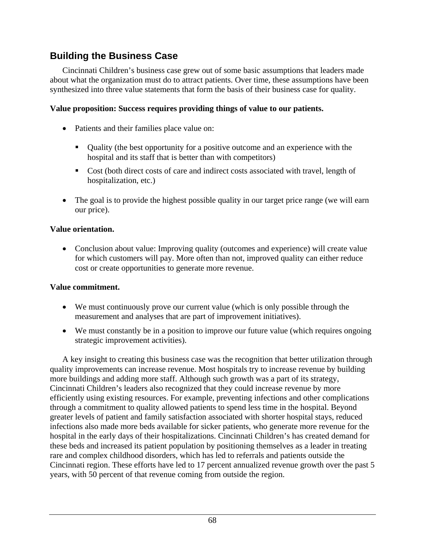### **Building the Business Case**

 Cincinnati Children's business case grew out of some basic assumptions that leaders made about what the organization must do to attract patients. Over time, these assumptions have been synthesized into three value statements that form the basis of their business case for quality.

#### **Value proposition: Success requires providing things of value to our patients.**

- Patients and their families place value on:
	- Quality (the best opportunity for a positive outcome and an experience with the hospital and its staff that is better than with competitors)
	- Cost (both direct costs of care and indirect costs associated with travel, length of hospitalization, etc.)
- The goal is to provide the highest possible quality in our target price range (we will earn our price).

#### **Value orientation.**

• Conclusion about value: Improving quality (outcomes and experience) will create value for which customers will pay. More often than not, improved quality can either reduce cost or create opportunities to generate more revenue.

#### **Value commitment.**

- We must continuously prove our current value (which is only possible through the measurement and analyses that are part of improvement initiatives).
- We must constantly be in a position to improve our future value (which requires ongoing strategic improvement activities).

 A key insight to creating this business case was the recognition that better utilization through quality improvements can increase revenue. Most hospitals try to increase revenue by building more buildings and adding more staff. Although such growth was a part of its strategy, Cincinnati Children's leaders also recognized that they could increase revenue by more efficiently using existing resources. For example, preventing infections and other complications through a commitment to quality allowed patients to spend less time in the hospital. Beyond greater levels of patient and family satisfaction associated with shorter hospital stays, reduced infections also made more beds available for sicker patients, who generate more revenue for the hospital in the early days of their hospitalizations. Cincinnati Children's has created demand for these beds and increased its patient population by positioning themselves as a leader in treating rare and complex childhood disorders, which has led to referrals and patients outside the Cincinnati region. These efforts have led to 17 percent annualized revenue growth over the past 5 years, with 50 percent of that revenue coming from outside the region.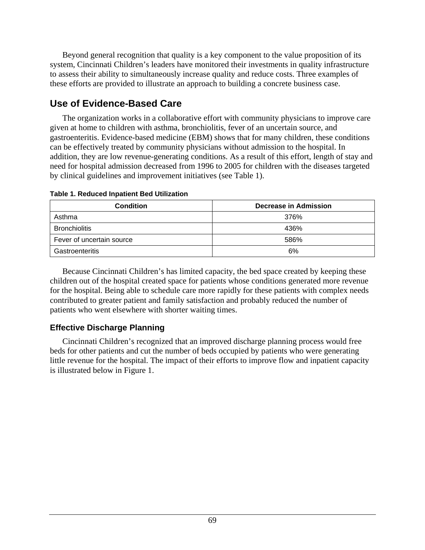Beyond general recognition that quality is a key component to the value proposition of its system, Cincinnati Children's leaders have monitored their investments in quality infrastructure to assess their ability to simultaneously increase quality and reduce costs. Three examples of these efforts are provided to illustrate an approach to building a concrete business case.

## **Use of Evidence-Based Care**

 The organization works in a collaborative effort with community physicians to improve care given at home to children with asthma, bronchiolitis, fever of an uncertain source, and gastroenteritis. Evidence-based medicine (EBM) shows that for many children, these conditions can be effectively treated by community physicians without admission to the hospital. In addition, they are low revenue-generating conditions. As a result of this effort, length of stay and need for hospital admission decreased from 1996 to 2005 for children with the diseases targeted by clinical guidelines and improvement initiatives (see Table 1).

| <b>Condition</b>          | Decrease in Admission |
|---------------------------|-----------------------|
| Asthma                    | 376%                  |
| <b>Bronchiolitis</b>      | 436%                  |
| Fever of uncertain source | 586%                  |
| Gastroenteritis           | 6%                    |

#### **Table 1. Reduced Inpatient Bed Utilization**

 Because Cincinnati Children's has limited capacity, the bed space created by keeping these children out of the hospital created space for patients whose conditions generated more revenue for the hospital. Being able to schedule care more rapidly for these patients with complex needs contributed to greater patient and family satisfaction and probably reduced the number of patients who went elsewhere with shorter waiting times.

### **Effective Discharge Planning**

 Cincinnati Children's recognized that an improved discharge planning process would free beds for other patients and cut the number of beds occupied by patients who were generating little revenue for the hospital. The impact of their efforts to improve flow and inpatient capacity is illustrated below in Figure 1.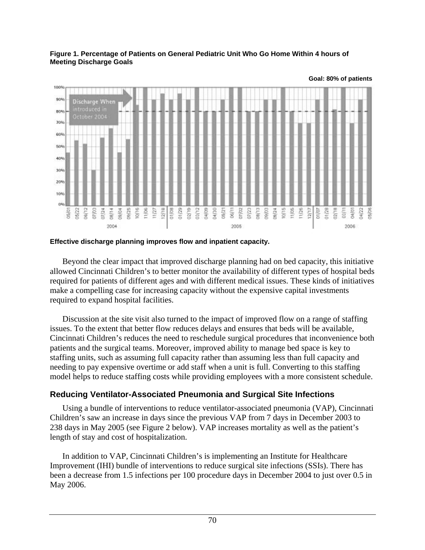

#### **Figure 1. Percentage of Patients on General Pediatric Unit Who Go Home Within 4 hours of Meeting Discharge Goals**

#### **Effective discharge planning improves flow and inpatient capacity.**

 Beyond the clear impact that improved discharge planning had on bed capacity, this initiative allowed Cincinnati Children's to better monitor the availability of different types of hospital beds required for patients of different ages and with different medical issues. These kinds of initiatives make a compelling case for increasing capacity without the expensive capital investments required to expand hospital facilities.

 Discussion at the site visit also turned to the impact of improved flow on a range of staffing issues. To the extent that better flow reduces delays and ensures that beds will be available, Cincinnati Children's reduces the need to reschedule surgical procedures that inconvenience both patients and the surgical teams. Moreover, improved ability to manage bed space is key to staffing units, such as assuming full capacity rather than assuming less than full capacity and needing to pay expensive overtime or add staff when a unit is full. Converting to this staffing model helps to reduce staffing costs while providing employees with a more consistent schedule.

#### **Reducing Ventilator-Associated Pneumonia and Surgical Site Infections**

 Using a bundle of interventions to reduce ventilator-associated pneumonia (VAP), Cincinnati Children's saw an increase in days since the previous VAP from 7 days in December 2003 to 238 days in May 2005 (see Figure 2 below). VAP increases mortality as well as the patient's length of stay and cost of hospitalization.

 In addition to VAP, Cincinnati Children's is implementing an Institute for Healthcare Improvement (IHI) bundle of interventions to reduce surgical site infections (SSIs). There has been a decrease from 1.5 infections per 100 procedure days in December 2004 to just over 0.5 in May 2006.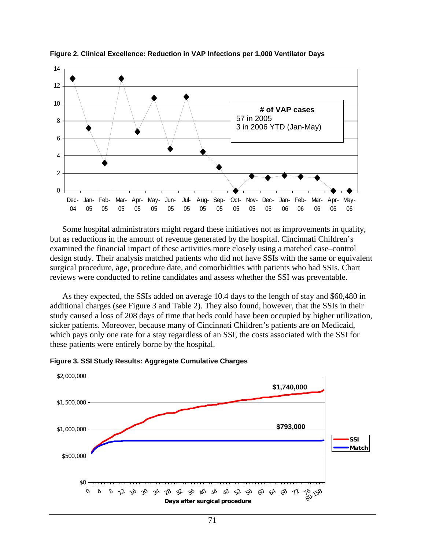

**Figure 2. Clinical Excellence: Reduction in VAP Infections per 1,000 Ventilator Days** 

 Some hospital administrators might regard these initiatives not as improvements in quality, but as reductions in the amount of revenue generated by the hospital. Cincinnati Children's examined the financial impact of these activities more closely using a matched case–control design study. Their analysis matched patients who did not have SSIs with the same or equivalent surgical procedure, age, procedure date, and comorbidities with patients who had SSIs. Chart reviews were conducted to refine candidates and assess whether the SSI was preventable.

 As they expected, the SSIs added on average 10.4 days to the length of stay and \$60,480 in additional charges (see Figure 3 and Table 2). They also found, however, that the SSIs in their study caused a loss of 208 days of time that beds could have been occupied by higher utilization, sicker patients. Moreover, because many of Cincinnati Children's patients are on Medicaid, which pays only one rate for a stay regardless of an SSI, the costs associated with the SSI for these patients were entirely borne by the hospital.



**Figure 3. SSI Study Results: Aggregate Cumulative Charges**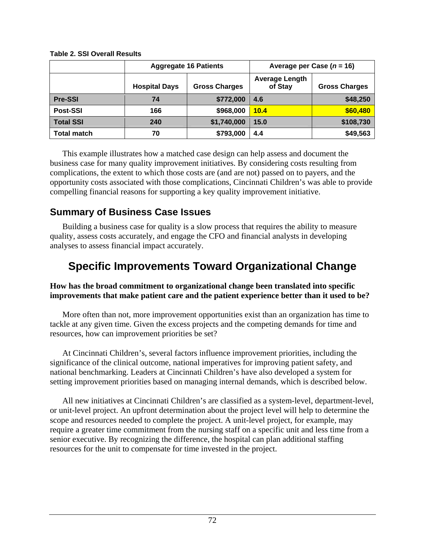|                    | <b>Aggregate 16 Patients</b> |                      | Average per Case $(n = 16)$      |                      |
|--------------------|------------------------------|----------------------|----------------------------------|----------------------|
|                    | <b>Hospital Days</b>         | <b>Gross Charges</b> | <b>Average Length</b><br>of Stay | <b>Gross Charges</b> |
| <b>Pre-SSI</b>     | 74                           | \$772,000            | 4.6                              | \$48,250             |
| Post-SSI           | 166                          | \$968,000            | 10.4                             | \$60,480             |
| <b>Total SSI</b>   | 240                          | \$1,740,000          | 15.0                             | \$108,730            |
| <b>Total match</b> | 70                           | \$793,000            | 4.4                              | \$49,563             |

#### **Table 2. SSI Overall Results**

 This example illustrates how a matched case design can help assess and document the business case for many quality improvement initiatives. By considering costs resulting from complications, the extent to which those costs are (and are not) passed on to payers, and the opportunity costs associated with those complications, Cincinnati Children's was able to provide compelling financial reasons for supporting a key quality improvement initiative.

## **Summary of Business Case Issues**

 Building a business case for quality is a slow process that requires the ability to measure quality, assess costs accurately, and engage the CFO and financial analysts in developing analyses to assess financial impact accurately.

# **Specific Improvements Toward Organizational Change**

#### **How has the broad commitment to organizational change been translated into specific improvements that make patient care and the patient experience better than it used to be?**

 More often than not, more improvement opportunities exist than an organization has time to tackle at any given time. Given the excess projects and the competing demands for time and resources, how can improvement priorities be set?

 At Cincinnati Children's, several factors influence improvement priorities, including the significance of the clinical outcome, national imperatives for improving patient safety, and national benchmarking. Leaders at Cincinnati Children's have also developed a system for setting improvement priorities based on managing internal demands, which is described below.

 All new initiatives at Cincinnati Children's are classified as a system-level, department-level, or unit-level project. An upfront determination about the project level will help to determine the scope and resources needed to complete the project. A unit-level project, for example, may require a greater time commitment from the nursing staff on a specific unit and less time from a senior executive. By recognizing the difference, the hospital can plan additional staffing resources for the unit to compensate for time invested in the project.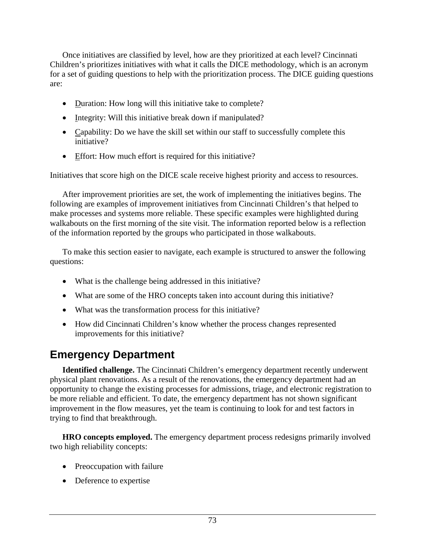Once initiatives are classified by level, how are they prioritized at each level? Cincinnati Children's prioritizes initiatives with what it calls the DICE methodology, which is an acronym for a set of guiding questions to help with the prioritization process. The DICE guiding questions are:

- Duration: How long will this initiative take to complete?
- Integrity: Will this initiative break down if manipulated?
- Capability: Do we have the skill set within our staff to successfully complete this initiative?
- Effort: How much effort is required for this initiative?

Initiatives that score high on the DICE scale receive highest priority and access to resources.

 After improvement priorities are set, the work of implementing the initiatives begins. The following are examples of improvement initiatives from Cincinnati Children's that helped to make processes and systems more reliable. These specific examples were highlighted during walkabouts on the first morning of the site visit. The information reported below is a reflection of the information reported by the groups who participated in those walkabouts.

 To make this section easier to navigate, each example is structured to answer the following questions:

- What is the challenge being addressed in this initiative?
- What are some of the HRO concepts taken into account during this initiative?
- What was the transformation process for this initiative?
- How did Cincinnati Children's know whether the process changes represented improvements for this initiative?

# **Emergency Department**

 **Identified challenge.** The Cincinnati Children's emergency department recently underwent physical plant renovations. As a result of the renovations, the emergency department had an opportunity to change the existing processes for admissions, triage, and electronic registration to be more reliable and efficient. To date, the emergency department has not shown significant improvement in the flow measures, yet the team is continuing to look for and test factors in trying to find that breakthrough.

 **HRO concepts employed.** The emergency department process redesigns primarily involved two high reliability concepts:

- Preoccupation with failure
- Deference to expertise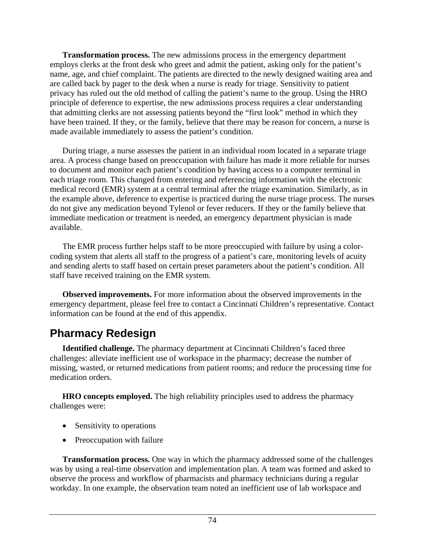**Transformation process.** The new admissions process in the emergency department employs clerks at the front desk who greet and admit the patient, asking only for the patient's name, age, and chief complaint. The patients are directed to the newly designed waiting area and are called back by pager to the desk when a nurse is ready for triage. Sensitivity to patient privacy has ruled out the old method of calling the patient's name to the group. Using the HRO principle of deference to expertise, the new admissions process requires a clear understanding that admitting clerks are not assessing patients beyond the "first look" method in which they have been trained. If they, or the family, believe that there may be reason for concern, a nurse is made available immediately to assess the patient's condition.

 During triage, a nurse assesses the patient in an individual room located in a separate triage area. A process change based on preoccupation with failure has made it more reliable for nurses to document and monitor each patient's condition by having access to a computer terminal in each triage room. This changed from entering and referencing information with the electronic medical record (EMR) system at a central terminal after the triage examination. Similarly, as in the example above, deference to expertise is practiced during the nurse triage process. The nurses do not give any medication beyond Tylenol or fever reducers. If they or the family believe that immediate medication or treatment is needed, an emergency department physician is made available.

 The EMR process further helps staff to be more preoccupied with failure by using a colorcoding system that alerts all staff to the progress of a patient's care, monitoring levels of acuity and sending alerts to staff based on certain preset parameters about the patient's condition. All staff have received training on the EMR system.

 **Observed improvements.** For more information about the observed improvements in the emergency department, please feel free to contact a Cincinnati Children's representative. Contact information can be found at the end of this appendix.

## **Pharmacy Redesign**

 **Identified challenge.** The pharmacy department at Cincinnati Children's faced three challenges: alleviate inefficient use of workspace in the pharmacy; decrease the number of missing, wasted, or returned medications from patient rooms; and reduce the processing time for medication orders.

 **HRO concepts employed.** The high reliability principles used to address the pharmacy challenges were:

- Sensitivity to operations
- Preoccupation with failure

 **Transformation process.** One way in which the pharmacy addressed some of the challenges was by using a real-time observation and implementation plan. A team was formed and asked to observe the process and workflow of pharmacists and pharmacy technicians during a regular workday. In one example, the observation team noted an inefficient use of lab workspace and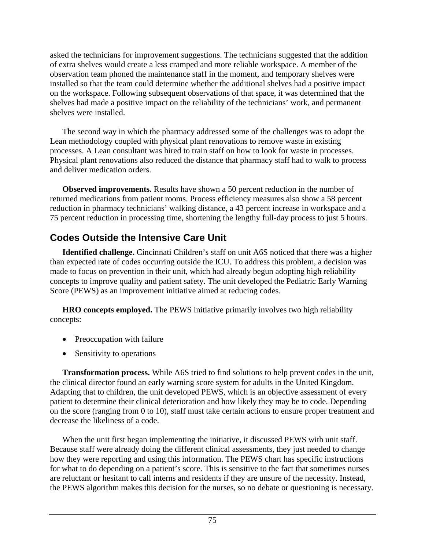asked the technicians for improvement suggestions. The technicians suggested that the addition of extra shelves would create a less cramped and more reliable workspace. A member of the observation team phoned the maintenance staff in the moment, and temporary shelves were installed so that the team could determine whether the additional shelves had a positive impact on the workspace. Following subsequent observations of that space, it was determined that the shelves had made a positive impact on the reliability of the technicians' work, and permanent shelves were installed.

 The second way in which the pharmacy addressed some of the challenges was to adopt the Lean methodology coupled with physical plant renovations to remove waste in existing processes. A Lean consultant was hired to train staff on how to look for waste in processes. Physical plant renovations also reduced the distance that pharmacy staff had to walk to process and deliver medication orders.

 **Observed improvements.** Results have shown a 50 percent reduction in the number of returned medications from patient rooms. Process efficiency measures also show a 58 percent reduction in pharmacy technicians' walking distance, a 43 percent increase in workspace and a 75 percent reduction in processing time, shortening the lengthy full-day process to just 5 hours.

## **Codes Outside the Intensive Care Unit**

 **Identified challenge.** Cincinnati Children's staff on unit A6S noticed that there was a higher than expected rate of codes occurring outside the ICU. To address this problem, a decision was made to focus on prevention in their unit, which had already begun adopting high reliability concepts to improve quality and patient safety. The unit developed the Pediatric Early Warning Score (PEWS) as an improvement initiative aimed at reducing codes.

 **HRO concepts employed.** The PEWS initiative primarily involves two high reliability concepts:

- Preoccupation with failure
- Sensitivity to operations

 **Transformation process.** While A6S tried to find solutions to help prevent codes in the unit, the clinical director found an early warning score system for adults in the United Kingdom. Adapting that to children, the unit developed PEWS, which is an objective assessment of every patient to determine their clinical deterioration and how likely they may be to code. Depending on the score (ranging from 0 to 10), staff must take certain actions to ensure proper treatment and decrease the likeliness of a code.

 When the unit first began implementing the initiative, it discussed PEWS with unit staff. Because staff were already doing the different clinical assessments, they just needed to change how they were reporting and using this information. The PEWS chart has specific instructions for what to do depending on a patient's score. This is sensitive to the fact that sometimes nurses are reluctant or hesitant to call interns and residents if they are unsure of the necessity. Instead, the PEWS algorithm makes this decision for the nurses, so no debate or questioning is necessary.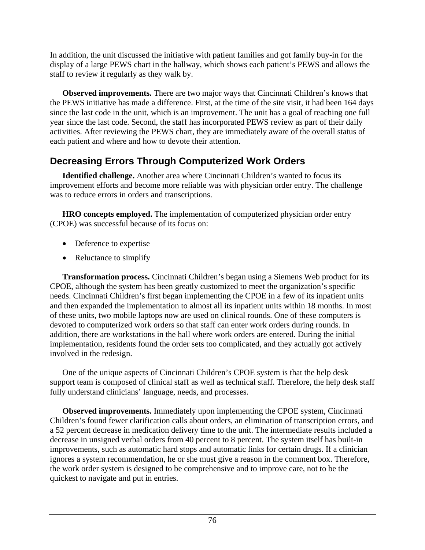In addition, the unit discussed the initiative with patient families and got family buy-in for the display of a large PEWS chart in the hallway, which shows each patient's PEWS and allows the staff to review it regularly as they walk by.

 **Observed improvements.** There are two major ways that Cincinnati Children's knows that the PEWS initiative has made a difference. First, at the time of the site visit, it had been 164 days since the last code in the unit, which is an improvement. The unit has a goal of reaching one full year since the last code. Second, the staff has incorporated PEWS review as part of their daily activities. After reviewing the PEWS chart, they are immediately aware of the overall status of each patient and where and how to devote their attention.

## **Decreasing Errors Through Computerized Work Orders**

 **Identified challenge.** Another area where Cincinnati Children's wanted to focus its improvement efforts and become more reliable was with physician order entry. The challenge was to reduce errors in orders and transcriptions.

 **HRO concepts employed.** The implementation of computerized physician order entry (CPOE) was successful because of its focus on:

- Deference to expertise
- Reluctance to simplify

 **Transformation process.** Cincinnati Children's began using a Siemens Web product for its CPOE, although the system has been greatly customized to meet the organization's specific needs. Cincinnati Children's first began implementing the CPOE in a few of its inpatient units and then expanded the implementation to almost all its inpatient units within 18 months. In most of these units, two mobile laptops now are used on clinical rounds. One of these computers is devoted to computerized work orders so that staff can enter work orders during rounds. In addition, there are workstations in the hall where work orders are entered. During the initial implementation, residents found the order sets too complicated, and they actually got actively involved in the redesign.

 One of the unique aspects of Cincinnati Children's CPOE system is that the help desk support team is composed of clinical staff as well as technical staff. Therefore, the help desk staff fully understand clinicians' language, needs, and processes.

 **Observed improvements.** Immediately upon implementing the CPOE system, Cincinnati Children's found fewer clarification calls about orders, an elimination of transcription errors, and a 52 percent decrease in medication delivery time to the unit. The intermediate results included a decrease in unsigned verbal orders from 40 percent to 8 percent. The system itself has built-in improvements, such as automatic hard stops and automatic links for certain drugs. If a clinician ignores a system recommendation, he or she must give a reason in the comment box. Therefore, the work order system is designed to be comprehensive and to improve care, not to be the quickest to navigate and put in entries.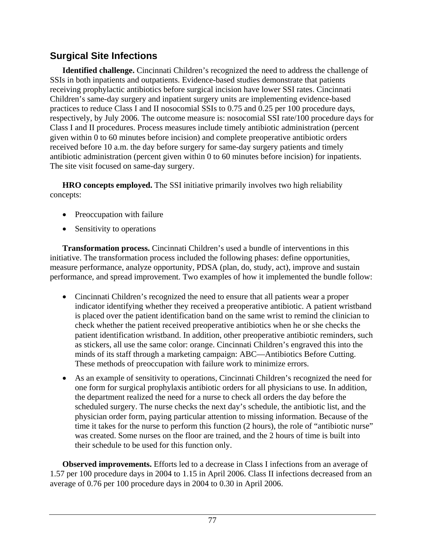## **Surgical Site Infections**

 **Identified challenge.** Cincinnati Children's recognized the need to address the challenge of SSIs in both inpatients and outpatients. Evidence-based studies demonstrate that patients receiving prophylactic antibiotics before surgical incision have lower SSI rates. Cincinnati Children's same-day surgery and inpatient surgery units are implementing evidence-based practices to reduce Class I and II nosocomial SSIs to 0.75 and 0.25 per 100 procedure days, respectively, by July 2006. The outcome measure is: nosocomial SSI rate/100 procedure days for Class I and II procedures. Process measures include timely antibiotic administration (percent given within 0 to 60 minutes before incision) and complete preoperative antibiotic orders received before 10 a.m. the day before surgery for same-day surgery patients and timely antibiotic administration (percent given within 0 to 60 minutes before incision) for inpatients. The site visit focused on same-day surgery.

 **HRO concepts employed.** The SSI initiative primarily involves two high reliability concepts:

- Preoccupation with failure
- Sensitivity to operations

 **Transformation process.** Cincinnati Children's used a bundle of interventions in this initiative. The transformation process included the following phases: define opportunities, measure performance, analyze opportunity, PDSA (plan, do, study, act), improve and sustain performance, and spread improvement. Two examples of how it implemented the bundle follow:

- Cincinnati Children's recognized the need to ensure that all patients wear a proper indicator identifying whether they received a preoperative antibiotic. A patient wristband is placed over the patient identification band on the same wrist to remind the clinician to check whether the patient received preoperative antibiotics when he or she checks the patient identification wristband. In addition, other preoperative antibiotic reminders, such as stickers, all use the same color: orange. Cincinnati Children's engraved this into the minds of its staff through a marketing campaign: ABC—Antibiotics Before Cutting. These methods of preoccupation with failure work to minimize errors.
- As an example of sensitivity to operations, Cincinnati Children's recognized the need for one form for surgical prophylaxis antibiotic orders for all physicians to use. In addition, the department realized the need for a nurse to check all orders the day before the scheduled surgery. The nurse checks the next day's schedule, the antibiotic list, and the physician order form, paying particular attention to missing information. Because of the time it takes for the nurse to perform this function (2 hours), the role of "antibiotic nurse" was created. Some nurses on the floor are trained, and the 2 hours of time is built into their schedule to be used for this function only.

 **Observed improvements.** Efforts led to a decrease in Class I infections from an average of 1.57 per 100 procedure days in 2004 to 1.15 in April 2006. Class II infections decreased from an average of 0.76 per 100 procedure days in 2004 to 0.30 in April 2006.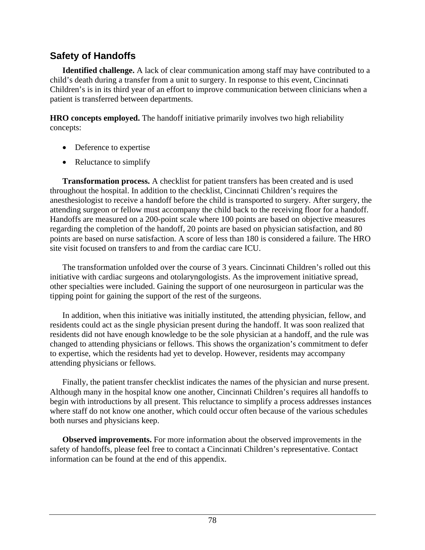## **Safety of Handoffs**

 **Identified challenge.** A lack of clear communication among staff may have contributed to a child's death during a transfer from a unit to surgery. In response to this event, Cincinnati Children's is in its third year of an effort to improve communication between clinicians when a patient is transferred between departments.

**HRO concepts employed.** The handoff initiative primarily involves two high reliability concepts:

- Deference to expertise
- Reluctance to simplify

 **Transformation process.** A checklist for patient transfers has been created and is used throughout the hospital. In addition to the checklist, Cincinnati Children's requires the anesthesiologist to receive a handoff before the child is transported to surgery. After surgery, the attending surgeon or fellow must accompany the child back to the receiving floor for a handoff. Handoffs are measured on a 200-point scale where 100 points are based on objective measures regarding the completion of the handoff, 20 points are based on physician satisfaction, and 80 points are based on nurse satisfaction. A score of less than 180 is considered a failure. The HRO site visit focused on transfers to and from the cardiac care ICU.

 The transformation unfolded over the course of 3 years. Cincinnati Children's rolled out this initiative with cardiac surgeons and otolaryngologists. As the improvement initiative spread, other specialties were included. Gaining the support of one neurosurgeon in particular was the tipping point for gaining the support of the rest of the surgeons.

 In addition, when this initiative was initially instituted, the attending physician, fellow, and residents could act as the single physician present during the handoff. It was soon realized that residents did not have enough knowledge to be the sole physician at a handoff, and the rule was changed to attending physicians or fellows. This shows the organization's commitment to defer to expertise, which the residents had yet to develop. However, residents may accompany attending physicians or fellows.

 Finally, the patient transfer checklist indicates the names of the physician and nurse present. Although many in the hospital know one another, Cincinnati Children's requires all handoffs to begin with introductions by all present. This reluctance to simplify a process addresses instances where staff do not know one another, which could occur often because of the various schedules both nurses and physicians keep.

 **Observed improvements.** For more information about the observed improvements in the safety of handoffs, please feel free to contact a Cincinnati Children's representative. Contact information can be found at the end of this appendix.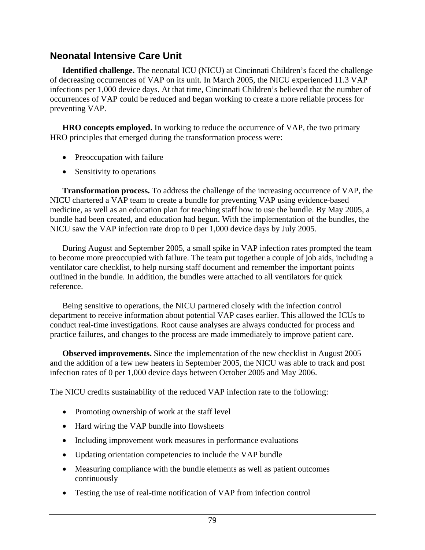### **Neonatal Intensive Care Unit**

 **Identified challenge.** The neonatal ICU (NICU) at Cincinnati Children's faced the challenge of decreasing occurrences of VAP on its unit. In March 2005, the NICU experienced 11.3 VAP infections per 1,000 device days. At that time, Cincinnati Children's believed that the number of occurrences of VAP could be reduced and began working to create a more reliable process for preventing VAP.

 **HRO concepts employed.** In working to reduce the occurrence of VAP, the two primary HRO principles that emerged during the transformation process were:

- Preoccupation with failure
- Sensitivity to operations

 **Transformation process.** To address the challenge of the increasing occurrence of VAP, the NICU chartered a VAP team to create a bundle for preventing VAP using evidence-based medicine, as well as an education plan for teaching staff how to use the bundle. By May 2005, a bundle had been created, and education had begun. With the implementation of the bundles, the NICU saw the VAP infection rate drop to 0 per 1,000 device days by July 2005.

 During August and September 2005, a small spike in VAP infection rates prompted the team to become more preoccupied with failure. The team put together a couple of job aids, including a ventilator care checklist, to help nursing staff document and remember the important points outlined in the bundle. In addition, the bundles were attached to all ventilators for quick reference.

 Being sensitive to operations, the NICU partnered closely with the infection control department to receive information about potential VAP cases earlier. This allowed the ICUs to conduct real-time investigations. Root cause analyses are always conducted for process and practice failures, and changes to the process are made immediately to improve patient care.

 **Observed improvements.** Since the implementation of the new checklist in August 2005 and the addition of a few new heaters in September 2005, the NICU was able to track and post infection rates of 0 per 1,000 device days between October 2005 and May 2006.

The NICU credits sustainability of the reduced VAP infection rate to the following:

- Promoting ownership of work at the staff level
- Hard wiring the VAP bundle into flowsheets
- Including improvement work measures in performance evaluations
- Updating orientation competencies to include the VAP bundle
- Measuring compliance with the bundle elements as well as patient outcomes continuously
- Testing the use of real-time notification of VAP from infection control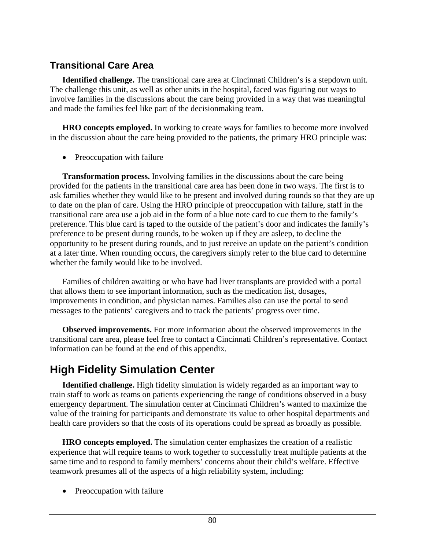## **Transitional Care Area**

 **Identified challenge.** The transitional care area at Cincinnati Children's is a stepdown unit. The challenge this unit, as well as other units in the hospital, faced was figuring out ways to involve families in the discussions about the care being provided in a way that was meaningful and made the families feel like part of the decisionmaking team.

 **HRO concepts employed.** In working to create ways for families to become more involved in the discussion about the care being provided to the patients, the primary HRO principle was:

• Preoccupation with failure

 **Transformation process.** Involving families in the discussions about the care being provided for the patients in the transitional care area has been done in two ways. The first is to ask families whether they would like to be present and involved during rounds so that they are up to date on the plan of care. Using the HRO principle of preoccupation with failure, staff in the transitional care area use a job aid in the form of a blue note card to cue them to the family's preference. This blue card is taped to the outside of the patient's door and indicates the family's preference to be present during rounds, to be woken up if they are asleep, to decline the opportunity to be present during rounds, and to just receive an update on the patient's condition at a later time. When rounding occurs, the caregivers simply refer to the blue card to determine whether the family would like to be involved.

 Families of children awaiting or who have had liver transplants are provided with a portal that allows them to see important information, such as the medication list, dosages, improvements in condition, and physician names. Families also can use the portal to send messages to the patients' caregivers and to track the patients' progress over time.

 **Observed improvements.** For more information about the observed improvements in the transitional care area, please feel free to contact a Cincinnati Children's representative. Contact information can be found at the end of this appendix.

# **High Fidelity Simulation Center**

 **Identified challenge.** High fidelity simulation is widely regarded as an important way to train staff to work as teams on patients experiencing the range of conditions observed in a busy emergency department. The simulation center at Cincinnati Children's wanted to maximize the value of the training for participants and demonstrate its value to other hospital departments and health care providers so that the costs of its operations could be spread as broadly as possible.

 **HRO concepts employed.** The simulation center emphasizes the creation of a realistic experience that will require teams to work together to successfully treat multiple patients at the same time and to respond to family members' concerns about their child's welfare. Effective teamwork presumes all of the aspects of a high reliability system, including:

• Preoccupation with failure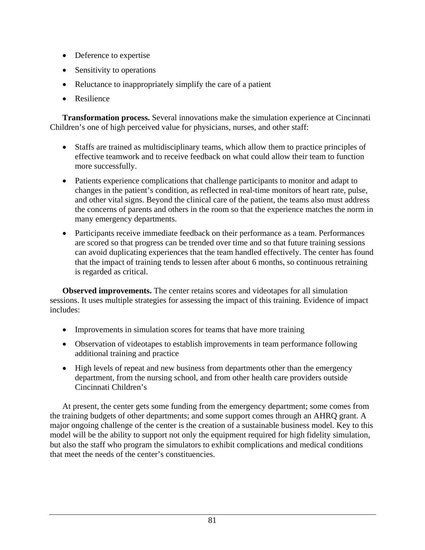- Deference to expertise
- Sensitivity to operations
- Reluctance to inappropriately simplify the care of a patient
- Resilience

 **Transformation process.** Several innovations make the simulation experience at Cincinnati Children's one of high perceived value for physicians, nurses, and other staff:

- Staffs are trained as multidisciplinary teams, which allow them to practice principles of effective teamwork and to receive feedback on what could allow their team to function more successfully.
- Patients experience complications that challenge participants to monitor and adapt to changes in the patient's condition, as reflected in real-time monitors of heart rate, pulse, and other vital signs. Beyond the clinical care of the patient, the teams also must address the concerns of parents and others in the room so that the experience matches the norm in many emergency departments.
- Participants receive immediate feedback on their performance as a team. Performances are scored so that progress can be trended over time and so that future training sessions can avoid duplicating experiences that the team handled effectively. The center has found that the impact of training tends to lessen after about 6 months, so continuous retraining is regarded as critical.

 **Observed improvements.** The center retains scores and videotapes for all simulation sessions. It uses multiple strategies for assessing the impact of this training. Evidence of impact includes:

- Improvements in simulation scores for teams that have more training
- Observation of videotapes to establish improvements in team performance following additional training and practice
- High levels of repeat and new business from departments other than the emergency department, from the nursing school, and from other health care providers outside Cincinnati Children's

 At present, the center gets some funding from the emergency department; some comes from the training budgets of other departments; and some support comes through an AHRQ grant. A major ongoing challenge of the center is the creation of a sustainable business model. Key to this model will be the ability to support not only the equipment required for high fidelity simulation, but also the staff who program the simulators to exhibit complications and medical conditions that meet the needs of the center's constituencies.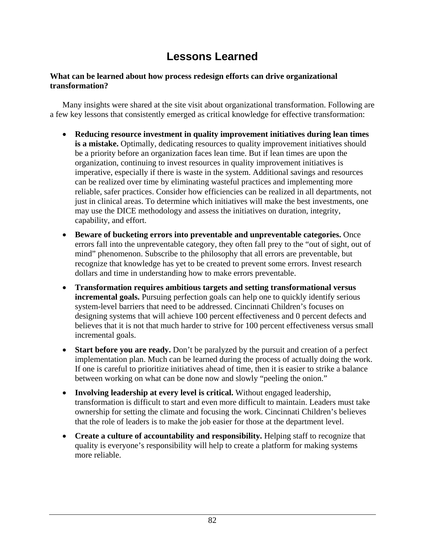# **Lessons Learned**

#### **What can be learned about how process redesign efforts can drive organizational transformation?**

 Many insights were shared at the site visit about organizational transformation. Following are a few key lessons that consistently emerged as critical knowledge for effective transformation:

- **Reducing resource investment in quality improvement initiatives during lean times is a mistake.** Optimally, dedicating resources to quality improvement initiatives should be a priority before an organization faces lean time. But if lean times are upon the organization, continuing to invest resources in quality improvement initiatives is imperative, especially if there is waste in the system. Additional savings and resources can be realized over time by eliminating wasteful practices and implementing more reliable, safer practices. Consider how efficiencies can be realized in all departments, not just in clinical areas. To determine which initiatives will make the best investments, one may use the DICE methodology and assess the initiatives on duration, integrity, capability, and effort.
- **Beware of bucketing errors into preventable and unpreventable categories.** Once errors fall into the unpreventable category, they often fall prey to the "out of sight, out of mind" phenomenon. Subscribe to the philosophy that all errors are preventable, but recognize that knowledge has yet to be created to prevent some errors. Invest research dollars and time in understanding how to make errors preventable.
- **Transformation requires ambitious targets and setting transformational versus incremental goals.** Pursuing perfection goals can help one to quickly identify serious system-level barriers that need to be addressed. Cincinnati Children's focuses on designing systems that will achieve 100 percent effectiveness and 0 percent defects and believes that it is not that much harder to strive for 100 percent effectiveness versus small incremental goals.
- **Start before you are ready.** Don't be paralyzed by the pursuit and creation of a perfect implementation plan. Much can be learned during the process of actually doing the work. If one is careful to prioritize initiatives ahead of time, then it is easier to strike a balance between working on what can be done now and slowly "peeling the onion."
- **Involving leadership at every level is critical.** Without engaged leadership, transformation is difficult to start and even more difficult to maintain. Leaders must take ownership for setting the climate and focusing the work. Cincinnati Children's believes that the role of leaders is to make the job easier for those at the department level.
- **Create a culture of accountability and responsibility.** Helping staff to recognize that quality is everyone's responsibility will help to create a platform for making systems more reliable.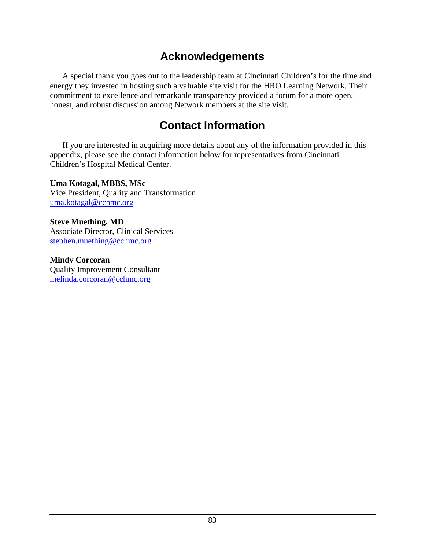# **Acknowledgements**

 A special thank you goes out to the leadership team at Cincinnati Children's for the time and energy they invested in hosting such a valuable site visit for the HRO Learning Network. Their commitment to excellence and remarkable transparency provided a forum for a more open, honest, and robust discussion among Network members at the site visit.

# **Contact Information**

 If you are interested in acquiring more details about any of the information provided in this appendix, please see the contact information below for representatives from Cincinnati Children's Hospital Medical Center.

**Uma Kotagal, MBBS, MSc**  Vice President, Quality and Transformation [uma.kotagal@cchmc.org](mailto:uma.kotagal@cchmc.org)

**Steve Muething, MD**  Associate Director, Clinical Services [stephen.muething@cchmc.org](mailto:stephen.muething@cchmc.org)

**Mindy Corcoran**  Quality Improvement Consultant [melinda.corcoran@cchmc.org](mailto:melinda.corcoran@cchmc.org)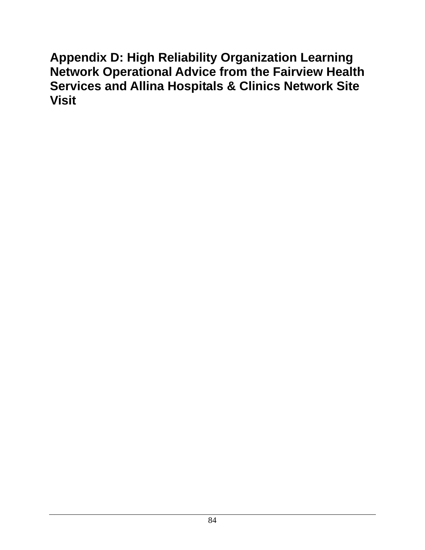**Appendix D: High Reliability Organization Learning Network Operational Advice from the Fairview Health Services and Allina Hospitals & Clinics Network Site Visit**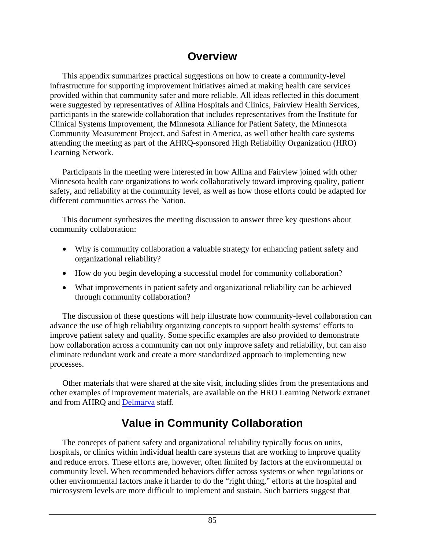## **Overview**

 This appendix summarizes practical suggestions on how to create a community-level infrastructure for supporting improvement initiatives aimed at making health care services provided within that community safer and more reliable. All ideas reflected in this document were suggested by representatives of Allina Hospitals and Clinics, Fairview Health Services, participants in the statewide collaboration that includes representatives from the Institute for Clinical Systems Improvement, the Minnesota Alliance for Patient Safety, the Minnesota Community Measurement Project, and Safest in America, as well other health care systems attending the meeting as part of the AHRQ-sponsored High Reliability Organization (HRO) Learning Network.

 Participants in the meeting were interested in how Allina and Fairview joined with other Minnesota health care organizations to work collaboratively toward improving quality, patient safety, and reliability at the community level, as well as how those efforts could be adapted for different communities across the Nation.

 This document synthesizes the meeting discussion to answer three key questions about community collaboration:

- Why is community collaboration a valuable strategy for enhancing patient safety and organizational reliability?
- How do you begin developing a successful model for community collaboration?
- What improvements in patient safety and organizational reliability can be achieved through community collaboration?

 The discussion of these questions will help illustrate how community-level collaboration can advance the use of high reliability organizing concepts to support health systems' efforts to improve patient safety and quality. Some specific examples are also provided to demonstrate how collaboration across a community can not only improve safety and reliability, but can also eliminate redundant work and create a more standardized approach to implementing new processes.

 Other materials that were shared at the site visit, including slides from the presentations and other examples of improvement materials, are available on the HRO Learning Network extranet and from AHRQ and [Delmarva](http://www.delmarvafoundation.org/) staff.

# **Value in Community Collaboration**

 The concepts of patient safety and organizational reliability typically focus on units, hospitals, or clinics within individual health care systems that are working to improve quality and reduce errors. These efforts are, however, often limited by factors at the environmental or community level. When recommended behaviors differ across systems or when regulations or other environmental factors make it harder to do the "right thing," efforts at the hospital and microsystem levels are more difficult to implement and sustain. Such barriers suggest that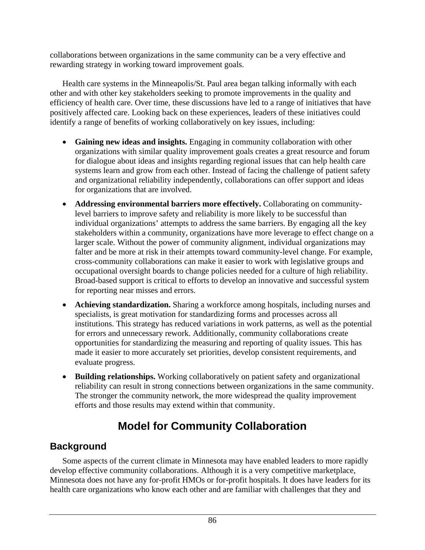collaborations between organizations in the same community can be a very effective and rewarding strategy in working toward improvement goals.

 Health care systems in the Minneapolis/St. Paul area began talking informally with each other and with other key stakeholders seeking to promote improvements in the quality and efficiency of health care. Over time, these discussions have led to a range of initiatives that have positively affected care. Looking back on these experiences, leaders of these initiatives could identify a range of benefits of working collaboratively on key issues, including:

- **Gaining new ideas and insights.** Engaging in community collaboration with other organizations with similar quality improvement goals creates a great resource and forum for dialogue about ideas and insights regarding regional issues that can help health care systems learn and grow from each other. Instead of facing the challenge of patient safety and organizational reliability independently, collaborations can offer support and ideas for organizations that are involved.
- **Addressing environmental barriers more effectively.** Collaborating on communitylevel barriers to improve safety and reliability is more likely to be successful than individual organizations' attempts to address the same barriers. By engaging all the key stakeholders within a community, organizations have more leverage to effect change on a larger scale. Without the power of community alignment, individual organizations may falter and be more at risk in their attempts toward community-level change. For example, cross-community collaborations can make it easier to work with legislative groups and occupational oversight boards to change policies needed for a culture of high reliability. Broad-based support is critical to efforts to develop an innovative and successful system for reporting near misses and errors.
- **Achieving standardization.** Sharing a workforce among hospitals, including nurses and specialists, is great motivation for standardizing forms and processes across all institutions. This strategy has reduced variations in work patterns, as well as the potential for errors and unnecessary rework. Additionally, community collaborations create opportunities for standardizing the measuring and reporting of quality issues. This has made it easier to more accurately set priorities, develop consistent requirements, and evaluate progress.
- **Building relationships.** Working collaboratively on patient safety and organizational reliability can result in strong connections between organizations in the same community. The stronger the community network, the more widespread the quality improvement efforts and those results may extend within that community.

# **Model for Community Collaboration**

## **Background**

 Some aspects of the current climate in Minnesota may have enabled leaders to more rapidly develop effective community collaborations. Although it is a very competitive marketplace, Minnesota does not have any for-profit HMOs or for-profit hospitals. It does have leaders for its health care organizations who know each other and are familiar with challenges that they and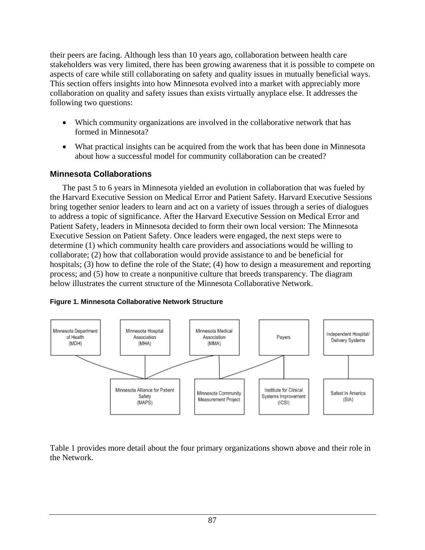their peers are facing. Although less than 10 years ago, collaboration between health care stakeholders was very limited, there has been growing awareness that it is possible to compete on aspects of care while still collaborating on safety and quality issues in mutually beneficial ways. This section offers insights into how Minnesota evolved into a market with appreciably more collaboration on quality and safety issues than exists virtually anyplace else. It addresses the following two questions:

- Which community organizations are involved in the collaborative network that has formed in Minnesota?
- What practical insights can be acquired from the work that has been done in Minnesota about how a successful model for community collaboration can be created?

### **Minnesota Collaborations**

 The past 5 to 6 years in Minnesota yielded an evolution in collaboration that was fueled by the Harvard Executive Session on Medical Error and Patient Safety. Harvard Executive Sessions bring together senior leaders to learn and act on a variety of issues through a series of dialogues to address a topic of significance. After the Harvard Executive Session on Medical Error and Patient Safety, leaders in Minnesota decided to form their own local version: The Minnesota Executive Session on Patient Safety. Once leaders were engaged, the next steps were to determine (1) which community health care providers and associations would be willing to collaborate; (2) how that collaboration would provide assistance to and be beneficial for hospitals; (3) how to define the role of the State; (4) how to design a measurement and reporting process; and (5) how to create a nonpunitive culture that breeds transparency. The diagram below illustrates the current structure of the Minnesota Collaborative Network.





Table 1 provides more detail about the four primary organizations shown above and their role in the Network.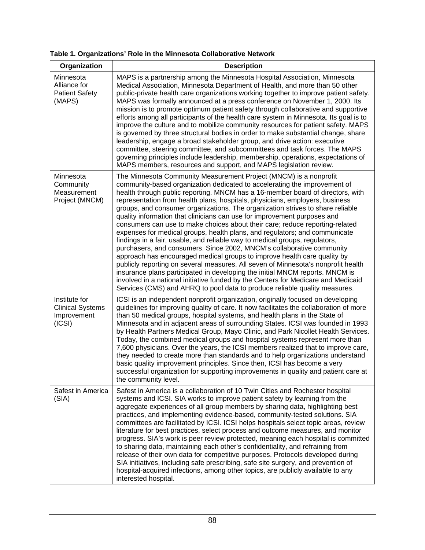| Table 1. Organizations' Role in the Minnesota Collaborative Network |  |  |
|---------------------------------------------------------------------|--|--|
|---------------------------------------------------------------------|--|--|

| Organization                                                      | <b>Description</b>                                                                                                                                                                                                                                                                                                                                                                                                                                                                                                                                                                                                                                                                                                                                                                                                                                                                                                                                                                                                                                                                                                                                                                                                       |
|-------------------------------------------------------------------|--------------------------------------------------------------------------------------------------------------------------------------------------------------------------------------------------------------------------------------------------------------------------------------------------------------------------------------------------------------------------------------------------------------------------------------------------------------------------------------------------------------------------------------------------------------------------------------------------------------------------------------------------------------------------------------------------------------------------------------------------------------------------------------------------------------------------------------------------------------------------------------------------------------------------------------------------------------------------------------------------------------------------------------------------------------------------------------------------------------------------------------------------------------------------------------------------------------------------|
| Minnesota<br>Alliance for<br><b>Patient Safety</b><br>(MAPS)      | MAPS is a partnership among the Minnesota Hospital Association, Minnesota<br>Medical Association, Minnesota Department of Health, and more than 50 other<br>public-private health care organizations working together to improve patient safety.<br>MAPS was formally announced at a press conference on November 1, 2000. Its<br>mission is to promote optimum patient safety through collaborative and supportive<br>efforts among all participants of the health care system in Minnesota. Its goal is to<br>improve the culture and to mobilize community resources for patient safety. MAPS<br>is governed by three structural bodies in order to make substantial change, share<br>leadership, engage a broad stakeholder group, and drive action: executive<br>committee, steering committee, and subcommittees and task forces. The MAPS<br>governing principles include leadership, membership, operations, expectations of<br>MAPS members, resources and support, and MAPS legislation review.                                                                                                                                                                                                                |
| Minnesota<br>Community<br>Measurement<br>Project (MNCM)           | The Minnesota Community Measurement Project (MNCM) is a nonprofit<br>community-based organization dedicated to accelerating the improvement of<br>health through public reporting. MNCM has a 16-member board of directors, with<br>representation from health plans, hospitals, physicians, employers, business<br>groups, and consumer organizations. The organization strives to share reliable<br>quality information that clinicians can use for improvement purposes and<br>consumers can use to make choices about their care; reduce reporting-related<br>expenses for medical groups, health plans, and regulators; and communicate<br>findings in a fair, usable, and reliable way to medical groups, regulators,<br>purchasers, and consumers. Since 2002, MNCM's collaborative community<br>approach has encouraged medical groups to improve health care quality by<br>publicly reporting on several measures. All seven of Minnesota's nonprofit health<br>insurance plans participated in developing the initial MNCM reports. MNCM is<br>involved in a national initiative funded by the Centers for Medicare and Medicaid<br>Services (CMS) and AHRQ to pool data to produce reliable quality measures. |
| Institute for<br><b>Clinical Systems</b><br>Improvement<br>(ICSI) | ICSI is an independent nonprofit organization, originally focused on developing<br>guidelines for improving quality of care. It now facilitates the collaboration of more<br>than 50 medical groups, hospital systems, and health plans in the State of<br>Minnesota and in adjacent areas of surrounding States. ICSI was founded in 1993<br>by Health Partners Medical Group, Mayo Clinic, and Park Nicollet Health Services.<br>Today, the combined medical groups and hospital systems represent more than<br>7,600 physicians. Over the years, the ICSI members realized that to improve care,<br>they needed to create more than standards and to help organizations understand<br>basic quality improvement principles. Since then, ICSI has become a very<br>successful organization for supporting improvements in quality and patient care at<br>the community level.                                                                                                                                                                                                                                                                                                                                          |
| Safest in America<br>(SIA)                                        | Safest in America is a collaboration of 10 Twin Cities and Rochester hospital<br>systems and ICSI. SIA works to improve patient safety by learning from the<br>aggregate experiences of all group members by sharing data, highlighting best<br>practices, and implementing evidence-based, community-tested solutions. SIA<br>committees are facilitated by ICSI. ICSI helps hospitals select topic areas, review<br>literature for best practices, select process and outcome measures, and monitor<br>progress. SIA's work is peer review protected, meaning each hospital is committed<br>to sharing data, maintaining each other's confidentiality, and refraining from<br>release of their own data for competitive purposes. Protocols developed during<br>SIA initiatives, including safe prescribing, safe site surgery, and prevention of<br>hospital-acquired infections, among other topics, are publicly available to any<br>interested hospital.                                                                                                                                                                                                                                                           |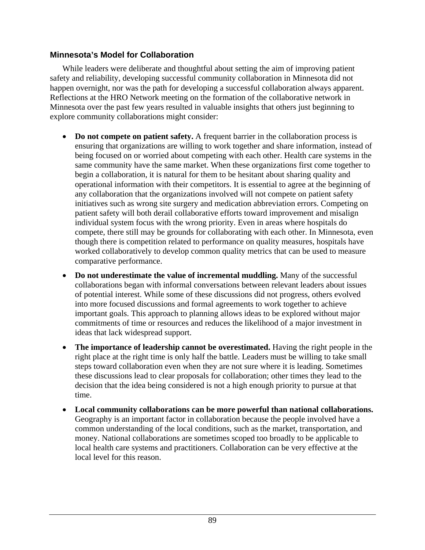#### **Minnesota's Model for Collaboration**

 While leaders were deliberate and thoughtful about setting the aim of improving patient safety and reliability, developing successful community collaboration in Minnesota did not happen overnight, nor was the path for developing a successful collaboration always apparent. Reflections at the HRO Network meeting on the formation of the collaborative network in Minnesota over the past few years resulted in valuable insights that others just beginning to explore community collaborations might consider:

- **Do not compete on patient safety.** A frequent barrier in the collaboration process is ensuring that organizations are willing to work together and share information, instead of being focused on or worried about competing with each other. Health care systems in the same community have the same market. When these organizations first come together to begin a collaboration, it is natural for them to be hesitant about sharing quality and operational information with their competitors. It is essential to agree at the beginning of any collaboration that the organizations involved will not compete on patient safety initiatives such as wrong site surgery and medication abbreviation errors. Competing on patient safety will both derail collaborative efforts toward improvement and misalign individual system focus with the wrong priority. Even in areas where hospitals do compete, there still may be grounds for collaborating with each other. In Minnesota, even though there is competition related to performance on quality measures, hospitals have worked collaboratively to develop common quality metrics that can be used to measure comparative performance.
- **Do not underestimate the value of incremental muddling.** Many of the successful collaborations began with informal conversations between relevant leaders about issues of potential interest. While some of these discussions did not progress, others evolved into more focused discussions and formal agreements to work together to achieve important goals. This approach to planning allows ideas to be explored without major commitments of time or resources and reduces the likelihood of a major investment in ideas that lack widespread support.
- **The importance of leadership cannot be overestimated.** Having the right people in the right place at the right time is only half the battle. Leaders must be willing to take small steps toward collaboration even when they are not sure where it is leading. Sometimes these discussions lead to clear proposals for collaboration; other times they lead to the decision that the idea being considered is not a high enough priority to pursue at that time.
- **Local community collaborations can be more powerful than national collaborations.** Geography is an important factor in collaboration because the people involved have a common understanding of the local conditions, such as the market, transportation, and money. National collaborations are sometimes scoped too broadly to be applicable to local health care systems and practitioners. Collaboration can be very effective at the local level for this reason.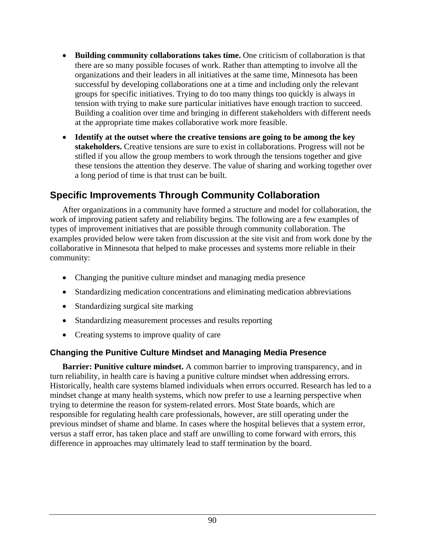- **Building community collaborations takes time.** One criticism of collaboration is that there are so many possible focuses of work. Rather than attempting to involve all the organizations and their leaders in all initiatives at the same time, Minnesota has been successful by developing collaborations one at a time and including only the relevant groups for specific initiatives. Trying to do too many things too quickly is always in tension with trying to make sure particular initiatives have enough traction to succeed. Building a coalition over time and bringing in different stakeholders with different needs at the appropriate time makes collaborative work more feasible.
- **Identify at the outset where the creative tensions are going to be among the key stakeholders.** Creative tensions are sure to exist in collaborations. Progress will not be stifled if you allow the group members to work through the tensions together and give these tensions the attention they deserve. The value of sharing and working together over a long period of time is that trust can be built.

## **Specific Improvements Through Community Collaboration**

 After organizations in a community have formed a structure and model for collaboration, the work of improving patient safety and reliability begins. The following are a few examples of types of improvement initiatives that are possible through community collaboration. The examples provided below were taken from discussion at the site visit and from work done by the collaborative in Minnesota that helped to make processes and systems more reliable in their community:

- Changing the punitive culture mindset and managing media presence
- Standardizing medication concentrations and eliminating medication abbreviations
- Standardizing surgical site marking
- Standardizing measurement processes and results reporting
- Creating systems to improve quality of care

#### **Changing the Punitive Culture Mindset and Managing Media Presence**

**Barrier: Punitive culture mindset.** A common barrier to improving transparency, and in turn reliability, in health care is having a punitive culture mindset when addressing errors. Historically, health care systems blamed individuals when errors occurred. Research has led to a mindset change at many health systems, which now prefer to use a learning perspective when trying to determine the reason for system-related errors. Most State boards, which are responsible for regulating health care professionals, however, are still operating under the previous mindset of shame and blame. In cases where the hospital believes that a system error, versus a staff error, has taken place and staff are unwilling to come forward with errors, this difference in approaches may ultimately lead to staff termination by the board.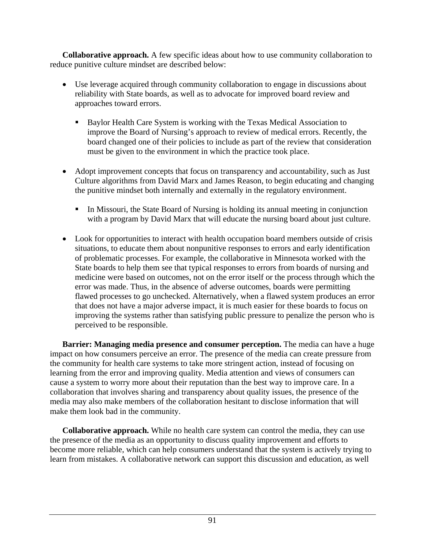**Collaborative approach.** A few specific ideas about how to use community collaboration to reduce punitive culture mindset are described below:

- Use leverage acquired through community collaboration to engage in discussions about reliability with State boards, as well as to advocate for improved board review and approaches toward errors.
	- Baylor Health Care System is working with the Texas Medical Association to improve the Board of Nursing's approach to review of medical errors. Recently, the board changed one of their policies to include as part of the review that consideration must be given to the environment in which the practice took place.
- Adopt improvement concepts that focus on transparency and accountability, such as Just Culture algorithms from David Marx and James Reason, to begin educating and changing the punitive mindset both internally and externally in the regulatory environment.
	- In Missouri, the State Board of Nursing is holding its annual meeting in conjunction with a program by David Marx that will educate the nursing board about just culture.
- Look for opportunities to interact with health occupation board members outside of crisis situations, to educate them about nonpunitive responses to errors and early identification of problematic processes. For example, the collaborative in Minnesota worked with the State boards to help them see that typical responses to errors from boards of nursing and medicine were based on outcomes, not on the error itself or the process through which the error was made. Thus, in the absence of adverse outcomes, boards were permitting flawed processes to go unchecked. Alternatively, when a flawed system produces an error that does not have a major adverse impact, it is much easier for these boards to focus on improving the systems rather than satisfying public pressure to penalize the person who is perceived to be responsible.

**Barrier: Managing media presence and consumer perception.** The media can have a huge impact on how consumers perceive an error. The presence of the media can create pressure from the community for health care systems to take more stringent action, instead of focusing on learning from the error and improving quality. Media attention and views of consumers can cause a system to worry more about their reputation than the best way to improve care. In a collaboration that involves sharing and transparency about quality issues, the presence of the media may also make members of the collaboration hesitant to disclose information that will make them look bad in the community.

 **Collaborative approach.** While no health care system can control the media, they can use the presence of the media as an opportunity to discuss quality improvement and efforts to become more reliable, which can help consumers understand that the system is actively trying to learn from mistakes. A collaborative network can support this discussion and education, as well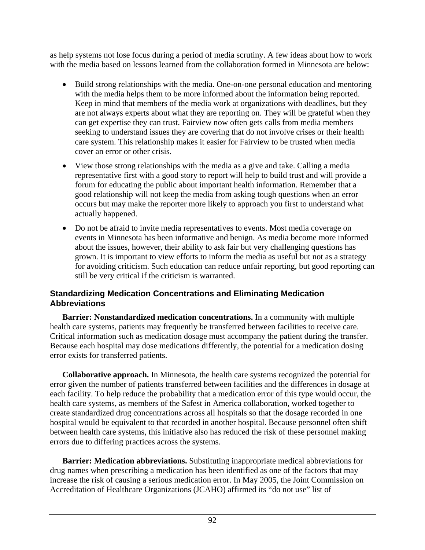as help systems not lose focus during a period of media scrutiny. A few ideas about how to work with the media based on lessons learned from the collaboration formed in Minnesota are below:

- Build strong relationships with the media. One-on-one personal education and mentoring with the media helps them to be more informed about the information being reported. Keep in mind that members of the media work at organizations with deadlines, but they are not always experts about what they are reporting on. They will be grateful when they can get expertise they can trust. Fairview now often gets calls from media members seeking to understand issues they are covering that do not involve crises or their health care system. This relationship makes it easier for Fairview to be trusted when media cover an error or other crisis.
- View those strong relationships with the media as a give and take. Calling a media representative first with a good story to report will help to build trust and will provide a forum for educating the public about important health information. Remember that a good relationship will not keep the media from asking tough questions when an error occurs but may make the reporter more likely to approach you first to understand what actually happened.
- Do not be afraid to invite media representatives to events. Most media coverage on events in Minnesota has been informative and benign. As media become more informed about the issues, however, their ability to ask fair but very challenging questions has grown. It is important to view efforts to inform the media as useful but not as a strategy for avoiding criticism. Such education can reduce unfair reporting, but good reporting can still be very critical if the criticism is warranted.

#### **Standardizing Medication Concentrations and Eliminating Medication Abbreviations**

 **Barrier: Nonstandardized medication concentrations.** In a community with multiple health care systems, patients may frequently be transferred between facilities to receive care. Critical information such as medication dosage must accompany the patient during the transfer. Because each hospital may dose medications differently, the potential for a medication dosing error exists for transferred patients.

 **Collaborative approach.** In Minnesota, the health care systems recognized the potential for error given the number of patients transferred between facilities and the differences in dosage at each facility. To help reduce the probability that a medication error of this type would occur, the health care systems, as members of the Safest in America collaboration, worked together to create standardized drug concentrations across all hospitals so that the dosage recorded in one hospital would be equivalent to that recorded in another hospital. Because personnel often shift between health care systems, this initiative also has reduced the risk of these personnel making errors due to differing practices across the systems.

 **Barrier: Medication abbreviations.** Substituting inappropriate medical abbreviations for drug names when prescribing a medication has been identified as one of the factors that may increase the risk of causing a serious medication error. In May 2005, the Joint Commission on Accreditation of Healthcare Organizations (JCAHO) affirmed its "do not use" list of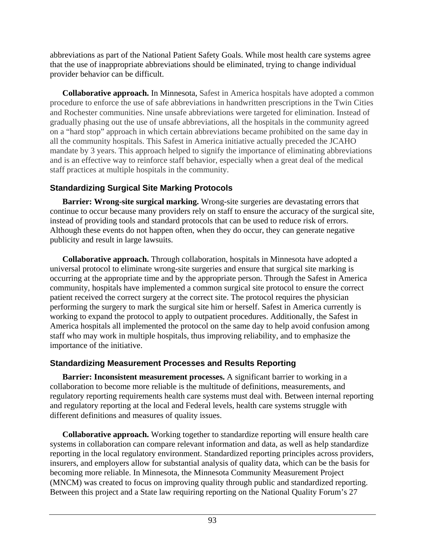abbreviations as part of the National Patient Safety Goals. While most health care systems agree that the use of inappropriate abbreviations should be eliminated, trying to change individual provider behavior can be difficult.

 **Collaborative approach.** In Minnesota, Safest in America hospitals have adopted a common procedure to enforce the use of safe abbreviations in handwritten prescriptions in the Twin Cities and Rochester communities. Nine unsafe abbreviations were targeted for elimination. Instead of gradually phasing out the use of unsafe abbreviations, all the hospitals in the community agreed on a "hard stop" approach in which certain abbreviations became prohibited on the same day in all the community hospitals. This Safest in America initiative actually preceded the JCAHO mandate by 3 years. This approach helped to signify the importance of eliminating abbreviations and is an effective way to reinforce staff behavior, especially when a great deal of the medical staff practices at multiple hospitals in the community.

### **Standardizing Surgical Site Marking Protocols**

 **Barrier: Wrong-site surgical marking.** Wrong-site surgeries are devastating errors that continue to occur because many providers rely on staff to ensure the accuracy of the surgical site, instead of providing tools and standard protocols that can be used to reduce risk of errors. Although these events do not happen often, when they do occur, they can generate negative publicity and result in large lawsuits.

 **Collaborative approach.** Through collaboration, hospitals in Minnesota have adopted a universal protocol to eliminate wrong-site surgeries and ensure that surgical site marking is occurring at the appropriate time and by the appropriate person. Through the Safest in America community, hospitals have implemented a common surgical site protocol to ensure the correct patient received the correct surgery at the correct site. The protocol requires the physician performing the surgery to mark the surgical site him or herself. Safest in America currently is working to expand the protocol to apply to outpatient procedures. Additionally, the Safest in America hospitals all implemented the protocol on the same day to help avoid confusion among staff who may work in multiple hospitals, thus improving reliability, and to emphasize the importance of the initiative.

### **Standardizing Measurement Processes and Results Reporting**

**Barrier: Inconsistent measurement processes.** A significant barrier to working in a collaboration to become more reliable is the multitude of definitions, measurements, and regulatory reporting requirements health care systems must deal with. Between internal reporting and regulatory reporting at the local and Federal levels, health care systems struggle with different definitions and measures of quality issues.

 **Collaborative approach.** Working together to standardize reporting will ensure health care systems in collaboration can compare relevant information and data, as well as help standardize reporting in the local regulatory environment. Standardized reporting principles across providers, insurers, and employers allow for substantial analysis of quality data, which can be the basis for becoming more reliable. In Minnesota, the Minnesota Community Measurement Project (MNCM) was created to focus on improving quality through public and standardized reporting. Between this project and a State law requiring reporting on the National Quality Forum's 27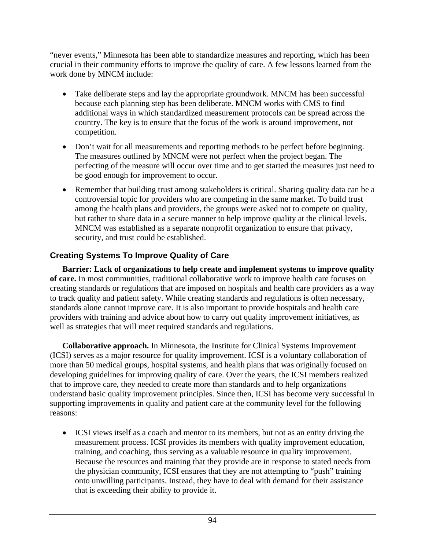"never events," Minnesota has been able to standardize measures and reporting, which has been crucial in their community efforts to improve the quality of care. A few lessons learned from the work done by MNCM include:

- Take deliberate steps and lay the appropriate groundwork. MNCM has been successful because each planning step has been deliberate. MNCM works with CMS to find additional ways in which standardized measurement protocols can be spread across the country. The key is to ensure that the focus of the work is around improvement, not competition.
- Don't wait for all measurements and reporting methods to be perfect before beginning. The measures outlined by MNCM were not perfect when the project began. The perfecting of the measure will occur over time and to get started the measures just need to be good enough for improvement to occur.
- Remember that building trust among stakeholders is critical. Sharing quality data can be a controversial topic for providers who are competing in the same market. To build trust among the health plans and providers, the groups were asked not to compete on quality, but rather to share data in a secure manner to help improve quality at the clinical levels. MNCM was established as a separate nonprofit organization to ensure that privacy, security, and trust could be established.

### **Creating Systems To Improve Quality of Care**

 **Barrier: Lack of organizations to help create and implement systems to improve quality of care.** In most communities, traditional collaborative work to improve health care focuses on creating standards or regulations that are imposed on hospitals and health care providers as a way to track quality and patient safety. While creating standards and regulations is often necessary, standards alone cannot improve care. It is also important to provide hospitals and health care providers with training and advice about how to carry out quality improvement initiatives, as well as strategies that will meet required standards and regulations.

 **Collaborative approach.** In Minnesota, the Institute for Clinical Systems Improvement (ICSI) serves as a major resource for quality improvement. ICSI is a voluntary collaboration of more than 50 medical groups, hospital systems, and health plans that was originally focused on developing guidelines for improving quality of care. Over the years, the ICSI members realized that to improve care, they needed to create more than standards and to help organizations understand basic quality improvement principles. Since then, ICSI has become very successful in supporting improvements in quality and patient care at the community level for the following reasons:

• ICSI views itself as a coach and mentor to its members, but not as an entity driving the measurement process. ICSI provides its members with quality improvement education, training, and coaching, thus serving as a valuable resource in quality improvement. Because the resources and training that they provide are in response to stated needs from the physician community, ICSI ensures that they are not attempting to "push" training onto unwilling participants. Instead, they have to deal with demand for their assistance that is exceeding their ability to provide it.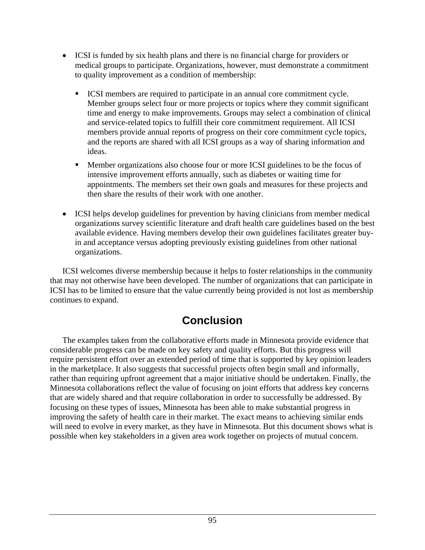- ICSI is funded by six health plans and there is no financial charge for providers or medical groups to participate. Organizations, however, must demonstrate a commitment to quality improvement as a condition of membership:
	- ICSI members are required to participate in an annual core commitment cycle. Member groups select four or more projects or topics where they commit significant time and energy to make improvements. Groups may select a combination of clinical and service-related topics to fulfill their core commitment requirement. All ICSI members provide annual reports of progress on their core commitment cycle topics, and the reports are shared with all ICSI groups as a way of sharing information and ideas.
	- Member organizations also choose four or more ICSI guidelines to be the focus of intensive improvement efforts annually, such as diabetes or waiting time for appointments. The members set their own goals and measures for these projects and then share the results of their work with one another.
- ICSI helps develop guidelines for prevention by having clinicians from member medical organizations survey scientific literature and draft health care guidelines based on the best available evidence. Having members develop their own guidelines facilitates greater buyin and acceptance versus adopting previously existing guidelines from other national organizations.

 ICSI welcomes diverse membership because it helps to foster relationships in the community that may not otherwise have been developed. The number of organizations that can participate in ICSI has to be limited to ensure that the value currently being provided is not lost as membership continues to expand.

# **Conclusion**

 The examples taken from the collaborative efforts made in Minnesota provide evidence that considerable progress can be made on key safety and quality efforts. But this progress will require persistent effort over an extended period of time that is supported by key opinion leaders in the marketplace. It also suggests that successful projects often begin small and informally, rather than requiring upfront agreement that a major initiative should be undertaken. Finally, the Minnesota collaborations reflect the value of focusing on joint efforts that address key concerns that are widely shared and that require collaboration in order to successfully be addressed. By focusing on these types of issues, Minnesota has been able to make substantial progress in improving the safety of health care in their market. The exact means to achieving similar ends will need to evolve in every market, as they have in Minnesota. But this document shows what is possible when key stakeholders in a given area work together on projects of mutual concern.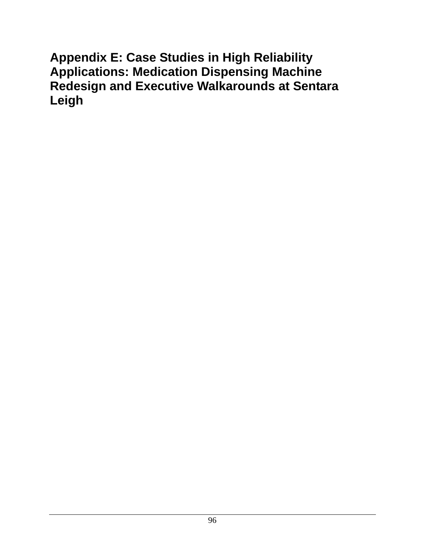# **Appendix E: Case Studies in High Reliability Applications: Medication Dispensing Machine Redesign and Executive Walkarounds at Sentara Leigh**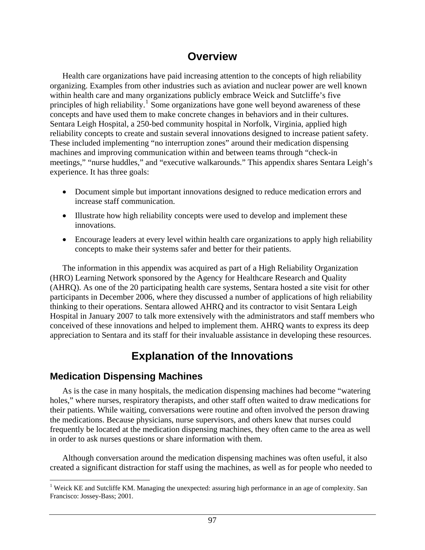## **Overview**

 Health care organizations have paid increasing attention to the concepts of high reliability organizing. Examples from other industries such as aviation and nuclear power are well known within health care and many organizations publicly embrace Weick and Sutcliffe's five principles of high reliability.<sup>[1](#page-107-0)</sup> Some organizations have gone well beyond awareness of these concepts and have used them to make concrete changes in behaviors and in their cultures. Sentara Leigh Hospital, a 250-bed community hospital in Norfolk, Virginia, applied high reliability concepts to create and sustain several innovations designed to increase patient safety. These included implementing "no interruption zones" around their medication dispensing machines and improving communication within and between teams through "check-in meetings," "nurse huddles," and "executive walkarounds." This appendix shares Sentara Leigh's experience. It has three goals:

- Document simple but important innovations designed to reduce medication errors and increase staff communication.
- Illustrate how high reliability concepts were used to develop and implement these innovations.
- Encourage leaders at every level within health care organizations to apply high reliability concepts to make their systems safer and better for their patients.

 The information in this appendix was acquired as part of a High Reliability Organization (HRO) Learning Network sponsored by the Agency for Healthcare Research and Quality (AHRQ). As one of the 20 participating health care systems, Sentara hosted a site visit for other participants in December 2006, where they discussed a number of applications of high reliability thinking to their operations. Sentara allowed AHRQ and its contractor to visit Sentara Leigh Hospital in January 2007 to talk more extensively with the administrators and staff members who conceived of these innovations and helped to implement them. AHRQ wants to express its deep appreciation to Sentara and its staff for their invaluable assistance in developing these resources.

# **Explanation of the Innovations**

### **Medication Dispensing Machines**

 $\overline{a}$ 

 As is the case in many hospitals, the medication dispensing machines had become "watering holes," where nurses, respiratory therapists, and other staff often waited to draw medications for their patients. While waiting, conversations were routine and often involved the person drawing the medications. Because physicians, nurse supervisors, and others knew that nurses could frequently be located at the medication dispensing machines, they often came to the area as well in order to ask nurses questions or share information with them.

 Although conversation around the medication dispensing machines was often useful, it also created a significant distraction for staff using the machines, as well as for people who needed to

<sup>&</sup>lt;sup>1</sup> Weick KE and Sutcliffe KM. Managing the unexpected: assuring high performance in an age of complexity. San Francisco: Jossey-Bass; 2001.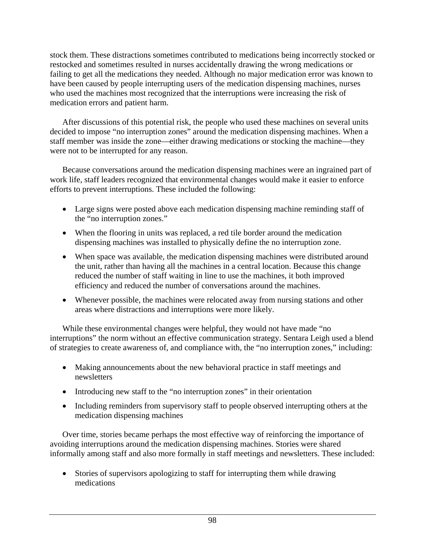stock them. These distractions sometimes contributed to medications being incorrectly stocked or restocked and sometimes resulted in nurses accidentally drawing the wrong medications or failing to get all the medications they needed. Although no major medication error was known to have been caused by people interrupting users of the medication dispensing machines, nurses who used the machines most recognized that the interruptions were increasing the risk of medication errors and patient harm.

 After discussions of this potential risk, the people who used these machines on several units decided to impose "no interruption zones" around the medication dispensing machines. When a staff member was inside the zone—either drawing medications or stocking the machine—they were not to be interrupted for any reason.

 Because conversations around the medication dispensing machines were an ingrained part of work life, staff leaders recognized that environmental changes would make it easier to enforce efforts to prevent interruptions. These included the following:

- Large signs were posted above each medication dispensing machine reminding staff of the "no interruption zones."
- When the flooring in units was replaced, a red tile border around the medication dispensing machines was installed to physically define the no interruption zone.
- When space was available, the medication dispensing machines were distributed around the unit, rather than having all the machines in a central location. Because this change reduced the number of staff waiting in line to use the machines, it both improved efficiency and reduced the number of conversations around the machines.
- Whenever possible, the machines were relocated away from nursing stations and other areas where distractions and interruptions were more likely.

 While these environmental changes were helpful, they would not have made "no interruptions" the norm without an effective communication strategy. Sentara Leigh used a blend of strategies to create awareness of, and compliance with, the "no interruption zones," including:

- Making announcements about the new behavioral practice in staff meetings and newsletters
- Introducing new staff to the "no interruption zones" in their orientation
- Including reminders from supervisory staff to people observed interrupting others at the medication dispensing machines

 Over time, stories became perhaps the most effective way of reinforcing the importance of avoiding interruptions around the medication dispensing machines. Stories were shared informally among staff and also more formally in staff meetings and newsletters. These included:

• Stories of supervisors apologizing to staff for interrupting them while drawing medications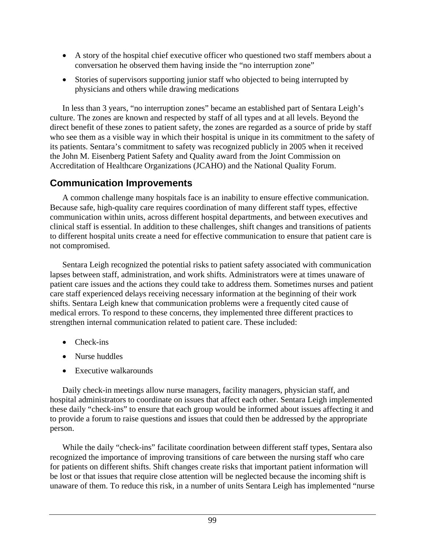- A story of the hospital chief executive officer who questioned two staff members about a conversation he observed them having inside the "no interruption zone"
- Stories of supervisors supporting junior staff who objected to being interrupted by physicians and others while drawing medications

 In less than 3 years, "no interruption zones" became an established part of Sentara Leigh's culture. The zones are known and respected by staff of all types and at all levels. Beyond the direct benefit of these zones to patient safety, the zones are regarded as a source of pride by staff who see them as a visible way in which their hospital is unique in its commitment to the safety of its patients. Sentara's commitment to safety was recognized publicly in 2005 when it received the John M. Eisenberg Patient Safety and Quality award from the Joint Commission on Accreditation of Healthcare Organizations (JCAHO) and the National Quality Forum.

### **Communication Improvements**

 A common challenge many hospitals face is an inability to ensure effective communication. Because safe, high-quality care requires coordination of many different staff types, effective communication within units, across different hospital departments, and between executives and clinical staff is essential. In addition to these challenges, shift changes and transitions of patients to different hospital units create a need for effective communication to ensure that patient care is not compromised.

 Sentara Leigh recognized the potential risks to patient safety associated with communication lapses between staff, administration, and work shifts. Administrators were at times unaware of patient care issues and the actions they could take to address them. Sometimes nurses and patient care staff experienced delays receiving necessary information at the beginning of their work shifts. Sentara Leigh knew that communication problems were a frequently cited cause of medical errors. To respond to these concerns, they implemented three different practices to strengthen internal communication related to patient care. These included:

- Check-ins
- Nurse huddles
- Executive walkarounds

 Daily check-in meetings allow nurse managers, facility managers, physician staff, and hospital administrators to coordinate on issues that affect each other. Sentara Leigh implemented these daily "check-ins" to ensure that each group would be informed about issues affecting it and to provide a forum to raise questions and issues that could then be addressed by the appropriate person.

While the daily "check-ins" facilitate coordination between different staff types, Sentara also recognized the importance of improving transitions of care between the nursing staff who care for patients on different shifts. Shift changes create risks that important patient information will be lost or that issues that require close attention will be neglected because the incoming shift is unaware of them. To reduce this risk, in a number of units Sentara Leigh has implemented "nurse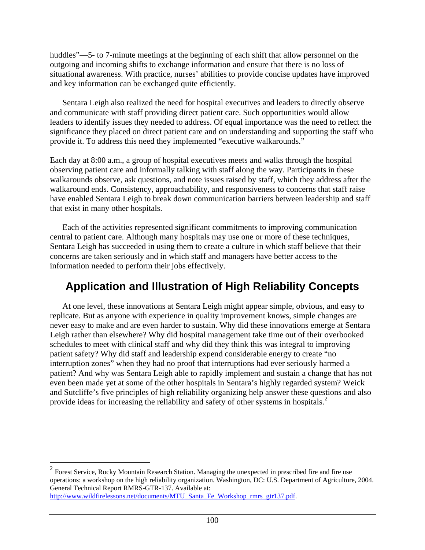huddles"—5- to 7-minute meetings at the beginning of each shift that allow personnel on the outgoing and incoming shifts to exchange information and ensure that there is no loss of situational awareness. With practice, nurses' abilities to provide concise updates have improved and key information can be exchanged quite efficiently.

 Sentara Leigh also realized the need for hospital executives and leaders to directly observe and communicate with staff providing direct patient care. Such opportunities would allow leaders to identify issues they needed to address. Of equal importance was the need to reflect the significance they placed on direct patient care and on understanding and supporting the staff who provide it. To address this need they implemented "executive walkarounds."

Each day at 8:00 a.m., a group of hospital executives meets and walks through the hospital observing patient care and informally talking with staff along the way. Participants in these walkarounds observe, ask questions, and note issues raised by staff, which they address after the walkaround ends. Consistency, approachability, and responsiveness to concerns that staff raise have enabled Sentara Leigh to break down communication barriers between leadership and staff that exist in many other hospitals.

 Each of the activities represented significant commitments to improving communication central to patient care. Although many hospitals may use one or more of these techniques, Sentara Leigh has succeeded in using them to create a culture in which staff believe that their concerns are taken seriously and in which staff and managers have better access to the information needed to perform their jobs effectively.

## **Application and Illustration of High Reliability Concepts**

 At one level, these innovations at Sentara Leigh might appear simple, obvious, and easy to replicate. But as anyone with experience in quality improvement knows, simple changes are never easy to make and are even harder to sustain. Why did these innovations emerge at Sentara Leigh rather than elsewhere? Why did hospital management take time out of their overbooked schedules to meet with clinical staff and why did they think this was integral to improving patient safety? Why did staff and leadership expend considerable energy to create "no interruption zones" when they had no proof that interruptions had ever seriously harmed a patient? And why was Sentara Leigh able to rapidly implement and sustain a change that has not even been made yet at some of the other hospitals in Sentara's highly regarded system? Weick and Sutcliffe's five principles of high reliability organizing help answer these questions and also provide ideas for increasing the reliability and safety of other systems in hospitals.<sup>[2](#page-110-0)</sup>

<u>.</u>

 $2^2$  Forest Service, Rocky Mountain Research Station. Managing the unexpected in prescribed fire and fire use operations: a workshop on the high reliability organization. Washington, DC: U.S. Department of Agriculture, 2004. General Technical Report RMRS-GTR-137. Available at: [http://www.wildfirelessons.net/documents/MTU\\_Santa\\_Fe\\_Workshop\\_rmrs\\_gtr137.pdf](http://www.wildfirelessons.net/documents/MTU_Santa_Fe_Workshop_rmrs_gtr137.pdf).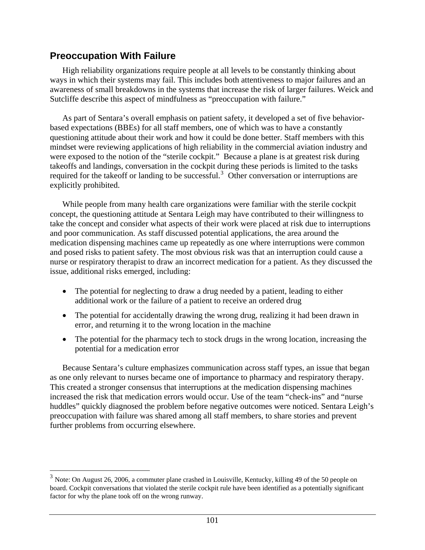#### <span id="page-107-0"></span>**Preoccupation With Failure**

 $\overline{a}$ 

 High reliability organizations require people at all levels to be constantly thinking about ways in which their systems may fail. This includes both attentiveness to major failures and an awareness of small breakdowns in the systems that increase the risk of larger failures. Weick and Sutcliffe describe this aspect of mindfulness as "preoccupation with failure."

 As part of Sentara's overall emphasis on patient safety, it developed a set of five behaviorbased expectations (BBEs) for all staff members, one of which was to have a constantly questioning attitude about their work and how it could be done better. Staff members with this mindset were reviewing applications of high reliability in the commercial aviation industry and were exposed to the notion of the "sterile cockpit." Because a plane is at greatest risk during takeoffs and landings, conversation in the cockpit during these periods is limited to the tasks required for the takeoff or landing to be successful.<sup>[3](#page-111-0)</sup> Other conversation or interruptions are explicitly prohibited.

 While people from many health care organizations were familiar with the sterile cockpit concept, the questioning attitude at Sentara Leigh may have contributed to their willingness to take the concept and consider what aspects of their work were placed at risk due to interruptions and poor communication. As staff discussed potential applications, the area around the medication dispensing machines came up repeatedly as one where interruptions were common and posed risks to patient safety. The most obvious risk was that an interruption could cause a nurse or respiratory therapist to draw an incorrect medication for a patient. As they discussed the issue, additional risks emerged, including:

- The potential for neglecting to draw a drug needed by a patient, leading to either additional work or the failure of a patient to receive an ordered drug
- The potential for accidentally drawing the wrong drug, realizing it had been drawn in error, and returning it to the wrong location in the machine
- The potential for the pharmacy tech to stock drugs in the wrong location, increasing the potential for a medication error

 Because Sentara's culture emphasizes communication across staff types, an issue that began as one only relevant to nurses became one of importance to pharmacy and respiratory therapy. This created a stronger consensus that interruptions at the medication dispensing machines increased the risk that medication errors would occur. Use of the team "check-ins" and "nurse huddles" quickly diagnosed the problem before negative outcomes were noticed. Sentara Leigh's preoccupation with failure was shared among all staff members, to share stories and prevent further problems from occurring elsewhere.

 $3$  Note: On August 26, 2006, a commuter plane crashed in Louisville, Kentucky, killing 49 of the 50 people on board. Cockpit conversations that violated the sterile cockpit rule have been identified as a potentially significant factor for why the plane took off on the wrong runway.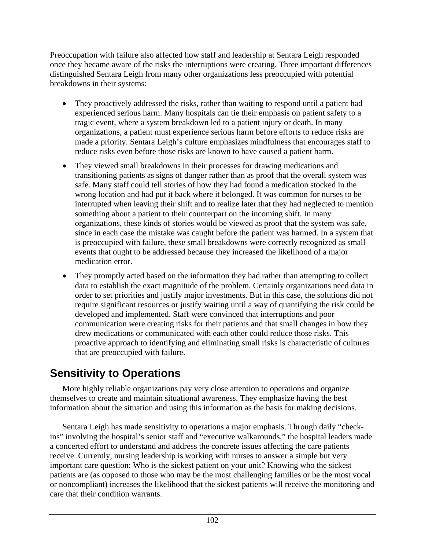Preoccupation with failure also affected how staff and leadership at Sentara Leigh responded once they became aware of the risks the interruptions were creating. Three important differences distinguished Sentara Leigh from many other organizations less preoccupied with potential breakdowns in their systems:

- They proactively addressed the risks, rather than waiting to respond until a patient had experienced serious harm. Many hospitals can tie their emphasis on patient safety to a tragic event, where a system breakdown led to a patient injury or death. In many organizations, a patient must experience serious harm before efforts to reduce risks are made a priority. Sentara Leigh's culture emphasizes mindfulness that encourages staff to reduce risks even before those risks are known to have caused a patient harm.
- They viewed small breakdowns in their processes for drawing medications and transitioning patients as signs of danger rather than as proof that the overall system was safe. Many staff could tell stories of how they had found a medication stocked in the wrong location and had put it back where it belonged. It was common for nurses to be interrupted when leaving their shift and to realize later that they had neglected to mention something about a patient to their counterpart on the incoming shift. In many organizations, these kinds of stories would be viewed as proof that the system was safe, since in each case the mistake was caught before the patient was harmed. In a system that is preoccupied with failure, these small breakdowns were correctly recognized as small events that ought to be addressed because they increased the likelihood of a major medication error.
- They promptly acted based on the information they had rather than attempting to collect data to establish the exact magnitude of the problem. Certainly organizations need data in order to set priorities and justify major investments. But in this case, the solutions did not require significant resources or justify waiting until a way of quantifying the risk could be developed and implemented. Staff were convinced that interruptions and poor communication were creating risks for their patients and that small changes in how they drew medications or communicated with each other could reduce those risks. This proactive approach to identifying and eliminating small risks is characteristic of cultures that are preoccupied with failure.

## **Sensitivity to Operations**

 More highly reliable organizations pay very close attention to operations and organize themselves to create and maintain situational awareness. They emphasize having the best information about the situation and using this information as the basis for making decisions.

 Sentara Leigh has made sensitivity to operations a major emphasis. Through daily "checkins" involving the hospital's senior staff and "executive walkarounds," the hospital leaders made a concerted effort to understand and address the concrete issues affecting the care patients receive. Currently, nursing leadership is working with nurses to answer a simple but very important care question: Who is the sickest patient on your unit? Knowing who the sickest patients are (as opposed to those who may be the most challenging families or be the most vocal or noncompliant) increases the likelihood that the sickest patients will receive the monitoring and care that their condition warrants.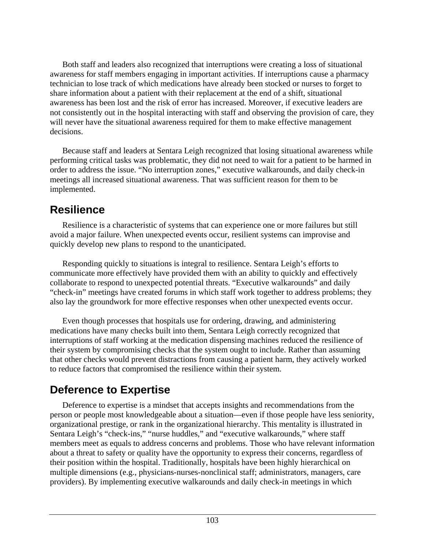Both staff and leaders also recognized that interruptions were creating a loss of situational awareness for staff members engaging in important activities. If interruptions cause a pharmacy technician to lose track of which medications have already been stocked or nurses to forget to share information about a patient with their replacement at the end of a shift, situational awareness has been lost and the risk of error has increased. Moreover, if executive leaders are not consistently out in the hospital interacting with staff and observing the provision of care, they will never have the situational awareness required for them to make effective management decisions.

 Because staff and leaders at Sentara Leigh recognized that losing situational awareness while performing critical tasks was problematic, they did not need to wait for a patient to be harmed in order to address the issue. "No interruption zones," executive walkarounds, and daily check-in meetings all increased situational awareness. That was sufficient reason for them to be implemented.

#### **Resilience**

 Resilience is a characteristic of systems that can experience one or more failures but still avoid a major failure. When unexpected events occur, resilient systems can improvise and quickly develop new plans to respond to the unanticipated.

 Responding quickly to situations is integral to resilience. Sentara Leigh's efforts to communicate more effectively have provided them with an ability to quickly and effectively collaborate to respond to unexpected potential threats. "Executive walkarounds" and daily "check-in" meetings have created forums in which staff work together to address problems; they also lay the groundwork for more effective responses when other unexpected events occur.

 Even though processes that hospitals use for ordering, drawing, and administering medications have many checks built into them, Sentara Leigh correctly recognized that interruptions of staff working at the medication dispensing machines reduced the resilience of their system by compromising checks that the system ought to include. Rather than assuming that other checks would prevent distractions from causing a patient harm, they actively worked to reduce factors that compromised the resilience within their system.

# **Deference to Expertise**

 Deference to expertise is a mindset that accepts insights and recommendations from the person or people most knowledgeable about a situation—even if those people have less seniority, organizational prestige, or rank in the organizational hierarchy. This mentality is illustrated in Sentara Leigh's "check-ins," "nurse huddles," and "executive walkarounds," where staff members meet as equals to address concerns and problems. Those who have relevant information about a threat to safety or quality have the opportunity to express their concerns, regardless of their position within the hospital. Traditionally, hospitals have been highly hierarchical on multiple dimensions (e.g., physicians-nurses-nonclinical staff; administrators, managers, care providers). By implementing executive walkarounds and daily check-in meetings in which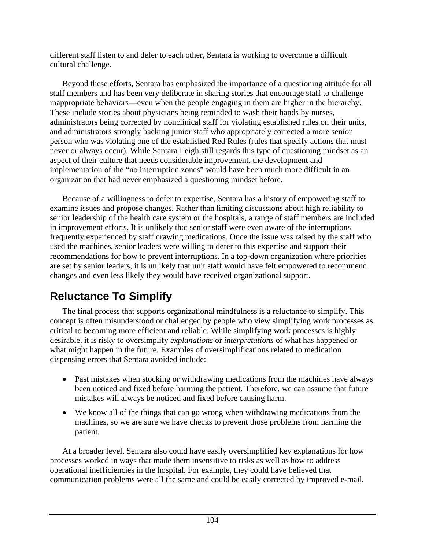different staff listen to and defer to each other, Sentara is working to overcome a difficult cultural challenge.

 Beyond these efforts, Sentara has emphasized the importance of a questioning attitude for all staff members and has been very deliberate in sharing stories that encourage staff to challenge inappropriate behaviors—even when the people engaging in them are higher in the hierarchy. These include stories about physicians being reminded to wash their hands by nurses, administrators being corrected by nonclinical staff for violating established rules on their units, and administrators strongly backing junior staff who appropriately corrected a more senior person who was violating one of the established Red Rules (rules that specify actions that must never or always occur). While Sentara Leigh still regards this type of questioning mindset as an aspect of their culture that needs considerable improvement, the development and implementation of the "no interruption zones" would have been much more difficult in an organization that had never emphasized a questioning mindset before.

 Because of a willingness to defer to expertise, Sentara has a history of empowering staff to examine issues and propose changes. Rather than limiting discussions about high reliability to senior leadership of the health care system or the hospitals, a range of staff members are included in improvement efforts. It is unlikely that senior staff were even aware of the interruptions frequently experienced by staff drawing medications. Once the issue was raised by the staff who used the machines, senior leaders were willing to defer to this expertise and support their recommendations for how to prevent interruptions. In a top-down organization where priorities are set by senior leaders, it is unlikely that unit staff would have felt empowered to recommend changes and even less likely they would have received organizational support.

# **Reluctance To Simplify**

 The final process that supports organizational mindfulness is a reluctance to simplify. This concept is often misunderstood or challenged by people who view simplifying work processes as critical to becoming more efficient and reliable. While simplifying work processes is highly desirable, it is risky to oversimplify *explanations* or *interpretations* of what has happened or what might happen in the future. Examples of oversimplifications related to medication dispensing errors that Sentara avoided include:

- Past mistakes when stocking or withdrawing medications from the machines have always been noticed and fixed before harming the patient. Therefore, we can assume that future mistakes will always be noticed and fixed before causing harm.
- We know all of the things that can go wrong when withdrawing medications from the machines, so we are sure we have checks to prevent those problems from harming the patient.

 At a broader level, Sentara also could have easily oversimplified key explanations for how processes worked in ways that made them insensitive to risks as well as how to address operational inefficiencies in the hospital. For example, they could have believed that communication problems were all the same and could be easily corrected by improved e-mail,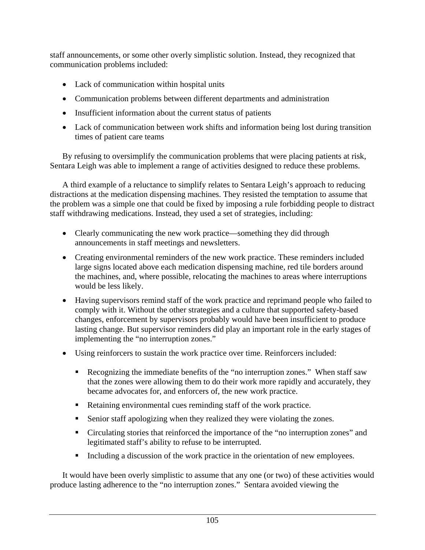staff announcements, or some other overly simplistic solution. Instead, they recognized that communication problems included:

- Lack of communication within hospital units
- Communication problems between different departments and administration
- Insufficient information about the current status of patients
- Lack of communication between work shifts and information being lost during transition times of patient care teams

 By refusing to oversimplify the communication problems that were placing patients at risk, Sentara Leigh was able to implement a range of activities designed to reduce these problems.

 A third example of a reluctance to simplify relates to Sentara Leigh's approach to reducing distractions at the medication dispensing machines. They resisted the temptation to assume that the problem was a simple one that could be fixed by imposing a rule forbidding people to distract staff withdrawing medications. Instead, they used a set of strategies, including:

- Clearly communicating the new work practice—something they did through announcements in staff meetings and newsletters.
- Creating environmental reminders of the new work practice. These reminders included large signs located above each medication dispensing machine, red tile borders around the machines, and, where possible, relocating the machines to areas where interruptions would be less likely.
- Having supervisors remind staff of the work practice and reprimand people who failed to comply with it. Without the other strategies and a culture that supported safety-based changes, enforcement by supervisors probably would have been insufficient to produce lasting change. But supervisor reminders did play an important role in the early stages of implementing the "no interruption zones."
- Using reinforcers to sustain the work practice over time. Reinforcers included:
	- Recognizing the immediate benefits of the "no interruption zones." When staff saw that the zones were allowing them to do their work more rapidly and accurately, they became advocates for, and enforcers of, the new work practice.
	- Retaining environmental cues reminding staff of the work practice.
	- Senior staff apologizing when they realized they were violating the zones.
	- Circulating stories that reinforced the importance of the "no interruption zones" and legitimated staff's ability to refuse to be interrupted.
	- Including a discussion of the work practice in the orientation of new employees.

 It would have been overly simplistic to assume that any one (or two) of these activities would produce lasting adherence to the "no interruption zones." Sentara avoided viewing the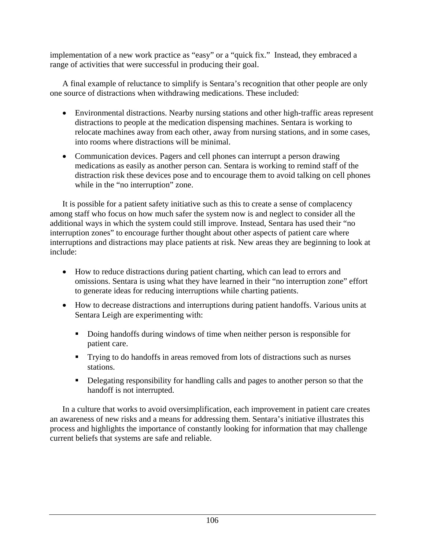implementation of a new work practice as "easy" or a "quick fix." Instead, they embraced a range of activities that were successful in producing their goal.

 A final example of reluctance to simplify is Sentara's recognition that other people are only one source of distractions when withdrawing medications. These included:

- Environmental distractions. Nearby nursing stations and other high-traffic areas represent distractions to people at the medication dispensing machines. Sentara is working to relocate machines away from each other, away from nursing stations, and in some cases, into rooms where distractions will be minimal.
- Communication devices. Pagers and cell phones can interrupt a person drawing medications as easily as another person can. Sentara is working to remind staff of the distraction risk these devices pose and to encourage them to avoid talking on cell phones while in the "no interruption" zone.

 It is possible for a patient safety initiative such as this to create a sense of complacency among staff who focus on how much safer the system now is and neglect to consider all the additional ways in which the system could still improve. Instead, Sentara has used their "no interruption zones" to encourage further thought about other aspects of patient care where interruptions and distractions may place patients at risk. New areas they are beginning to look at include:

- How to reduce distractions during patient charting, which can lead to errors and omissions. Sentara is using what they have learned in their "no interruption zone" effort to generate ideas for reducing interruptions while charting patients.
- How to decrease distractions and interruptions during patient handoffs. Various units at Sentara Leigh are experimenting with:
	- Doing handoffs during windows of time when neither person is responsible for patient care.
	- **Trying to do handoffs in areas removed from lots of distractions such as nurses** stations.
	- Delegating responsibility for handling calls and pages to another person so that the handoff is not interrupted.

 In a culture that works to avoid oversimplification, each improvement in patient care creates an awareness of new risks and a means for addressing them. Sentara's initiative illustrates this process and highlights the importance of constantly looking for information that may challenge current beliefs that systems are safe and reliable.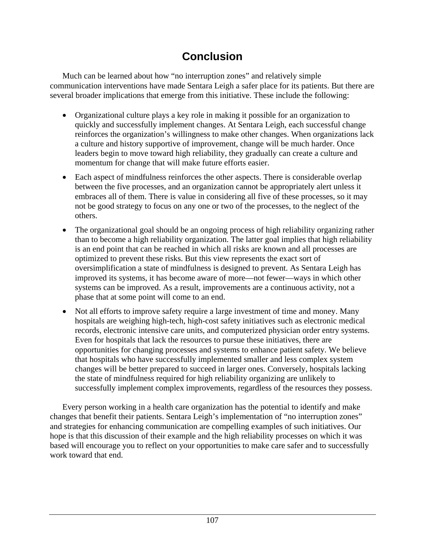## **Conclusion**

 Much can be learned about how "no interruption zones" and relatively simple communication interventions have made Sentara Leigh a safer place for its patients. But there are several broader implications that emerge from this initiative. These include the following:

- Organizational culture plays a key role in making it possible for an organization to quickly and successfully implement changes. At Sentara Leigh, each successful change reinforces the organization's willingness to make other changes. When organizations lack a culture and history supportive of improvement, change will be much harder. Once leaders begin to move toward high reliability, they gradually can create a culture and momentum for change that will make future efforts easier.
- Each aspect of mindfulness reinforces the other aspects. There is considerable overlap between the five processes, and an organization cannot be appropriately alert unless it embraces all of them. There is value in considering all five of these processes, so it may not be good strategy to focus on any one or two of the processes, to the neglect of the others.
- The organizational goal should be an ongoing process of high reliability organizing rather than to become a high reliability organization. The latter goal implies that high reliability is an end point that can be reached in which all risks are known and all processes are optimized to prevent these risks. But this view represents the exact sort of oversimplification a state of mindfulness is designed to prevent. As Sentara Leigh has improved its systems, it has become aware of more—not fewer—ways in which other systems can be improved. As a result, improvements are a continuous activity, not a phase that at some point will come to an end.
- Not all efforts to improve safety require a large investment of time and money. Many hospitals are weighing high-tech, high-cost safety initiatives such as electronic medical records, electronic intensive care units, and computerized physician order entry systems. Even for hospitals that lack the resources to pursue these initiatives, there are opportunities for changing processes and systems to enhance patient safety. We believe that hospitals who have successfully implemented smaller and less complex system changes will be better prepared to succeed in larger ones. Conversely, hospitals lacking the state of mindfulness required for high reliability organizing are unlikely to successfully implement complex improvements, regardless of the resources they possess.

 Every person working in a health care organization has the potential to identify and make changes that benefit their patients. Sentara Leigh's implementation of "no interruption zones" and strategies for enhancing communication are compelling examples of such initiatives. Our hope is that this discussion of their example and the high reliability processes on which it was based will encourage you to reflect on your opportunities to make care safer and to successfully work toward that end.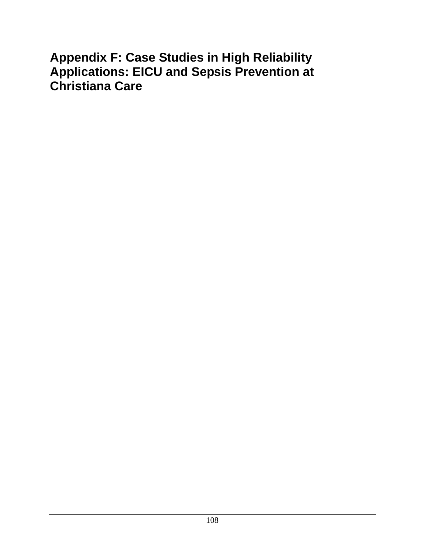# **Appendix F: Case Studies in High Reliability Applications: EICU and Sepsis Prevention at Christiana Care**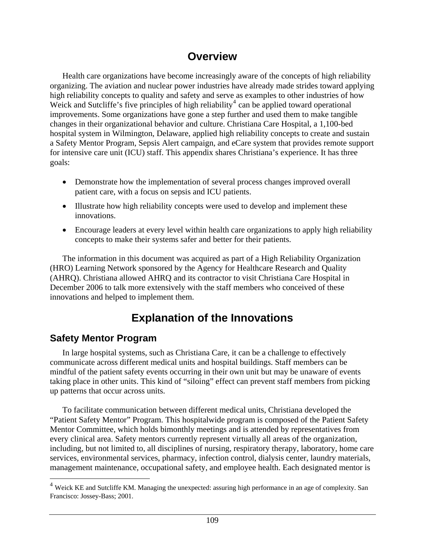#### **Overview**

 Health care organizations have become increasingly aware of the concepts of high reliability organizing. The aviation and nuclear power industries have already made strides toward applying high reliability concepts to quality and safety and serve as examples to other industries of how Weick and Sutcliffe's five principles of high reliability<sup>[4](#page-120-0)</sup> can be applied toward operational improvements. Some organizations have gone a step further and used them to make tangible changes in their organizational behavior and culture. Christiana Care Hospital, a 1,100-bed hospital system in Wilmington, Delaware, applied high reliability concepts to create and sustain a Safety Mentor Program, Sepsis Alert campaign, and eCare system that provides remote support for intensive care unit (ICU) staff. This appendix shares Christiana's experience. It has three goals:

- Demonstrate how the implementation of several process changes improved overall patient care, with a focus on sepsis and ICU patients.
- Illustrate how high reliability concepts were used to develop and implement these innovations.
- Encourage leaders at every level within health care organizations to apply high reliability concepts to make their systems safer and better for their patients.

 The information in this document was acquired as part of a High Reliability Organization (HRO) Learning Network sponsored by the Agency for Healthcare Research and Quality (AHRQ). Christiana allowed AHRQ and its contractor to visit Christiana Care Hospital in December 2006 to talk more extensively with the staff members who conceived of these innovations and helped to implement them.

# **Explanation of the Innovations**

#### **Safety Mentor Program**

 $\overline{a}$ 

 In large hospital systems, such as Christiana Care, it can be a challenge to effectively communicate across different medical units and hospital buildings. Staff members can be mindful of the patient safety events occurring in their own unit but may be unaware of events taking place in other units. This kind of "siloing" effect can prevent staff members from picking up patterns that occur across units.

 To facilitate communication between different medical units, Christiana developed the "Patient Safety Mentor" Program. This hospitalwide program is composed of the Patient Safety Mentor Committee, which holds bimonthly meetings and is attended by representatives from every clinical area. Safety mentors currently represent virtually all areas of the organization, including, but not limited to, all disciplines of nursing, respiratory therapy, laboratory, home care services, environmental services, pharmacy, infection control, dialysis center, laundry materials, management maintenance, occupational safety, and employee health. Each designated mentor is

<sup>&</sup>lt;sup>4</sup> Weick KE and Sutcliffe KM. Managing the unexpected: assuring high performance in an age of complexity. San Francisco: Jossey-Bass; 2001.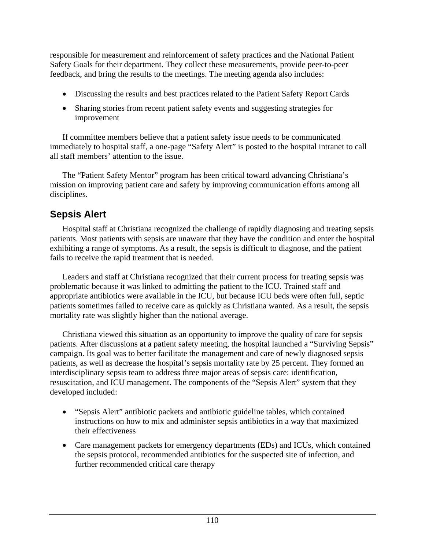responsible for measurement and reinforcement of safety practices and the National Patient Safety Goals for their department. They collect these measurements, provide peer-to-peer feedback, and bring the results to the meetings. The meeting agenda also includes:

- Discussing the results and best practices related to the Patient Safety Report Cards
- Sharing stories from recent patient safety events and suggesting strategies for improvement

 If committee members believe that a patient safety issue needs to be communicated immediately to hospital staff, a one-page "Safety Alert" is posted to the hospital intranet to call all staff members' attention to the issue.

 The "Patient Safety Mentor" program has been critical toward advancing Christiana's mission on improving patient care and safety by improving communication efforts among all disciplines.

#### **Sepsis Alert**

 Hospital staff at Christiana recognized the challenge of rapidly diagnosing and treating sepsis patients. Most patients with sepsis are unaware that they have the condition and enter the hospital exhibiting a range of symptoms. As a result, the sepsis is difficult to diagnose, and the patient fails to receive the rapid treatment that is needed.

 Leaders and staff at Christiana recognized that their current process for treating sepsis was problematic because it was linked to admitting the patient to the ICU. Trained staff and appropriate antibiotics were available in the ICU, but because ICU beds were often full, septic patients sometimes failed to receive care as quickly as Christiana wanted. As a result, the sepsis mortality rate was slightly higher than the national average.

 Christiana viewed this situation as an opportunity to improve the quality of care for sepsis patients. After discussions at a patient safety meeting, the hospital launched a "Surviving Sepsis" campaign. Its goal was to better facilitate the management and care of newly diagnosed sepsis patients, as well as decrease the hospital's sepsis mortality rate by 25 percent. They formed an interdisciplinary sepsis team to address three major areas of sepsis care: identification, resuscitation, and ICU management. The components of the "Sepsis Alert" system that they developed included:

- "Sepsis Alert" antibiotic packets and antibiotic guideline tables, which contained instructions on how to mix and administer sepsis antibiotics in a way that maximized their effectiveness
- Care management packets for emergency departments (EDs) and ICUs, which contained the sepsis protocol, recommended antibiotics for the suspected site of infection, and further recommended critical care therapy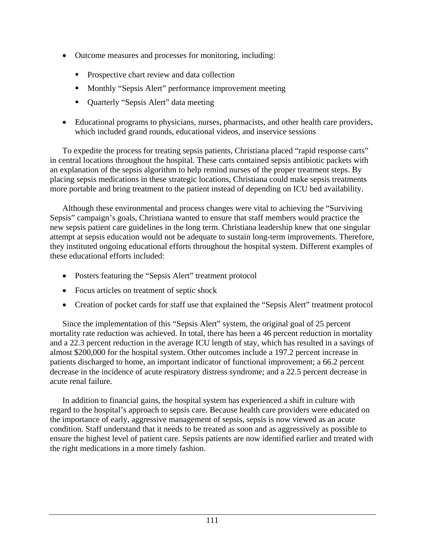- Outcome measures and processes for monitoring, including:
	- **Prospective chart review and data collection**
	- **•** Monthly "Sepsis Alert" performance improvement meeting
	- Quarterly "Sepsis Alert" data meeting
- Educational programs to physicians, nurses, pharmacists, and other health care providers, which included grand rounds, educational videos, and inservice sessions

 To expedite the process for treating sepsis patients, Christiana placed "rapid response carts" in central locations throughout the hospital. These carts contained sepsis antibiotic packets with an explanation of the sepsis algorithm to help remind nurses of the proper treatment steps. By placing sepsis medications in these strategic locations, Christiana could make sepsis treatments more portable and bring treatment to the patient instead of depending on ICU bed availability.

 Although these environmental and process changes were vital to achieving the "Surviving Sepsis" campaign's goals, Christiana wanted to ensure that staff members would practice the new sepsis patient care guidelines in the long term. Christiana leadership knew that one singular attempt at sepsis education would not be adequate to sustain long-term improvements. Therefore, they instituted ongoing educational efforts throughout the hospital system. Different examples of these educational efforts included:

- Posters featuring the "Sepsis Alert" treatment protocol
- Focus articles on treatment of septic shock
- Creation of pocket cards for staff use that explained the "Sepsis Alert" treatment protocol

 Since the implementation of this "Sepsis Alert" system, the original goal of 25 percent mortality rate reduction was achieved. In total, there has been a 46 percent reduction in mortality and a 22.3 percent reduction in the average ICU length of stay, which has resulted in a savings of almost \$200,000 for the hospital system. Other outcomes include a 197.2 percent increase in patients discharged to home, an important indicator of functional improvement; a 66.2 percent decrease in the incidence of acute respiratory distress syndrome; and a 22.5 percent decrease in acute renal failure.

 In addition to financial gains, the hospital system has experienced a shift in culture with regard to the hospital's approach to sepsis care. Because health care providers were educated on the importance of early, aggressive management of sepsis, sepsis is now viewed as an acute condition. Staff understand that it needs to be treated as soon and as aggressively as possible to ensure the highest level of patient care. Sepsis patients are now identified earlier and treated with the right medications in a more timely fashion.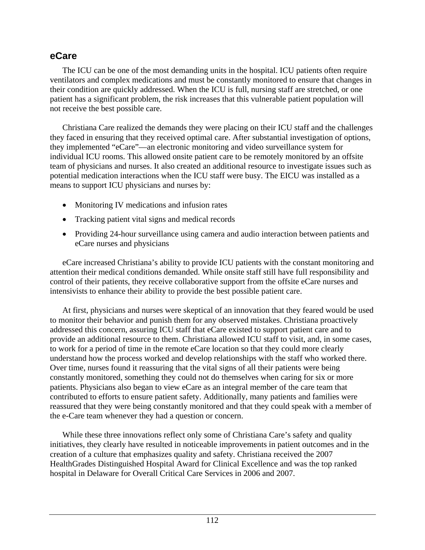#### **eCare**

 The ICU can be one of the most demanding units in the hospital. ICU patients often require ventilators and complex medications and must be constantly monitored to ensure that changes in their condition are quickly addressed. When the ICU is full, nursing staff are stretched, or one patient has a significant problem, the risk increases that this vulnerable patient population will not receive the best possible care.

 Christiana Care realized the demands they were placing on their ICU staff and the challenges they faced in ensuring that they received optimal care. After substantial investigation of options, they implemented "eCare"—an electronic monitoring and video surveillance system for individual ICU rooms. This allowed onsite patient care to be remotely monitored by an offsite team of physicians and nurses. It also created an additional resource to investigate issues such as potential medication interactions when the ICU staff were busy. The EICU was installed as a means to support ICU physicians and nurses by:

- Monitoring IV medications and infusion rates
- Tracking patient vital signs and medical records
- Providing 24-hour surveillance using camera and audio interaction between patients and eCare nurses and physicians

 eCare increased Christiana's ability to provide ICU patients with the constant monitoring and attention their medical conditions demanded. While onsite staff still have full responsibility and control of their patients, they receive collaborative support from the offsite eCare nurses and intensivists to enhance their ability to provide the best possible patient care.

 At first, physicians and nurses were skeptical of an innovation that they feared would be used to monitor their behavior and punish them for any observed mistakes. Christiana proactively addressed this concern, assuring ICU staff that eCare existed to support patient care and to provide an additional resource to them. Christiana allowed ICU staff to visit, and, in some cases, to work for a period of time in the remote eCare location so that they could more clearly understand how the process worked and develop relationships with the staff who worked there. Over time, nurses found it reassuring that the vital signs of all their patients were being constantly monitored, something they could not do themselves when caring for six or more patients. Physicians also began to view eCare as an integral member of the care team that contributed to efforts to ensure patient safety. Additionally, many patients and families were reassured that they were being constantly monitored and that they could speak with a member of the e-Care team whenever they had a question or concern.

 While these three innovations reflect only some of Christiana Care's safety and quality initiatives, they clearly have resulted in noticeable improvements in patient outcomes and in the creation of a culture that emphasizes quality and safety. Christiana received the 2007 HealthGrades Distinguished Hospital Award for Clinical Excellence and was the top ranked hospital in Delaware for Overall Critical Care Services in 2006 and 2007.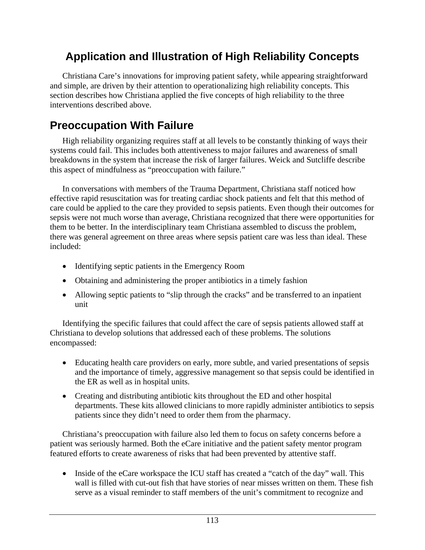## **Application and Illustration of High Reliability Concepts**

 Christiana Care's innovations for improving patient safety, while appearing straightforward and simple, are driven by their attention to operationalizing high reliability concepts. This section describes how Christiana applied the five concepts of high reliability to the three interventions described above.

#### **Preoccupation With Failure**

 High reliability organizing requires staff at all levels to be constantly thinking of ways their systems could fail. This includes both attentiveness to major failures and awareness of small breakdowns in the system that increase the risk of larger failures. Weick and Sutcliffe describe this aspect of mindfulness as "preoccupation with failure."

 In conversations with members of the Trauma Department, Christiana staff noticed how effective rapid resuscitation was for treating cardiac shock patients and felt that this method of care could be applied to the care they provided to sepsis patients. Even though their outcomes for sepsis were not much worse than average, Christiana recognized that there were opportunities for them to be better. In the interdisciplinary team Christiana assembled to discuss the problem, there was general agreement on three areas where sepsis patient care was less than ideal. These included:

- Identifying septic patients in the Emergency Room
- Obtaining and administering the proper antibiotics in a timely fashion
- Allowing septic patients to "slip through the cracks" and be transferred to an inpatient unit

 Identifying the specific failures that could affect the care of sepsis patients allowed staff at Christiana to develop solutions that addressed each of these problems. The solutions encompassed:

- Educating health care providers on early, more subtle, and varied presentations of sepsis and the importance of timely, aggressive management so that sepsis could be identified in the ER as well as in hospital units.
- Creating and distributing antibiotic kits throughout the ED and other hospital departments. These kits allowed clinicians to more rapidly administer antibiotics to sepsis patients since they didn't need to order them from the pharmacy.

 Christiana's preoccupation with failure also led them to focus on safety concerns before a patient was seriously harmed. Both the eCare initiative and the patient safety mentor program featured efforts to create awareness of risks that had been prevented by attentive staff.

• Inside of the eCare workspace the ICU staff has created a "catch of the day" wall. This wall is filled with cut-out fish that have stories of near misses written on them. These fish serve as a visual reminder to staff members of the unit's commitment to recognize and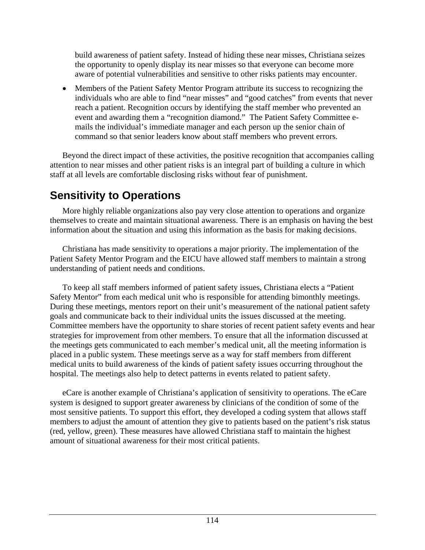<span id="page-120-0"></span>build awareness of patient safety. Instead of hiding these near misses, Christiana seizes the opportunity to openly display its near misses so that everyone can become more aware of potential vulnerabilities and sensitive to other risks patients may encounter.

• Members of the Patient Safety Mentor Program attribute its success to recognizing the individuals who are able to find "near misses" and "good catches" from events that never reach a patient. Recognition occurs by identifying the staff member who prevented an event and awarding them a "recognition diamond." The Patient Safety Committee emails the individual's immediate manager and each person up the senior chain of command so that senior leaders know about staff members who prevent errors.

 Beyond the direct impact of these activities, the positive recognition that accompanies calling attention to near misses and other patient risks is an integral part of building a culture in which staff at all levels are comfortable disclosing risks without fear of punishment.

## **Sensitivity to Operations**

 More highly reliable organizations also pay very close attention to operations and organize themselves to create and maintain situational awareness. There is an emphasis on having the best information about the situation and using this information as the basis for making decisions.

 Christiana has made sensitivity to operations a major priority. The implementation of the Patient Safety Mentor Program and the EICU have allowed staff members to maintain a strong understanding of patient needs and conditions.

 To keep all staff members informed of patient safety issues, Christiana elects a "Patient Safety Mentor" from each medical unit who is responsible for attending bimonthly meetings. During these meetings, mentors report on their unit's measurement of the national patient safety goals and communicate back to their individual units the issues discussed at the meeting. Committee members have the opportunity to share stories of recent patient safety events and hear strategies for improvement from other members. To ensure that all the information discussed at the meetings gets communicated to each member's medical unit, all the meeting information is placed in a public system. These meetings serve as a way for staff members from different medical units to build awareness of the kinds of patient safety issues occurring throughout the hospital. The meetings also help to detect patterns in events related to patient safety.

 eCare is another example of Christiana's application of sensitivity to operations. The eCare system is designed to support greater awareness by clinicians of the condition of some of the most sensitive patients. To support this effort, they developed a coding system that allows staff members to adjust the amount of attention they give to patients based on the patient's risk status (red, yellow, green). These measures have allowed Christiana staff to maintain the highest amount of situational awareness for their most critical patients.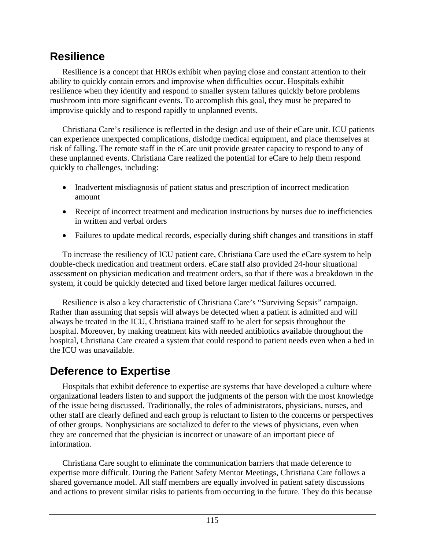#### **Resilience**

 Resilience is a concept that HROs exhibit when paying close and constant attention to their ability to quickly contain errors and improvise when difficulties occur. Hospitals exhibit resilience when they identify and respond to smaller system failures quickly before problems mushroom into more significant events. To accomplish this goal, they must be prepared to improvise quickly and to respond rapidly to unplanned events.

 Christiana Care's resilience is reflected in the design and use of their eCare unit. ICU patients can experience unexpected complications, dislodge medical equipment, and place themselves at risk of falling. The remote staff in the eCare unit provide greater capacity to respond to any of these unplanned events. Christiana Care realized the potential for eCare to help them respond quickly to challenges, including:

- Inadvertent misdiagnosis of patient status and prescription of incorrect medication amount
- Receipt of incorrect treatment and medication instructions by nurses due to inefficiencies in written and verbal orders
- Failures to update medical records, especially during shift changes and transitions in staff

 To increase the resiliency of ICU patient care, Christiana Care used the eCare system to help double-check medication and treatment orders. eCare staff also provided 24-hour situational assessment on physician medication and treatment orders, so that if there was a breakdown in the system, it could be quickly detected and fixed before larger medical failures occurred.

 Resilience is also a key characteristic of Christiana Care's "Surviving Sepsis" campaign. Rather than assuming that sepsis will always be detected when a patient is admitted and will always be treated in the ICU, Christiana trained staff to be alert for sepsis throughout the hospital. Moreover, by making treatment kits with needed antibiotics available throughout the hospital, Christiana Care created a system that could respond to patient needs even when a bed in the ICU was unavailable.

#### **Deference to Expertise**

 Hospitals that exhibit deference to expertise are systems that have developed a culture where organizational leaders listen to and support the judgments of the person with the most knowledge of the issue being discussed. Traditionally, the roles of administrators, physicians, nurses, and other staff are clearly defined and each group is reluctant to listen to the concerns or perspectives of other groups. Nonphysicians are socialized to defer to the views of physicians, even when they are concerned that the physician is incorrect or unaware of an important piece of information.

 Christiana Care sought to eliminate the communication barriers that made deference to expertise more difficult. During the Patient Safety Mentor Meetings, Christiana Care follows a shared governance model. All staff members are equally involved in patient safety discussions and actions to prevent similar risks to patients from occurring in the future. They do this because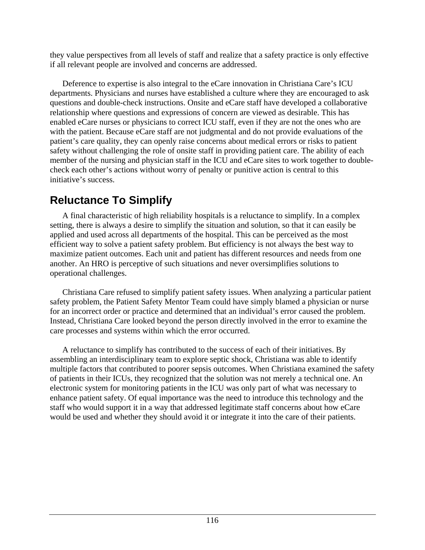they value perspectives from all levels of staff and realize that a safety practice is only effective if all relevant people are involved and concerns are addressed.

 Deference to expertise is also integral to the eCare innovation in Christiana Care's ICU departments. Physicians and nurses have established a culture where they are encouraged to ask questions and double-check instructions. Onsite and eCare staff have developed a collaborative relationship where questions and expressions of concern are viewed as desirable. This has enabled eCare nurses or physicians to correct ICU staff, even if they are not the ones who are with the patient. Because eCare staff are not judgmental and do not provide evaluations of the patient's care quality, they can openly raise concerns about medical errors or risks to patient safety without challenging the role of onsite staff in providing patient care. The ability of each member of the nursing and physician staff in the ICU and eCare sites to work together to doublecheck each other's actions without worry of penalty or punitive action is central to this initiative's success.

#### **Reluctance To Simplify**

 A final characteristic of high reliability hospitals is a reluctance to simplify. In a complex setting, there is always a desire to simplify the situation and solution, so that it can easily be applied and used across all departments of the hospital. This can be perceived as the most efficient way to solve a patient safety problem. But efficiency is not always the best way to maximize patient outcomes. Each unit and patient has different resources and needs from one another. An HRO is perceptive of such situations and never oversimplifies solutions to operational challenges.

 Christiana Care refused to simplify patient safety issues. When analyzing a particular patient safety problem, the Patient Safety Mentor Team could have simply blamed a physician or nurse for an incorrect order or practice and determined that an individual's error caused the problem. Instead, Christiana Care looked beyond the person directly involved in the error to examine the care processes and systems within which the error occurred.

 A reluctance to simplify has contributed to the success of each of their initiatives. By assembling an interdisciplinary team to explore septic shock, Christiana was able to identify multiple factors that contributed to poorer sepsis outcomes. When Christiana examined the safety of patients in their ICUs, they recognized that the solution was not merely a technical one. An electronic system for monitoring patients in the ICU was only part of what was necessary to enhance patient safety. Of equal importance was the need to introduce this technology and the staff who would support it in a way that addressed legitimate staff concerns about how eCare would be used and whether they should avoid it or integrate it into the care of their patients.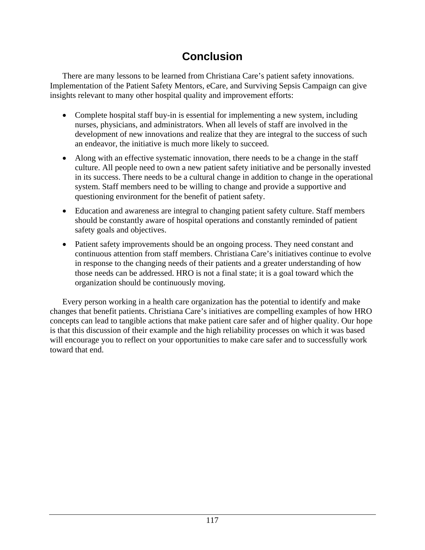## **Conclusion**

 There are many lessons to be learned from Christiana Care's patient safety innovations. Implementation of the Patient Safety Mentors, eCare, and Surviving Sepsis Campaign can give insights relevant to many other hospital quality and improvement efforts:

- Complete hospital staff buy-in is essential for implementing a new system, including nurses, physicians, and administrators. When all levels of staff are involved in the development of new innovations and realize that they are integral to the success of such an endeavor, the initiative is much more likely to succeed.
- Along with an effective systematic innovation, there needs to be a change in the staff culture. All people need to own a new patient safety initiative and be personally invested in its success. There needs to be a cultural change in addition to change in the operational system. Staff members need to be willing to change and provide a supportive and questioning environment for the benefit of patient safety.
- Education and awareness are integral to changing patient safety culture. Staff members should be constantly aware of hospital operations and constantly reminded of patient safety goals and objectives.
- Patient safety improvements should be an ongoing process. They need constant and continuous attention from staff members. Christiana Care's initiatives continue to evolve in response to the changing needs of their patients and a greater understanding of how those needs can be addressed. HRO is not a final state; it is a goal toward which the organization should be continuously moving.

 Every person working in a health care organization has the potential to identify and make changes that benefit patients. Christiana Care's initiatives are compelling examples of how HRO concepts can lead to tangible actions that make patient care safer and of higher quality. Our hope is that this discussion of their example and the high reliability processes on which it was based will encourage you to reflect on your opportunities to make care safer and to successfully work toward that end.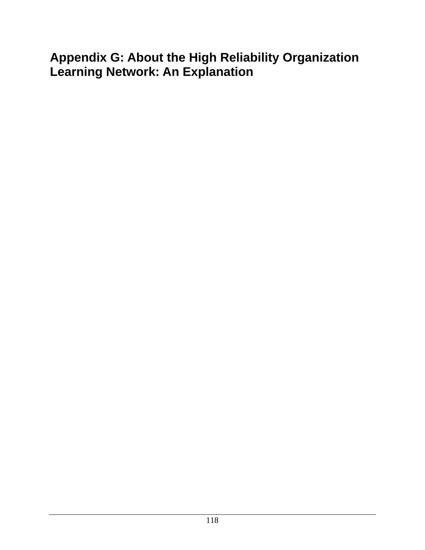# **Appendix G: About the High Reliability Organization Learning Network: An Explanation**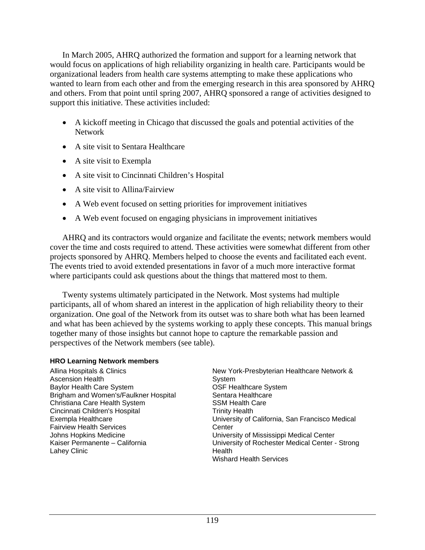In March 2005, AHRQ authorized the formation and support for a learning network that would focus on applications of high reliability organizing in health care. Participants would be organizational leaders from health care systems attempting to make these applications who wanted to learn from each other and from the emerging research in this area sponsored by AHRQ and others. From that point until spring 2007, AHRQ sponsored a range of activities designed to support this initiative. These activities included:

- A kickoff meeting in Chicago that discussed the goals and potential activities of the Network
- A site visit to Sentara Healthcare
- A site visit to Exempla
- A site visit to Cincinnati Children's Hospital
- A site visit to Allina/Fairview
- A Web event focused on setting priorities for improvement initiatives
- A Web event focused on engaging physicians in improvement initiatives

 AHRQ and its contractors would organize and facilitate the events; network members would cover the time and costs required to attend. These activities were somewhat different from other projects sponsored by AHRQ. Members helped to choose the events and facilitated each event. The events tried to avoid extended presentations in favor of a much more interactive format where participants could ask questions about the things that mattered most to them.

 Twenty systems ultimately participated in the Network. Most systems had multiple participants, all of whom shared an interest in the application of high reliability theory to their organization. One goal of the Network from its outset was to share both what has been learned and what has been achieved by the systems working to apply these concepts. This manual brings together many of those insights but cannot hope to capture the remarkable passion and perspectives of the Network members (see table).

#### **HRO Learning Network members**

Allina Hospitals & Clinics Ascension Health Baylor Health Care System Brigham and Women's/Faulkner Hospital Christiana Care Health System Cincinnati Children's Hospital Exempla Healthcare Fairview Health Services Johns Hopkins Medicine Kaiser Permanente – California Lahey Clinic

New York-Presbyterian Healthcare Network & **System** OSF Healthcare System Sentara Healthcare SSM Health Care Trinity Health University of California, San Francisco Medical **Center** University of Mississippi Medical Center University of Rochester Medical Center - Strong **Health** Wishard Health Services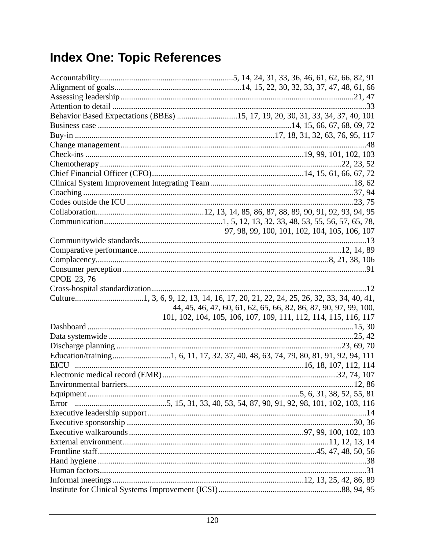# **Index One: Topic References**

| Behavior Based Expectations (BBEs) 15, 17, 19, 20, 30, 31, 33, 34, 37, 40, 101 |                                                                  |
|--------------------------------------------------------------------------------|------------------------------------------------------------------|
|                                                                                |                                                                  |
|                                                                                |                                                                  |
|                                                                                |                                                                  |
|                                                                                |                                                                  |
|                                                                                |                                                                  |
|                                                                                |                                                                  |
|                                                                                |                                                                  |
|                                                                                |                                                                  |
|                                                                                |                                                                  |
|                                                                                |                                                                  |
|                                                                                |                                                                  |
|                                                                                | 97, 98, 99, 100, 101, 102, 104, 105, 106, 107                    |
|                                                                                |                                                                  |
|                                                                                |                                                                  |
|                                                                                |                                                                  |
|                                                                                |                                                                  |
| CPOE 23, 76                                                                    |                                                                  |
|                                                                                |                                                                  |
|                                                                                |                                                                  |
|                                                                                | 44, 45, 46, 47, 60, 61, 62, 65, 66, 82, 86, 87, 90, 97, 99, 100, |
|                                                                                |                                                                  |
|                                                                                | 101, 102, 104, 105, 106, 107, 109, 111, 112, 114, 115, 116, 117  |
|                                                                                |                                                                  |
|                                                                                |                                                                  |
|                                                                                |                                                                  |
|                                                                                |                                                                  |
|                                                                                |                                                                  |
|                                                                                |                                                                  |
|                                                                                |                                                                  |
|                                                                                |                                                                  |
|                                                                                |                                                                  |
|                                                                                |                                                                  |
|                                                                                |                                                                  |
|                                                                                |                                                                  |
|                                                                                |                                                                  |
|                                                                                |                                                                  |
|                                                                                |                                                                  |
|                                                                                |                                                                  |
|                                                                                |                                                                  |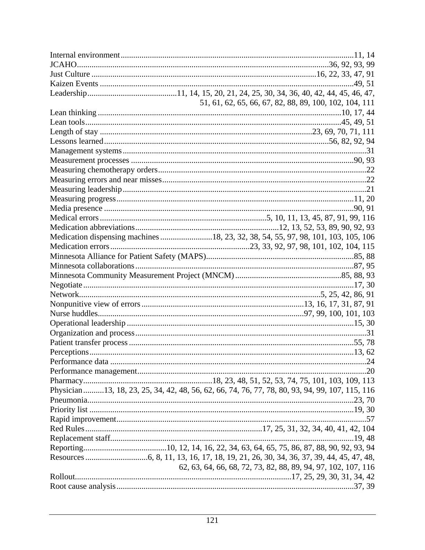| 51, 61, 62, 65, 66, 67, 82, 88, 89, 100, 102, 104, 111                                          |
|-------------------------------------------------------------------------------------------------|
|                                                                                                 |
|                                                                                                 |
|                                                                                                 |
|                                                                                                 |
|                                                                                                 |
|                                                                                                 |
|                                                                                                 |
|                                                                                                 |
|                                                                                                 |
|                                                                                                 |
|                                                                                                 |
|                                                                                                 |
|                                                                                                 |
| Medication dispensing machines 18, 23, 32, 38, 54, 55, 97, 98, 101, 103, 105, 106               |
|                                                                                                 |
|                                                                                                 |
|                                                                                                 |
|                                                                                                 |
|                                                                                                 |
|                                                                                                 |
|                                                                                                 |
|                                                                                                 |
|                                                                                                 |
|                                                                                                 |
|                                                                                                 |
|                                                                                                 |
|                                                                                                 |
|                                                                                                 |
|                                                                                                 |
| Physician 13, 18, 23, 25, 34, 42, 48, 56, 62, 66, 74, 76, 77, 78, 80, 93, 94, 99, 107, 115, 116 |
|                                                                                                 |
|                                                                                                 |
|                                                                                                 |
|                                                                                                 |
|                                                                                                 |
|                                                                                                 |
|                                                                                                 |
| 62, 63, 64, 66, 68, 72, 73, 82, 88, 89, 94, 97, 102, 107, 116                                   |
|                                                                                                 |
|                                                                                                 |